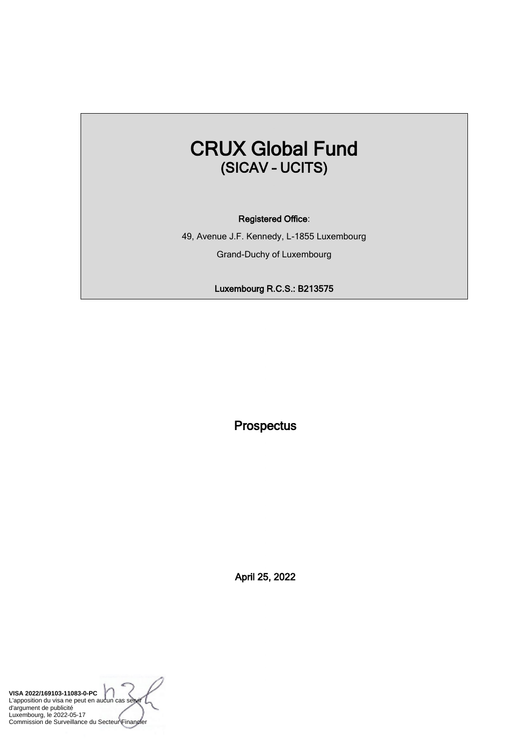# CRUX Global Fund (SICAV – UCITS)

#### Registered Office:

49, Avenue J.F. Kennedy, L-1855 Luxembourg Grand-Duchy of Luxembourg

Luxembourg R.C.S.: B213575

**Prospectus** 

April 25, 2022

**VISA 2022/169103-11083-0-PC** L'apposition du visa ne peut en aucun cas se d'argument de publicité Luxembourg, le 2022-05-17 Commission de Surveillance du Secteur Financier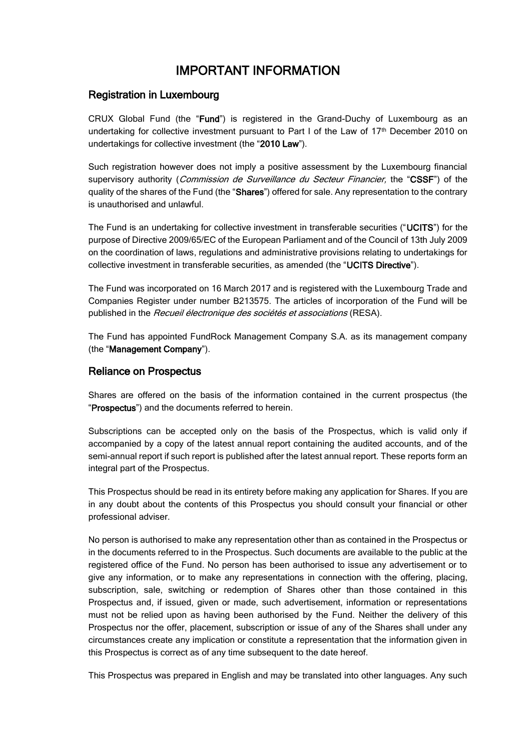# IMPORTANT INFORMATION

### Registration in Luxembourg

CRUX Global Fund (the "Fund") is registered in the Grand-Duchy of Luxembourg as an undertaking for collective investment pursuant to Part I of the Law of 17<sup>th</sup> December 2010 on undertakings for collective investment (the "2010 Law").

Such registration however does not imply a positive assessment by the Luxembourg financial supervisory authority (Commission de Surveillance du Secteur Financier, the "CSSF") of the quality of the shares of the Fund (the "Shares") offered for sale. Any representation to the contrary is unauthorised and unlawful.

The Fund is an undertaking for collective investment in transferable securities ("UCITS") for the purpose of Directive 2009/65/EC of the European Parliament and of the Council of 13th July 2009 on the coordination of laws, regulations and administrative provisions relating to undertakings for collective investment in transferable securities, as amended (the "UCITS Directive").

The Fund was incorporated on 16 March 2017 and is registered with the Luxembourg Trade and Companies Register under number B213575. The articles of incorporation of the Fund will be published in the Recueil électronique des sociétés et associations (RESA).

The Fund has appointed FundRock Management Company S.A. as its management company (the "Management Company").

## Reliance on Prospectus

Shares are offered on the basis of the information contained in the current prospectus (the "Prospectus") and the documents referred to herein.

Subscriptions can be accepted only on the basis of the Prospectus, which is valid only if accompanied by a copy of the latest annual report containing the audited accounts, and of the semi-annual report if such report is published after the latest annual report. These reports form an integral part of the Prospectus.

This Prospectus should be read in its entirety before making any application for Shares. If you are in any doubt about the contents of this Prospectus you should consult your financial or other professional adviser.

No person is authorised to make any representation other than as contained in the Prospectus or in the documents referred to in the Prospectus. Such documents are available to the public at the registered office of the Fund. No person has been authorised to issue any advertisement or to give any information, or to make any representations in connection with the offering, placing, subscription, sale, switching or redemption of Shares other than those contained in this Prospectus and, if issued, given or made, such advertisement, information or representations must not be relied upon as having been authorised by the Fund. Neither the delivery of this Prospectus nor the offer, placement, subscription or issue of any of the Shares shall under any circumstances create any implication or constitute a representation that the information given in this Prospectus is correct as of any time subsequent to the date hereof.

This Prospectus was prepared in English and may be translated into other languages. Any such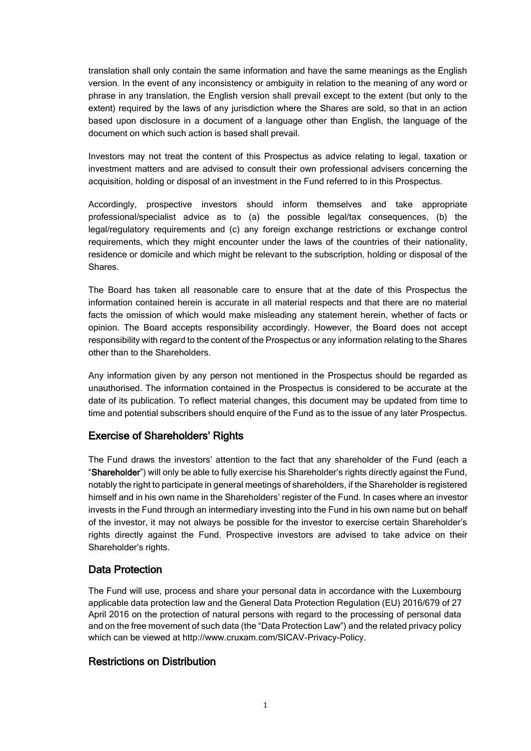translation shall only contain the same information and have the same meanings as the English version. In the event of any inconsistency or ambiguity in relation to the meaning of any word or phrase in any translation, the English version shall prevail except to the extent (but only to the extent) required by the laws of any jurisdiction where the Shares are sold, so that in an action based upon disclosure in a document of a language other than English, the language of the document on which such action is based shall prevail.

Investors may not treat the content of this Prospectus as advice relating to legal, taxation or investment matters and are advised to consult their own professional advisers concerning the acquisition, holding or disposal of an investment in the Fund referred to in this Prospectus.

Accordingly, prospective investors should inform themselves and take appropriate professional/specialist advice as to (a) the possible legal/tax consequences, (b) the legal/regulatory requirements and (c) any foreign exchange restrictions or exchange control requirements, which they might encounter under the laws of the countries of their nationality, residence or domicile and which might be relevant to the subscription, holding or disposal of the Shares.

The Board has taken all reasonable care to ensure that at the date of this Prospectus the information contained herein is accurate in all material respects and that there are no material facts the omission of which would make misleading any statement herein, whether of facts or opinion. The Board accepts responsibility accordingly. However, the Board does not accept responsibility with regard to the content of the Prospectus or any information relating to the Shares other than to the Shareholders.

Any information given by any person not mentioned in the Prospectus should be regarded as unauthorised. The information contained in the Prospectus is considered to be accurate at the date of its publication. To reflect material changes, this document may be updated from time to time and potential subscribers should enquire of the Fund as to the issue of any later Prospectus.

## Exercise of Shareholders' Rights

The Fund draws the investors' attention to the fact that any shareholder of the Fund (each a "Shareholder") will only be able to fully exercise his Shareholder's rights directly against the Fund, notably the right to participate in general meetings of shareholders, if the Shareholder is registered himself and in his own name in the Shareholders' register of the Fund. In cases where an investor invests in the Fund through an intermediary investing into the Fund in his own name but on behalf of the investor, it may not always be possible for the investor to exercise certain Shareholder's rights directly against the Fund. Prospective investors are advised to take advice on their Shareholder's rights.

## Data Protection

The Fund will use, process and share your personal data in accordance with the Luxembourg applicable data protection law and the General Data Protection Regulation (EU) 2016/679 of 27 April 2016 on the protection of natural persons with regard to the processing of personal data and on the free movement of such data (the "Data Protection Law") and the related privacy policy which can be viewed at http://www.cruxam.com/SICAV-Privacy-Policy.

## Restrictions on Distribution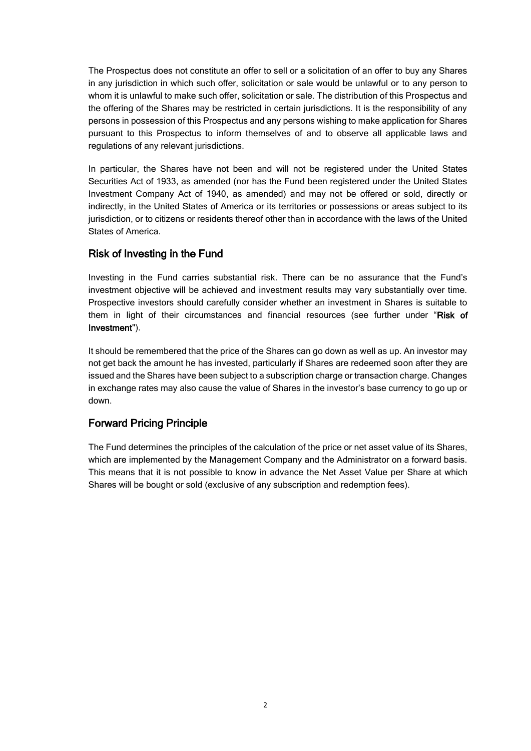The Prospectus does not constitute an offer to sell or a solicitation of an offer to buy any Shares in any jurisdiction in which such offer, solicitation or sale would be unlawful or to any person to whom it is unlawful to make such offer, solicitation or sale. The distribution of this Prospectus and the offering of the Shares may be restricted in certain jurisdictions. It is the responsibility of any persons in possession of this Prospectus and any persons wishing to make application for Shares pursuant to this Prospectus to inform themselves of and to observe all applicable laws and regulations of any relevant jurisdictions.

In particular, the Shares have not been and will not be registered under the United States Securities Act of 1933, as amended (nor has the Fund been registered under the United States Investment Company Act of 1940, as amended) and may not be offered or sold, directly or indirectly, in the United States of America or its territories or possessions or areas subject to its jurisdiction, or to citizens or residents thereof other than in accordance with the laws of the United States of America.

# Risk of Investing in the Fund

Investing in the Fund carries substantial risk. There can be no assurance that the Fund's investment objective will be achieved and investment results may vary substantially over time. Prospective investors should carefully consider whether an investment in Shares is suitable to them in light of their circumstances and financial resources (see further under "Risk of Investment").

It should be remembered that the price of the Shares can go down as well as up. An investor may not get back the amount he has invested, particularly if Shares are redeemed soon after they are issued and the Shares have been subject to a subscription charge or transaction charge. Changes in exchange rates may also cause the value of Shares in the investor's base currency to go up or down.

# Forward Pricing Principle

The Fund determines the principles of the calculation of the price or net asset value of its Shares, which are implemented by the Management Company and the Administrator on a forward basis. This means that it is not possible to know in advance the Net Asset Value per Share at which Shares will be bought or sold (exclusive of any subscription and redemption fees).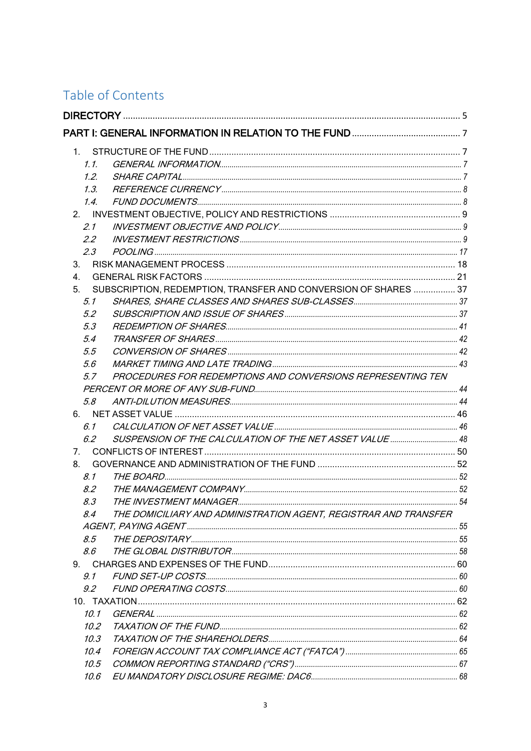# Table of Contents

|                | $1_{-}$        |                                                                  |  |
|----------------|----------------|------------------------------------------------------------------|--|
|                | 1.1            |                                                                  |  |
|                | 1.2            |                                                                  |  |
|                | 1.3.           |                                                                  |  |
|                | 1.4            |                                                                  |  |
|                |                |                                                                  |  |
|                | 2.1            |                                                                  |  |
|                | 2.2            |                                                                  |  |
|                | 2.3            |                                                                  |  |
| 3.             |                |                                                                  |  |
| 4.             |                |                                                                  |  |
| 5.             |                | SUBSCRIPTION, REDEMPTION, TRANSFER AND CONVERSION OF SHARES  37  |  |
|                | 5.1            |                                                                  |  |
|                | 5.2            |                                                                  |  |
|                | 5.3            |                                                                  |  |
|                | 5.4            |                                                                  |  |
|                | 5.5            |                                                                  |  |
|                | 5.6            |                                                                  |  |
|                | 5.7            | PROCEDURES FOR REDEMPTIONS AND CONVERSIONS REPRESENTING TEN      |  |
|                |                |                                                                  |  |
|                | 5.8            |                                                                  |  |
|                |                |                                                                  |  |
|                | 6.1            |                                                                  |  |
|                | 6.2            |                                                                  |  |
| 7 <sub>1</sub> |                |                                                                  |  |
| 8.             |                |                                                                  |  |
|                | 8.1            |                                                                  |  |
|                | 8.2            |                                                                  |  |
|                | 8.3            |                                                                  |  |
|                | 8.4            | THE DOMICILIARY AND ADMINISTRATION AGENT, REGISTRAR AND TRANSFER |  |
|                |                |                                                                  |  |
|                | 8.5            |                                                                  |  |
|                | 8.6            |                                                                  |  |
|                | 9 <sub>1</sub> |                                                                  |  |
|                | 9.1            |                                                                  |  |
|                | 9.2            |                                                                  |  |
|                |                |                                                                  |  |
|                | 10.1           |                                                                  |  |
|                | 10.2           |                                                                  |  |
|                | 10.3           |                                                                  |  |
|                | 10.4           |                                                                  |  |
|                | 10.5           |                                                                  |  |
|                | 10.6           |                                                                  |  |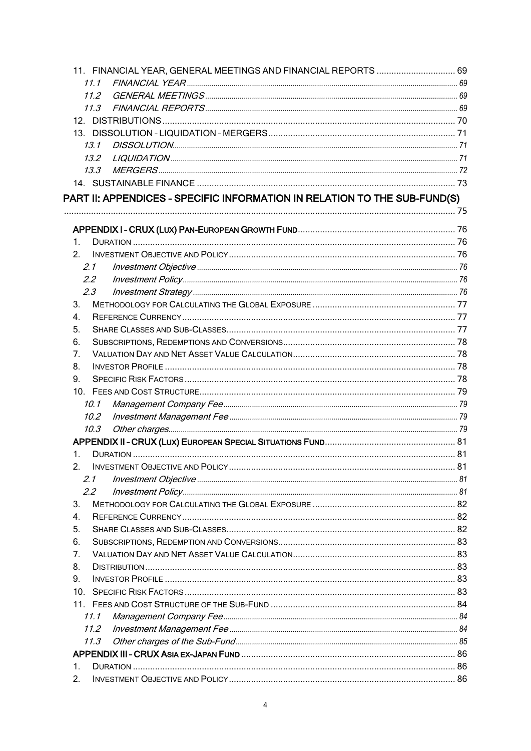| 11. FINANCIAL YEAR, GENERAL MEETINGS AND FINANCIAL REPORTS  69            |  |
|---------------------------------------------------------------------------|--|
| 11.1                                                                      |  |
| 11.2                                                                      |  |
| 11.3                                                                      |  |
|                                                                           |  |
|                                                                           |  |
| 13.1                                                                      |  |
| 13.2                                                                      |  |
| 13.3                                                                      |  |
|                                                                           |  |
| PART II: APPENDICES - SPECIFIC INFORMATION IN RELATION TO THE SUB-FUND(S) |  |
|                                                                           |  |
|                                                                           |  |
| 1.                                                                        |  |
| 2 <sub>1</sub>                                                            |  |
| 2.1                                                                       |  |
| $2.2^{\circ}$                                                             |  |
| 2.3                                                                       |  |
| 3.                                                                        |  |
| $\overline{4}$ .                                                          |  |
| 5.                                                                        |  |
| 6.                                                                        |  |
| 7.                                                                        |  |
| 8.                                                                        |  |
| 9.                                                                        |  |
|                                                                           |  |
| 10.1                                                                      |  |
| $10.2^{\circ}$                                                            |  |
| 10.3                                                                      |  |
|                                                                           |  |
| 1.                                                                        |  |
| 2.                                                                        |  |
| 2.1                                                                       |  |
| $2.2^{\circ}$                                                             |  |
| 3.                                                                        |  |
| 4.                                                                        |  |
| 5.                                                                        |  |
| 6.                                                                        |  |
| 7.                                                                        |  |
| 8.                                                                        |  |
| 9.                                                                        |  |
|                                                                           |  |
|                                                                           |  |
| 11.1                                                                      |  |
| 11.2                                                                      |  |
| 11.3                                                                      |  |
|                                                                           |  |
| 1.                                                                        |  |
| 2.                                                                        |  |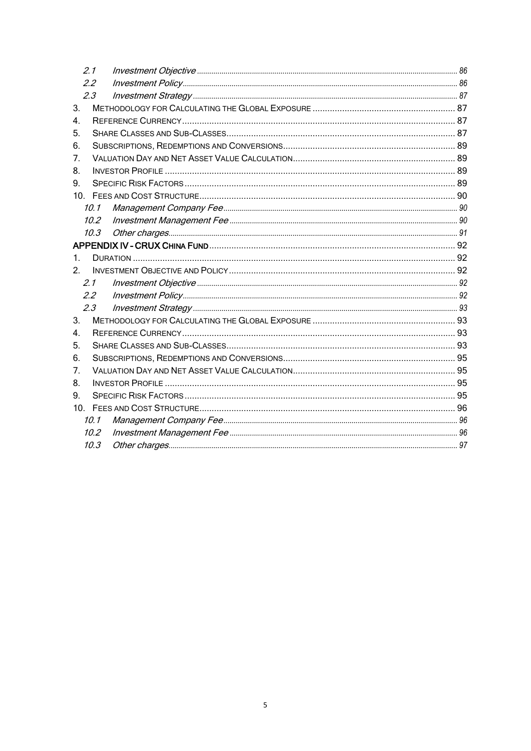|                | 2.1            |  |  |
|----------------|----------------|--|--|
|                | 22             |  |  |
|                | 2.3            |  |  |
| 3.             |                |  |  |
| 4.             |                |  |  |
| 5.             |                |  |  |
| 6.             |                |  |  |
| 7.             |                |  |  |
| 8.             |                |  |  |
| 9 <sub>1</sub> |                |  |  |
|                |                |  |  |
|                | 10.1           |  |  |
|                | $10.2^{\circ}$ |  |  |
|                | 10.3           |  |  |
|                |                |  |  |
| 1.             |                |  |  |
| 2 <sub>1</sub> |                |  |  |
|                | 2.1            |  |  |
|                | 2.2            |  |  |
|                | 2.3            |  |  |
| 3.             |                |  |  |
| 4.             |                |  |  |
| 5.             |                |  |  |
| 6.             |                |  |  |
| 7.             |                |  |  |
| 8.             |                |  |  |
| 9.             |                |  |  |
|                |                |  |  |
|                | 10.1           |  |  |
|                | 10.2           |  |  |
|                | 10.3           |  |  |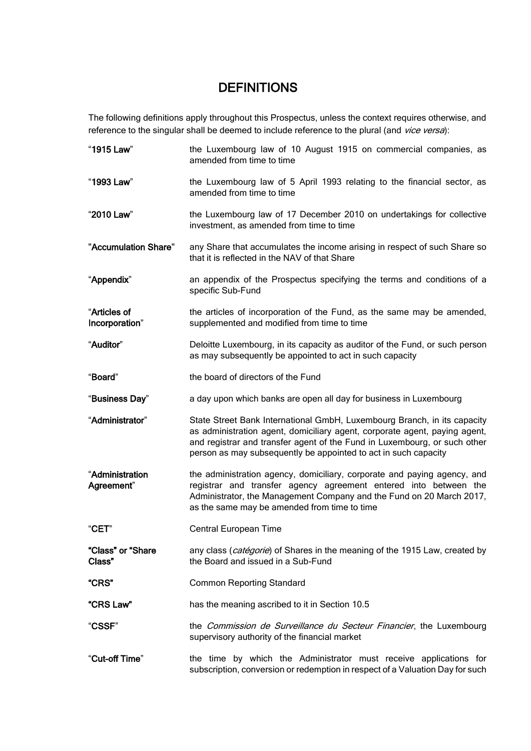# **DEFINITIONS**

The following definitions apply throughout this Prospectus, unless the context requires otherwise, and reference to the singular shall be deemed to include reference to the plural (and vice versa):

| "1915 Law"                     | the Luxembourg law of 10 August 1915 on commercial companies, as<br>amended from time to time                                                                                                                                                                                                          |
|--------------------------------|--------------------------------------------------------------------------------------------------------------------------------------------------------------------------------------------------------------------------------------------------------------------------------------------------------|
| "1993 Law"                     | the Luxembourg law of 5 April 1993 relating to the financial sector, as<br>amended from time to time                                                                                                                                                                                                   |
| "2010 Law"                     | the Luxembourg law of 17 December 2010 on undertakings for collective<br>investment, as amended from time to time                                                                                                                                                                                      |
| "Accumulation Share"           | any Share that accumulates the income arising in respect of such Share so<br>that it is reflected in the NAV of that Share                                                                                                                                                                             |
| "Appendix"                     | an appendix of the Prospectus specifying the terms and conditions of a<br>specific Sub-Fund                                                                                                                                                                                                            |
| "Articles of<br>Incorporation" | the articles of incorporation of the Fund, as the same may be amended,<br>supplemented and modified from time to time                                                                                                                                                                                  |
| "Auditor"                      | Deloitte Luxembourg, in its capacity as auditor of the Fund, or such person<br>as may subsequently be appointed to act in such capacity                                                                                                                                                                |
| "Board"                        | the board of directors of the Fund                                                                                                                                                                                                                                                                     |
| "Business Day"                 | a day upon which banks are open all day for business in Luxembourg                                                                                                                                                                                                                                     |
| "Administrator"                | State Street Bank International GmbH, Luxembourg Branch, in its capacity<br>as administration agent, domiciliary agent, corporate agent, paying agent,<br>and registrar and transfer agent of the Fund in Luxembourg, or such other<br>person as may subsequently be appointed to act in such capacity |
| "Administration<br>Agreement"  | the administration agency, domiciliary, corporate and paying agency, and<br>registrar and transfer agency agreement entered into between the<br>Administrator, the Management Company and the Fund on 20 March 2017,<br>as the same may be amended from time to time                                   |
| "CET"                          | Central European Time                                                                                                                                                                                                                                                                                  |
| "Class" or "Share<br>Class"    | any class (catégorie) of Shares in the meaning of the 1915 Law, created by<br>the Board and issued in a Sub-Fund                                                                                                                                                                                       |
| <b>"CRS"</b>                   | <b>Common Reporting Standard</b>                                                                                                                                                                                                                                                                       |
| "CRS Law"                      | has the meaning ascribed to it in Section 10.5                                                                                                                                                                                                                                                         |
| "CSSF"                         | the Commission de Surveillance du Secteur Financier, the Luxembourg<br>supervisory authority of the financial market                                                                                                                                                                                   |
| "Cut-off Time"                 | the time by which the Administrator must receive applications for<br>subscription, conversion or redemption in respect of a Valuation Day for such                                                                                                                                                     |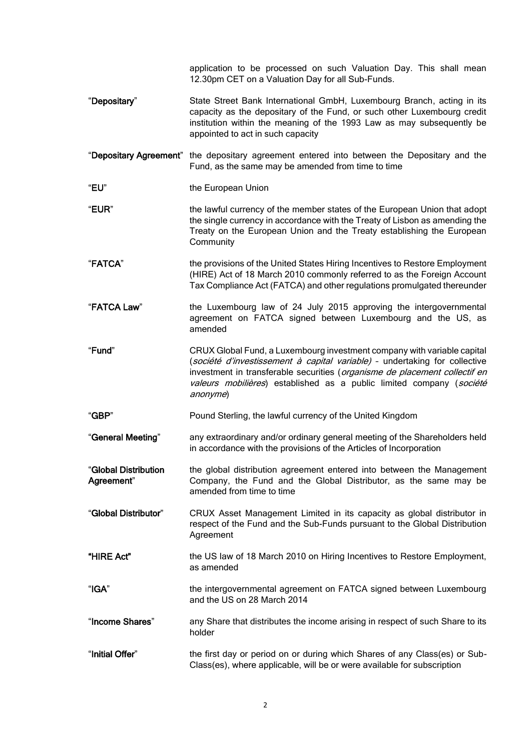|                                    | application to be processed on such Valuation Day. This shall mean<br>12.30pm CET on a Valuation Day for all Sub-Funds.                                                                                                                                                                                                 |
|------------------------------------|-------------------------------------------------------------------------------------------------------------------------------------------------------------------------------------------------------------------------------------------------------------------------------------------------------------------------|
| "Depositary"                       | State Street Bank International GmbH, Luxembourg Branch, acting in its<br>capacity as the depositary of the Fund, or such other Luxembourg credit<br>institution within the meaning of the 1993 Law as may subsequently be<br>appointed to act in such capacity                                                         |
|                                    | "Depositary Agreement" the depositary agreement entered into between the Depositary and the<br>Fund, as the same may be amended from time to time                                                                                                                                                                       |
| "EU"                               | the European Union                                                                                                                                                                                                                                                                                                      |
| "EUR"                              | the lawful currency of the member states of the European Union that adopt<br>the single currency in accordance with the Treaty of Lisbon as amending the<br>Treaty on the European Union and the Treaty establishing the European<br>Community                                                                          |
| "FATCA"                            | the provisions of the United States Hiring Incentives to Restore Employment<br>(HIRE) Act of 18 March 2010 commonly referred to as the Foreign Account<br>Tax Compliance Act (FATCA) and other regulations promulgated thereunder                                                                                       |
| "FATCA Law"                        | the Luxembourg law of 24 July 2015 approving the intergovernmental<br>agreement on FATCA signed between Luxembourg and the US, as<br>amended                                                                                                                                                                            |
| "Fund"                             | CRUX Global Fund, a Luxembourg investment company with variable capital<br>(société d'investissement à capital variable) - undertaking for collective<br>investment in transferable securities (organisme de placement collectif en<br>valeurs mobilières) established as a public limited company (société<br>anonyme) |
| "GBP"                              | Pound Sterling, the lawful currency of the United Kingdom                                                                                                                                                                                                                                                               |
| "General Meeting"                  | any extraordinary and/or ordinary general meeting of the Shareholders held<br>in accordance with the provisions of the Articles of Incorporation                                                                                                                                                                        |
| "Global Distribution<br>Agreement" | the global distribution agreement entered into between the Management<br>Company, the Fund and the Global Distributor, as the same may be<br>amended from time to time                                                                                                                                                  |
| "Global Distributor"               | CRUX Asset Management Limited in its capacity as global distributor in<br>respect of the Fund and the Sub-Funds pursuant to the Global Distribution<br>Agreement                                                                                                                                                        |
| "HIRE Act"                         | the US law of 18 March 2010 on Hiring Incentives to Restore Employment,<br>as amended                                                                                                                                                                                                                                   |
| "IGA"                              | the intergovernmental agreement on FATCA signed between Luxembourg<br>and the US on 28 March 2014                                                                                                                                                                                                                       |
| "Income Shares"                    | any Share that distributes the income arising in respect of such Share to its<br>holder                                                                                                                                                                                                                                 |
| "Initial Offer"                    | the first day or period on or during which Shares of any Class(es) or Sub-<br>Class(es), where applicable, will be or were available for subscription                                                                                                                                                                   |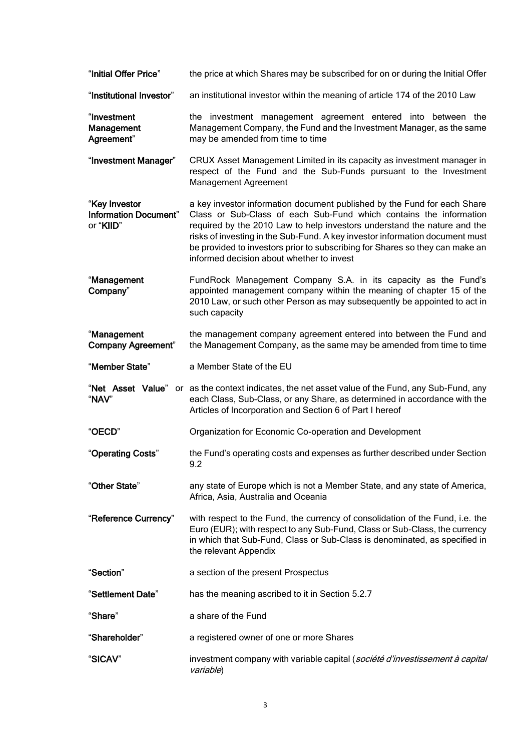| "Initial Offer Price"                                      | the price at which Shares may be subscribed for on or during the Initial Offer                                                                                                                                                                                                                                                                                                                                                          |
|------------------------------------------------------------|-----------------------------------------------------------------------------------------------------------------------------------------------------------------------------------------------------------------------------------------------------------------------------------------------------------------------------------------------------------------------------------------------------------------------------------------|
| "Institutional Investor"                                   | an institutional investor within the meaning of article 174 of the 2010 Law                                                                                                                                                                                                                                                                                                                                                             |
| "Investment<br><b>Management</b><br>Agreement"             | the investment management agreement entered into between the<br>Management Company, the Fund and the Investment Manager, as the same<br>may be amended from time to time                                                                                                                                                                                                                                                                |
| "Investment Manager"                                       | CRUX Asset Management Limited in its capacity as investment manager in<br>respect of the Fund and the Sub-Funds pursuant to the Investment<br>Management Agreement                                                                                                                                                                                                                                                                      |
| "Key Investor<br><b>Information Document"</b><br>or "KIID" | a key investor information document published by the Fund for each Share<br>Class or Sub-Class of each Sub-Fund which contains the information<br>required by the 2010 Law to help investors understand the nature and the<br>risks of investing in the Sub-Fund. A key investor information document must<br>be provided to investors prior to subscribing for Shares so they can make an<br>informed decision about whether to invest |
| "Management<br>Company"                                    | FundRock Management Company S.A. in its capacity as the Fund's<br>appointed management company within the meaning of chapter 15 of the<br>2010 Law, or such other Person as may subsequently be appointed to act in<br>such capacity                                                                                                                                                                                                    |
| "Management<br><b>Company Agreement"</b>                   | the management company agreement entered into between the Fund and<br>the Management Company, as the same may be amended from time to time                                                                                                                                                                                                                                                                                              |
| "Member State"                                             | a Member State of the EU                                                                                                                                                                                                                                                                                                                                                                                                                |
| "Net Asset Value"<br>"NAV"                                 | or as the context indicates, the net asset value of the Fund, any Sub-Fund, any<br>each Class, Sub-Class, or any Share, as determined in accordance with the<br>Articles of Incorporation and Section 6 of Part I hereof                                                                                                                                                                                                                |
| "OECD"                                                     | Organization for Economic Co-operation and Development                                                                                                                                                                                                                                                                                                                                                                                  |
| "Operating Costs"                                          | the Fund's operating costs and expenses as further described under Section<br>9.2                                                                                                                                                                                                                                                                                                                                                       |
| "Other State"                                              | any state of Europe which is not a Member State, and any state of America,<br>Africa, Asia, Australia and Oceania                                                                                                                                                                                                                                                                                                                       |
| "Reference Currency"                                       | with respect to the Fund, the currency of consolidation of the Fund, i.e. the<br>Euro (EUR); with respect to any Sub-Fund, Class or Sub-Class, the currency<br>in which that Sub-Fund, Class or Sub-Class is denominated, as specified in<br>the relevant Appendix                                                                                                                                                                      |
| "Section"                                                  | a section of the present Prospectus                                                                                                                                                                                                                                                                                                                                                                                                     |
| "Settlement Date"                                          | has the meaning ascribed to it in Section 5.2.7                                                                                                                                                                                                                                                                                                                                                                                         |
| "Share"                                                    | a share of the Fund                                                                                                                                                                                                                                                                                                                                                                                                                     |
| "Shareholder"                                              | a registered owner of one or more Shares                                                                                                                                                                                                                                                                                                                                                                                                |
| "SICAV"                                                    | investment company with variable capital (société d'investissement à capital<br>variable)                                                                                                                                                                                                                                                                                                                                               |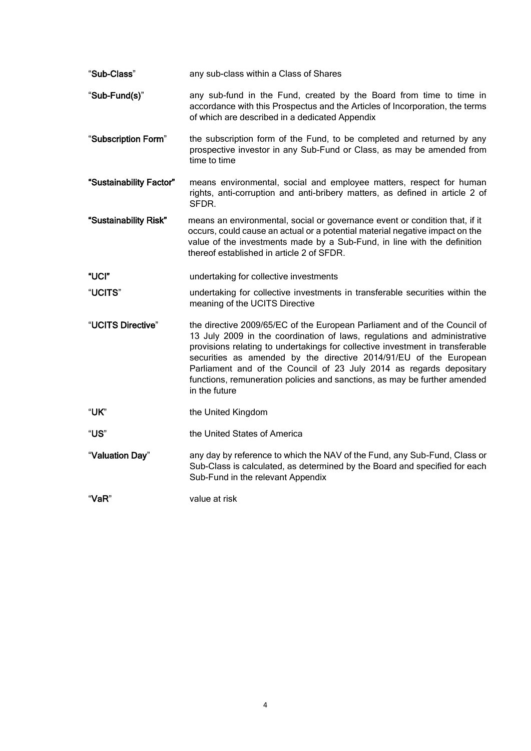| "Sub-Class"   | any sub-class within a Class of Shares                                                                                                              |
|---------------|-----------------------------------------------------------------------------------------------------------------------------------------------------|
| "Sub-Fund(s)" | any sub-fund in the Fund, created by the Board from time to time in<br>accordance with this Prospectus and the Articles of Incorporation, the terms |
|               | of which are described in a dedicated Appendix                                                                                                      |

- "Subscription Form" the subscription form of the Fund, to be completed and returned by any prospective investor in any Sub-Fund or Class, as may be amended from time to time
- "Sustainability Factor" means environmental, social and employee matters, respect for human rights, anti-corruption and anti-bribery matters, as defined in article 2 of SFDR.
- "Sustainability Risk" means an environmental, social or governance event or condition that, if it occurs, could cause an actual or a potential material negative impact on the value of the investments made by a Sub-Fund, in line with the definition thereof established in article 2 of SFDR.
- "UCI" undertaking for collective investments
- "UCITS" undertaking for collective investments in transferable securities within the meaning of the UCITS Directive
- "UCITS Directive" the directive 2009/65/EC of the European Parliament and of the Council of 13 July 2009 in the coordination of laws, regulations and administrative provisions relating to undertakings for collective investment in transferable securities as amended by the directive 2014/91/EU of the European Parliament and of the Council of 23 July 2014 as regards depositary functions, remuneration policies and sanctions, as may be further amended in the future
- "UK" the United Kingdom
- "US" the United States of America
- "Valuation Day" any day by reference to which the NAV of the Fund, any Sub-Fund, Class or Sub-Class is calculated, as determined by the Board and specified for each Sub-Fund in the relevant Appendix

"VaR" value at risk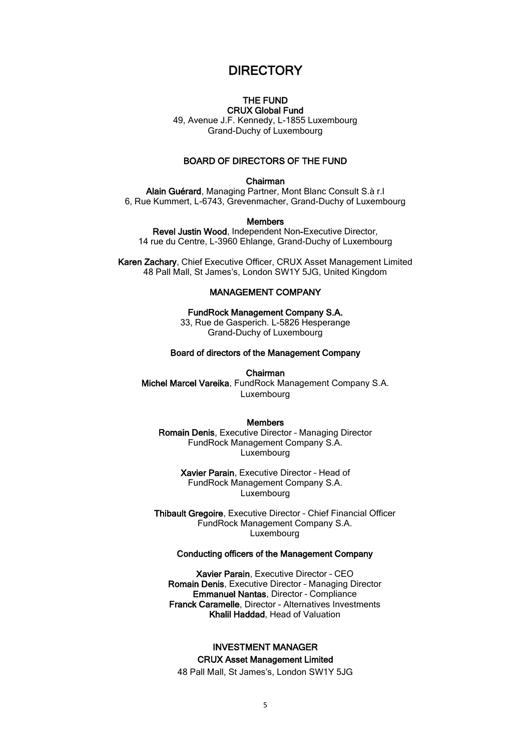# **DIRECTORY**

#### THE FUND CRUX Global Fund

<span id="page-11-0"></span>49, Avenue J.F. Kennedy, L-1855 Luxembourg Grand-Duchy of Luxembourg

#### BOARD OF DIRECTORS OF THE FUND

#### Chairman

Alain Guérard, Managing Partner, Mont Blanc Consult S.à r.l 6, Rue Kummert, L-6743, Grevenmacher, Grand-Duchy of Luxembourg

#### Members

Revel Justin Wood, Independent Non-Executive Director, 14 rue du Centre, L-3960 Ehlange, Grand-Duchy of Luxembourg

Karen Zachary, Chief Executive Officer, CRUX Asset Management Limited 48 Pall Mall, St James's, London SW1Y 5JG, United Kingdom

#### MANAGEMENT COMPANY

FundRock Management Company S.A. 33, Rue de Gasperich. L-5826 Hesperange Grand-Duchy of Luxembourg

#### Board of directors of the Management Company

#### Chairman

Michel Marcel Vareika, FundRock Management Company S.A. Luxembourg

#### Members

Romain Denis, Executive Director – Managing Director FundRock Management Company S.A. Luxembourg

> Xavier Parain, Executive Director – Head of FundRock Management Company S.A. Luxembourg

Thibault Gregoire, Executive Director - Chief Financial Officer FundRock Management Company S.A. Luxembourg

#### Conducting officers of the Management Company

Xavier Parain, Executive Director – CEO Romain Denis, Executive Director – Managing Director Emmanuel Nantas, Director – Compliance Franck Caramelle, Director - Alternatives Investments Khalil Haddad, Head of Valuation

#### INVESTMENT MANAGER CRUX Asset Management Limited

48 Pall Mall, St James's, London SW1Y 5JG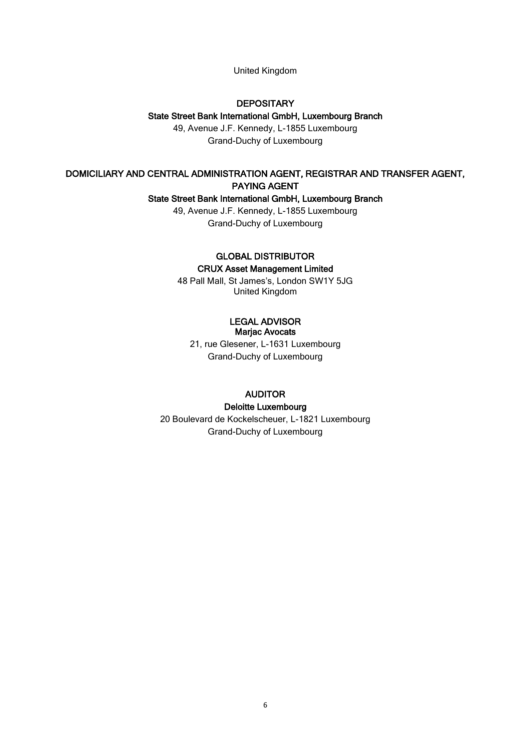#### United Kingdom

## **DEPOSITARY**

#### State Street Bank International GmbH, Luxembourg Branch

49, Avenue J.F. Kennedy, L-1855 Luxembourg Grand-Duchy of Luxembourg

### DOMICILIARY AND CENTRAL ADMINISTRATION AGENT, REGISTRAR AND TRANSFER AGENT, PAYING AGENT

#### State Street Bank International GmbH, Luxembourg Branch

49, Avenue J.F. Kennedy, L-1855 Luxembourg Grand-Duchy of Luxembourg

#### GLOBAL DISTRIBUTOR CRUX Asset Management Limited

48 Pall Mall, St James's, London SW1Y 5JG United Kingdom

#### LEGAL ADVISOR Marjac Avocats

21, rue Glesener, L-1631 Luxembourg Grand-Duchy of Luxembourg

#### AUDITOR

#### Deloitte Luxembourg

20 Boulevard de Kockelscheuer, L-1821 Luxembourg Grand-Duchy of Luxembourg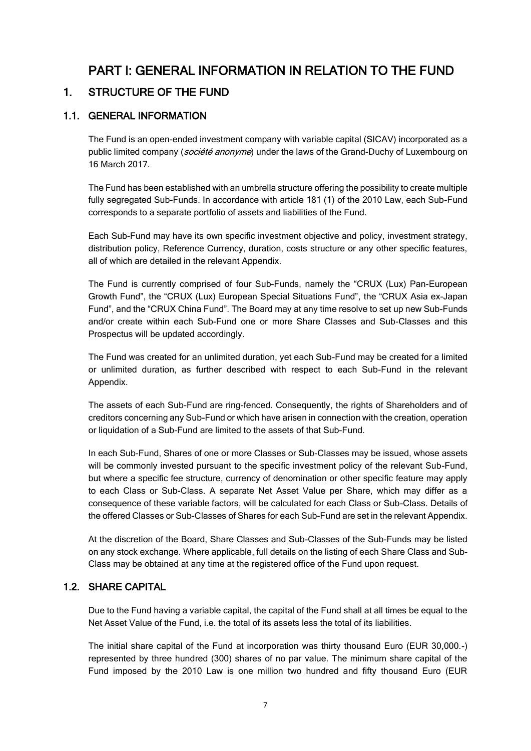# PART I: GENERAL INFORMATION IN RELATION TO THE FUND

# <span id="page-13-1"></span><span id="page-13-0"></span>1. STRUCTURE OF THE FUND

# <span id="page-13-2"></span>1.1. GENERAL INFORMATION

The Fund is an open-ended investment company with variable capital (SICAV) incorporated as a public limited company (*société anonyme*) under the laws of the Grand-Duchy of Luxembourg on 16 March 2017.

The Fund has been established with an umbrella structure offering the possibility to create multiple fully segregated Sub-Funds. In accordance with article 181 (1) of the 2010 Law, each Sub-Fund corresponds to a separate portfolio of assets and liabilities of the Fund.

Each Sub-Fund may have its own specific investment objective and policy, investment strategy, distribution policy, Reference Currency, duration, costs structure or any other specific features, all of which are detailed in the relevant Appendix.

The Fund is currently comprised of four Sub-Funds, namely the "CRUX (Lux) Pan-European Growth Fund", the "CRUX (Lux) European Special Situations Fund", the "CRUX Asia ex-Japan Fund", and the "CRUX China Fund". The Board may at any time resolve to set up new Sub-Funds and/or create within each Sub-Fund one or more Share Classes and Sub-Classes and this Prospectus will be updated accordingly.

The Fund was created for an unlimited duration, yet each Sub-Fund may be created for a limited or unlimited duration, as further described with respect to each Sub-Fund in the relevant Appendix.

The assets of each Sub-Fund are ring-fenced. Consequently, the rights of Shareholders and of creditors concerning any Sub-Fund or which have arisen in connection with the creation, operation or liquidation of a Sub-Fund are limited to the assets of that Sub-Fund.

In each Sub-Fund, Shares of one or more Classes or Sub-Classes may be issued, whose assets will be commonly invested pursuant to the specific investment policy of the relevant Sub-Fund, but where a specific fee structure, currency of denomination or other specific feature may apply to each Class or Sub-Class. A separate Net Asset Value per Share, which may differ as a consequence of these variable factors, will be calculated for each Class or Sub-Class. Details of the offered Classes or Sub-Classes of Shares for each Sub-Fund are set in the relevant Appendix.

At the discretion of the Board, Share Classes and Sub-Classes of the Sub-Funds may be listed on any stock exchange. Where applicable, full details on the listing of each Share Class and Sub-Class may be obtained at any time at the registered office of the Fund upon request.

# <span id="page-13-3"></span>1.2. SHARE CAPITAL

Due to the Fund having a variable capital, the capital of the Fund shall at all times be equal to the Net Asset Value of the Fund, i.e. the total of its assets less the total of its liabilities.

The initial share capital of the Fund at incorporation was thirty thousand Euro (EUR 30,000.-) represented by three hundred (300) shares of no par value. The minimum share capital of the Fund imposed by the 2010 Law is one million two hundred and fifty thousand Euro (EUR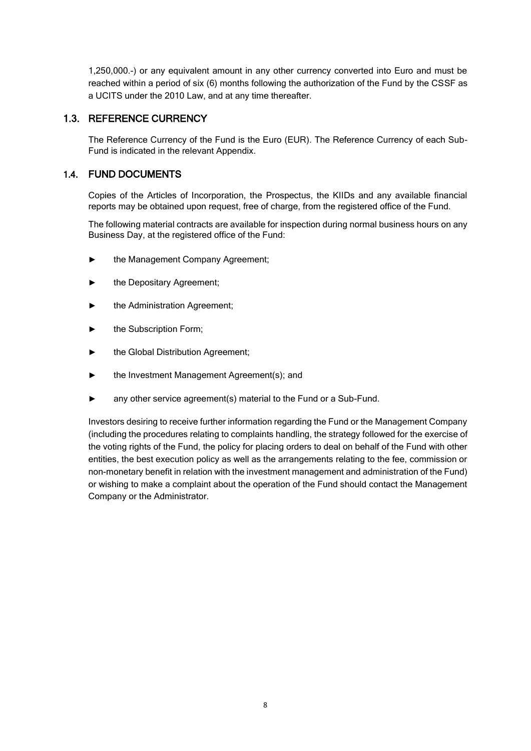1,250,000.-) or any equivalent amount in any other currency converted into Euro and must be reached within a period of six (6) months following the authorization of the Fund by the CSSF as a UCITS under the 2010 Law, and at any time thereafter.

## <span id="page-14-0"></span>1.3. REFERENCE CURRENCY

The Reference Currency of the Fund is the Euro (EUR). The Reference Currency of each Sub-Fund is indicated in the relevant Appendix.

## <span id="page-14-1"></span>1.4. FUND DOCUMENTS

Copies of the Articles of Incorporation, the Prospectus, the KIIDs and any available financial reports may be obtained upon request, free of charge, from the registered office of the Fund.

The following material contracts are available for inspection during normal business hours on any Business Day, at the registered office of the Fund:

- ► the Management Company Agreement;
- the Depositary Agreement;
- the Administration Agreement;
- the Subscription Form:
- the Global Distribution Agreement;
- the Investment Management Agreement(s); and
- any other service agreement(s) material to the Fund or a Sub-Fund.

Investors desiring to receive further information regarding the Fund or the Management Company (including the procedures relating to complaints handling, the strategy followed for the exercise of the voting rights of the Fund, the policy for placing orders to deal on behalf of the Fund with other entities, the best execution policy as well as the arrangements relating to the fee, commission or non-monetary benefit in relation with the investment management and administration of the Fund) or wishing to make a complaint about the operation of the Fund should contact the Management Company or the Administrator.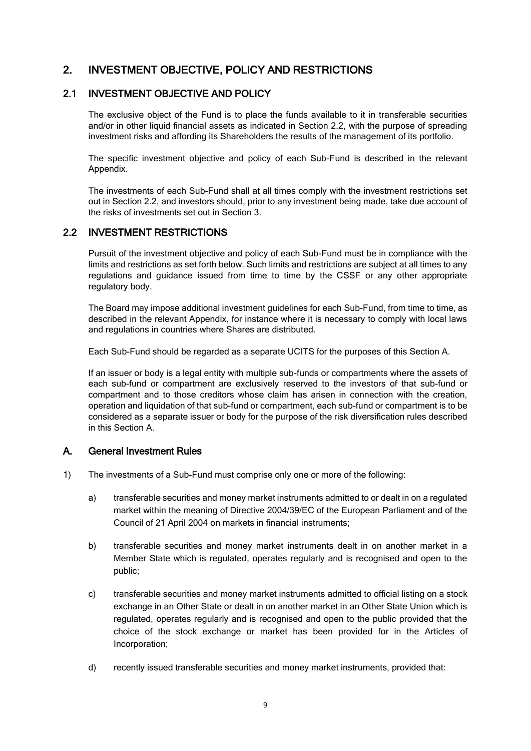# <span id="page-15-0"></span>2. INVESTMENT OBJECTIVE, POLICY AND RESTRICTIONS

#### <span id="page-15-1"></span>2.1 INVESTMENT OBJECTIVE AND POLICY

The exclusive object of the Fund is to place the funds available to it in transferable securities and/or in other liquid financial assets as indicated in Section 2.2, with the purpose of spreading investment risks and affording its Shareholders the results of the management of its portfolio.

The specific investment objective and policy of each Sub-Fund is described in the relevant Appendix.

The investments of each Sub-Fund shall at all times comply with the investment restrictions set out in Section 2.2, and investors should, prior to any investment being made, take due account of the risks of investments set out in Section 3.

### <span id="page-15-2"></span>2.2 INVESTMENT RESTRICTIONS

Pursuit of the investment objective and policy of each Sub-Fund must be in compliance with the limits and restrictions as set forth below. Such limits and restrictions are subject at all times to any regulations and guidance issued from time to time by the CSSF or any other appropriate regulatory body.

The Board may impose additional investment guidelines for each Sub-Fund, from time to time, as described in the relevant Appendix, for instance where it is necessary to comply with local laws and regulations in countries where Shares are distributed.

Each Sub-Fund should be regarded as a separate UCITS for the purposes of this Section A.

If an issuer or body is a legal entity with multiple sub-funds or compartments where the assets of each sub-fund or compartment are exclusively reserved to the investors of that sub-fund or compartment and to those creditors whose claim has arisen in connection with the creation, operation and liquidation of that sub-fund or compartment, each sub-fund or compartment is to be considered as a separate issuer or body for the purpose of the risk diversification rules described in this Section A.

#### A. General Investment Rules

- 1) The investments of a Sub-Fund must comprise only one or more of the following:
	- a) transferable securities and money market instruments admitted to or dealt in on a regulated market within the meaning of Directive 2004/39/EC of the European Parliament and of the Council of 21 April 2004 on markets in financial instruments;
	- b) transferable securities and money market instruments dealt in on another market in a Member State which is regulated, operates regularly and is recognised and open to the public;
	- c) transferable securities and money market instruments admitted to official listing on a stock exchange in an Other State or dealt in on another market in an Other State Union which is regulated, operates regularly and is recognised and open to the public provided that the choice of the stock exchange or market has been provided for in the Articles of Incorporation;
	- d) recently issued transferable securities and money market instruments, provided that: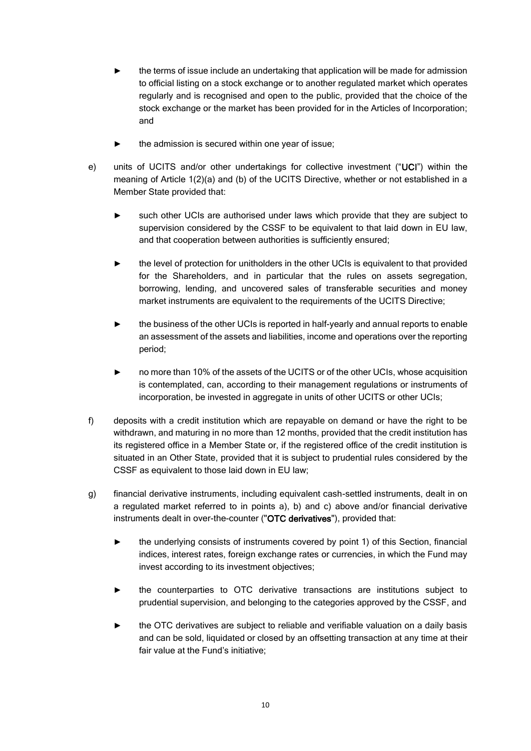- the terms of issue include an undertaking that application will be made for admission to official listing on a stock exchange or to another regulated market which operates regularly and is recognised and open to the public, provided that the choice of the stock exchange or the market has been provided for in the Articles of Incorporation; and
- the admission is secured within one year of issue;
- e) units of UCITS and/or other undertakings for collective investment ("UCI") within the meaning of Article 1(2)(a) and (b) of the UCITS Directive, whether or not established in a Member State provided that:
	- such other UCIs are authorised under laws which provide that they are subject to supervision considered by the CSSF to be equivalent to that laid down in EU law, and that cooperation between authorities is sufficiently ensured;
	- the level of protection for unitholders in the other UCIs is equivalent to that provided for the Shareholders, and in particular that the rules on assets segregation, borrowing, lending, and uncovered sales of transferable securities and money market instruments are equivalent to the requirements of the UCITS Directive;
	- the business of the other UCIs is reported in half-yearly and annual reports to enable an assessment of the assets and liabilities, income and operations over the reporting period;
	- no more than 10% of the assets of the UCITS or of the other UCIs, whose acquisition is contemplated, can, according to their management regulations or instruments of incorporation, be invested in aggregate in units of other UCITS or other UCIs;
- f) deposits with a credit institution which are repayable on demand or have the right to be withdrawn, and maturing in no more than 12 months, provided that the credit institution has its registered office in a Member State or, if the registered office of the credit institution is situated in an Other State, provided that it is subject to prudential rules considered by the CSSF as equivalent to those laid down in EU law;
- g) financial derivative instruments, including equivalent cash-settled instruments, dealt in on a regulated market referred to in points a), b) and c) above and/or financial derivative instruments dealt in over-the-counter ("OTC derivatives"), provided that:
	- ► the underlying consists of instruments covered by point 1) of this Section, financial indices, interest rates, foreign exchange rates or currencies, in which the Fund may invest according to its investment objectives;
	- the counterparties to OTC derivative transactions are institutions subject to prudential supervision, and belonging to the categories approved by the CSSF, and
	- the OTC derivatives are subject to reliable and verifiable valuation on a daily basis and can be sold, liquidated or closed by an offsetting transaction at any time at their fair value at the Fund's initiative;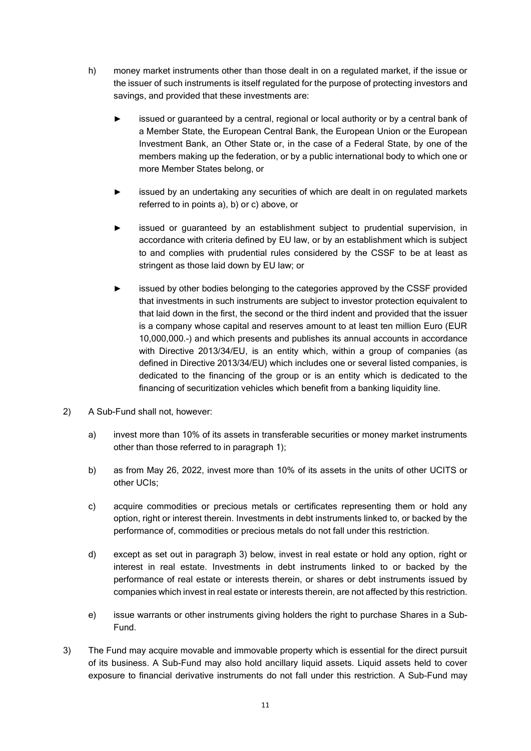- h) money market instruments other than those dealt in on a regulated market, if the issue or the issuer of such instruments is itself regulated for the purpose of protecting investors and savings, and provided that these investments are:
	- issued or guaranteed by a central, regional or local authority or by a central bank of a Member State, the European Central Bank, the European Union or the European Investment Bank, an Other State or, in the case of a Federal State, by one of the members making up the federation, or by a public international body to which one or more Member States belong, or
	- issued by an undertaking any securities of which are dealt in on regulated markets referred to in points a), b) or c) above, or
	- issued or guaranteed by an establishment subject to prudential supervision, in accordance with criteria defined by EU law, or by an establishment which is subject to and complies with prudential rules considered by the CSSF to be at least as stringent as those laid down by EU law; or
	- issued by other bodies belonging to the categories approved by the CSSF provided that investments in such instruments are subject to investor protection equivalent to that laid down in the first, the second or the third indent and provided that the issuer is a company whose capital and reserves amount to at least ten million Euro (EUR 10,000,000.-) and which presents and publishes its annual accounts in accordance with Directive 2013/34/EU, is an entity which, within a group of companies (as defined in Directive 2013/34/EU) which includes one or several listed companies, is dedicated to the financing of the group or is an entity which is dedicated to the financing of securitization vehicles which benefit from a banking liquidity line.
- 2) A Sub-Fund shall not, however:
	- a) invest more than 10% of its assets in transferable securities or money market instruments other than those referred to in paragraph 1);
	- b) as from May 26, 2022, invest more than 10% of its assets in the units of other UCITS or other UCIs;
	- c) acquire commodities or precious metals or certificates representing them or hold any option, right or interest therein. Investments in debt instruments linked to, or backed by the performance of, commodities or precious metals do not fall under this restriction.
	- d) except as set out in paragraph 3) below, invest in real estate or hold any option, right or interest in real estate. Investments in debt instruments linked to or backed by the performance of real estate or interests therein, or shares or debt instruments issued by companies which invest in real estate or interests therein, are not affected by this restriction.
	- e) issue warrants or other instruments giving holders the right to purchase Shares in a Sub-Fund.
- 3) The Fund may acquire movable and immovable property which is essential for the direct pursuit of its business. A Sub-Fund may also hold ancillary liquid assets. Liquid assets held to cover exposure to financial derivative instruments do not fall under this restriction. A Sub-Fund may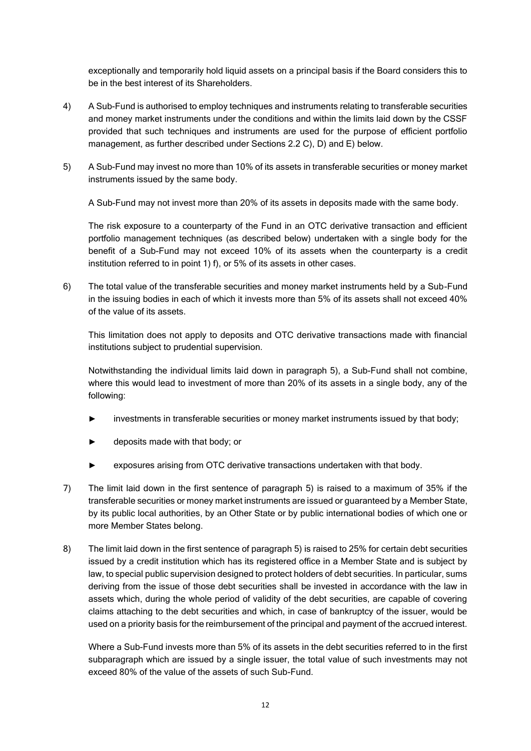exceptionally and temporarily hold liquid assets on a principal basis if the Board considers this to be in the best interest of its Shareholders.

- 4) A Sub-Fund is authorised to employ techniques and instruments relating to transferable securities and money market instruments under the conditions and within the limits laid down by the CSSF provided that such techniques and instruments are used for the purpose of efficient portfolio management, as further described under Sections 2.2 C), D) and E) below.
- 5) A Sub-Fund may invest no more than 10% of its assets in transferable securities or money market instruments issued by the same body.

A Sub-Fund may not invest more than 20% of its assets in deposits made with the same body.

The risk exposure to a counterparty of the Fund in an OTC derivative transaction and efficient portfolio management techniques (as described below) undertaken with a single body for the benefit of a Sub-Fund may not exceed 10% of its assets when the counterparty is a credit institution referred to in point 1) f), or 5% of its assets in other cases.

6) The total value of the transferable securities and money market instruments held by a Sub-Fund in the issuing bodies in each of which it invests more than 5% of its assets shall not exceed 40% of the value of its assets.

This limitation does not apply to deposits and OTC derivative transactions made with financial institutions subject to prudential supervision.

Notwithstanding the individual limits laid down in paragraph 5), a Sub-Fund shall not combine, where this would lead to investment of more than 20% of its assets in a single body, any of the following:

- investments in transferable securities or money market instruments issued by that body;
- deposits made with that body; or
- exposures arising from OTC derivative transactions undertaken with that body.
- 7) The limit laid down in the first sentence of paragraph 5) is raised to a maximum of 35% if the transferable securities or money market instruments are issued or guaranteed by a Member State, by its public local authorities, by an Other State or by public international bodies of which one or more Member States belong.
- 8) The limit laid down in the first sentence of paragraph 5) is raised to 25% for certain debt securities issued by a credit institution which has its registered office in a Member State and is subject by law, to special public supervision designed to protect holders of debt securities. In particular, sums deriving from the issue of those debt securities shall be invested in accordance with the law in assets which, during the whole period of validity of the debt securities, are capable of covering claims attaching to the debt securities and which, in case of bankruptcy of the issuer, would be used on a priority basis for the reimbursement of the principal and payment of the accrued interest.

Where a Sub-Fund invests more than 5% of its assets in the debt securities referred to in the first subparagraph which are issued by a single issuer, the total value of such investments may not exceed 80% of the value of the assets of such Sub-Fund.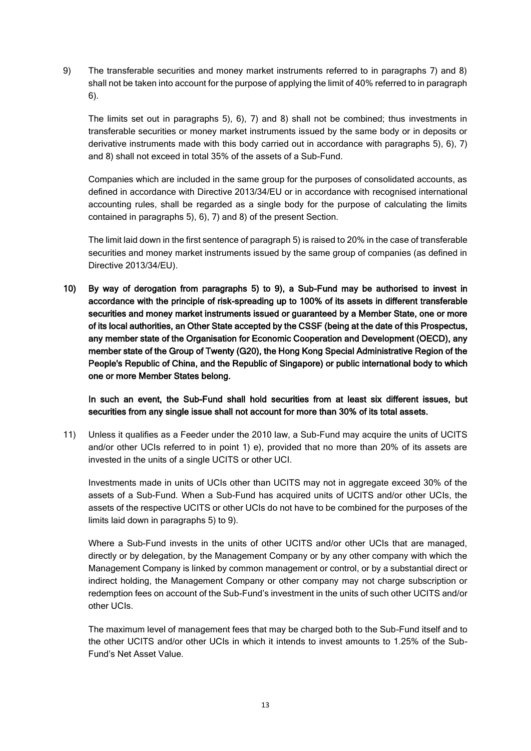9) The transferable securities and money market instruments referred to in paragraphs 7) and 8) shall not be taken into account for the purpose of applying the limit of 40% referred to in paragraph 6).

The limits set out in paragraphs 5), 6), 7) and 8) shall not be combined; thus investments in transferable securities or money market instruments issued by the same body or in deposits or derivative instruments made with this body carried out in accordance with paragraphs 5), 6), 7) and 8) shall not exceed in total 35% of the assets of a Sub-Fund.

Companies which are included in the same group for the purposes of consolidated accounts, as defined in accordance with Directive 2013/34/EU or in accordance with recognised international accounting rules, shall be regarded as a single body for the purpose of calculating the limits contained in paragraphs 5), 6), 7) and 8) of the present Section.

The limit laid down in the first sentence of paragraph 5) is raised to 20% in the case of transferable securities and money market instruments issued by the same group of companies (as defined in Directive 2013/34/EU).

10) By way of derogation from paragraphs 5) to 9), a Sub-Fund may be authorised to invest in accordance with the principle of risk-spreading up to 100% of its assets in different transferable securities and money market instruments issued or guaranteed by a Member State, one or more of its local authorities, an Other State accepted by the CSSF (being at the date of this Prospectus, any member state of the Organisation for Economic Cooperation and Development (OECD), any member state of the Group of Twenty (G20), the Hong Kong Special Administrative Region of the People's Republic of China, and the Republic of Singapore) or public international body to which one or more Member States belong.

#### In such an event, the Sub-Fund shall hold securities from at least six different issues, but securities from any single issue shall not account for more than 30% of its total assets.

11) Unless it qualifies as a Feeder under the 2010 law, a Sub-Fund may acquire the units of UCITS and/or other UCIs referred to in point 1) e), provided that no more than 20% of its assets are invested in the units of a single UCITS or other UCI.

Investments made in units of UCIs other than UCITS may not in aggregate exceed 30% of the assets of a Sub-Fund. When a Sub-Fund has acquired units of UCITS and/or other UCIs, the assets of the respective UCITS or other UCIs do not have to be combined for the purposes of the limits laid down in paragraphs 5) to 9).

Where a Sub-Fund invests in the units of other UCITS and/or other UCIs that are managed, directly or by delegation, by the Management Company or by any other company with which the Management Company is linked by common management or control, or by a substantial direct or indirect holding, the Management Company or other company may not charge subscription or redemption fees on account of the Sub-Fund's investment in the units of such other UCITS and/or other UCIs.

The maximum level of management fees that may be charged both to the Sub-Fund itself and to the other UCITS and/or other UCIs in which it intends to invest amounts to 1.25% of the Sub-Fund's Net Asset Value.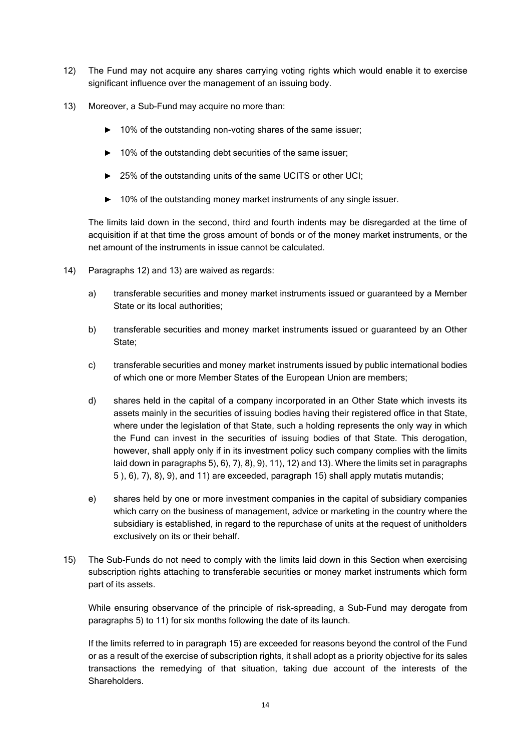- 12) The Fund may not acquire any shares carrying voting rights which would enable it to exercise significant influence over the management of an issuing body.
- 13) Moreover, a Sub-Fund may acquire no more than:
	- ► 10% of the outstanding non-voting shares of the same issuer;
	- ► 10% of the outstanding debt securities of the same issuer;
	- ► 25% of the outstanding units of the same UCITS or other UCI;
	- ► 10% of the outstanding money market instruments of any single issuer.

The limits laid down in the second, third and fourth indents may be disregarded at the time of acquisition if at that time the gross amount of bonds or of the money market instruments, or the net amount of the instruments in issue cannot be calculated.

- 14) Paragraphs 12) and 13) are waived as regards:
	- a) transferable securities and money market instruments issued or guaranteed by a Member State or its local authorities;
	- b) transferable securities and money market instruments issued or guaranteed by an Other State;
	- c) transferable securities and money market instruments issued by public international bodies of which one or more Member States of the European Union are members;
	- d) shares held in the capital of a company incorporated in an Other State which invests its assets mainly in the securities of issuing bodies having their registered office in that State, where under the legislation of that State, such a holding represents the only way in which the Fund can invest in the securities of issuing bodies of that State. This derogation, however, shall apply only if in its investment policy such company complies with the limits laid down in paragraphs 5), 6), 7), 8), 9), 11), 12) and 13). Where the limits set in paragraphs 5 ), 6), 7), 8), 9), and 11) are exceeded, paragraph 15) shall apply mutatis mutandis;
	- e) shares held by one or more investment companies in the capital of subsidiary companies which carry on the business of management, advice or marketing in the country where the subsidiary is established, in regard to the repurchase of units at the request of unitholders exclusively on its or their behalf.
- 15) The Sub-Funds do not need to comply with the limits laid down in this Section when exercising subscription rights attaching to transferable securities or money market instruments which form part of its assets.

While ensuring observance of the principle of risk-spreading, a Sub-Fund may derogate from paragraphs 5) to 11) for six months following the date of its launch.

If the limits referred to in paragraph 15) are exceeded for reasons beyond the control of the Fund or as a result of the exercise of subscription rights, it shall adopt as a priority objective for its sales transactions the remedying of that situation, taking due account of the interests of the Shareholders.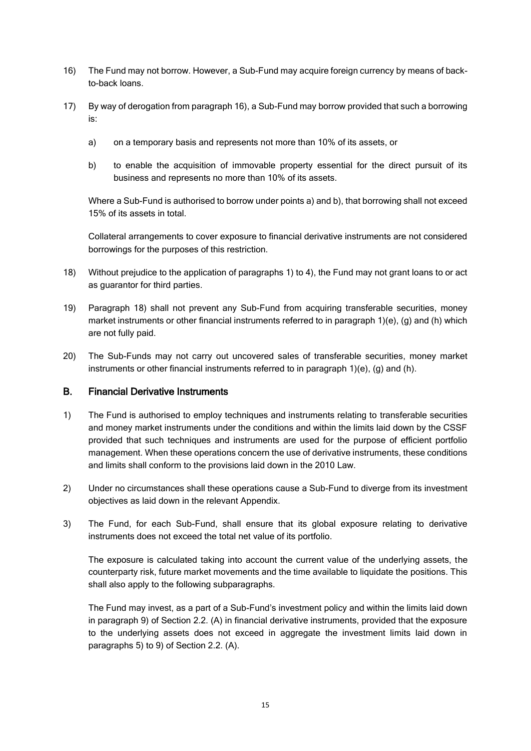- 16) The Fund may not borrow. However, a Sub-Fund may acquire foreign currency by means of backto-back loans.
- 17) By way of derogation from paragraph 16), a Sub-Fund may borrow provided that such a borrowing is:
	- a) on a temporary basis and represents not more than 10% of its assets, or
	- b) to enable the acquisition of immovable property essential for the direct pursuit of its business and represents no more than 10% of its assets.

Where a Sub-Fund is authorised to borrow under points a) and b), that borrowing shall not exceed 15% of its assets in total.

Collateral arrangements to cover exposure to financial derivative instruments are not considered borrowings for the purposes of this restriction.

- 18) Without prejudice to the application of paragraphs 1) to 4), the Fund may not grant loans to or act as guarantor for third parties.
- 19) Paragraph 18) shall not prevent any Sub-Fund from acquiring transferable securities, money market instruments or other financial instruments referred to in paragraph 1)(e), (g) and (h) which are not fully paid.
- 20) The Sub-Funds may not carry out uncovered sales of transferable securities, money market instruments or other financial instruments referred to in paragraph 1)(e), (g) and (h).

#### B. Financial Derivative Instruments

- 1) The Fund is authorised to employ techniques and instruments relating to transferable securities and money market instruments under the conditions and within the limits laid down by the CSSF provided that such techniques and instruments are used for the purpose of efficient portfolio management. When these operations concern the use of derivative instruments, these conditions and limits shall conform to the provisions laid down in the 2010 Law.
- 2) Under no circumstances shall these operations cause a Sub-Fund to diverge from its investment objectives as laid down in the relevant Appendix.
- 3) The Fund, for each Sub-Fund, shall ensure that its global exposure relating to derivative instruments does not exceed the total net value of its portfolio.

The exposure is calculated taking into account the current value of the underlying assets, the counterparty risk, future market movements and the time available to liquidate the positions. This shall also apply to the following subparagraphs.

The Fund may invest, as a part of a Sub-Fund's investment policy and within the limits laid down in paragraph 9) of Section 2.2. (A) in financial derivative instruments, provided that the exposure to the underlying assets does not exceed in aggregate the investment limits laid down in paragraphs 5) to 9) of Section 2.2. (A).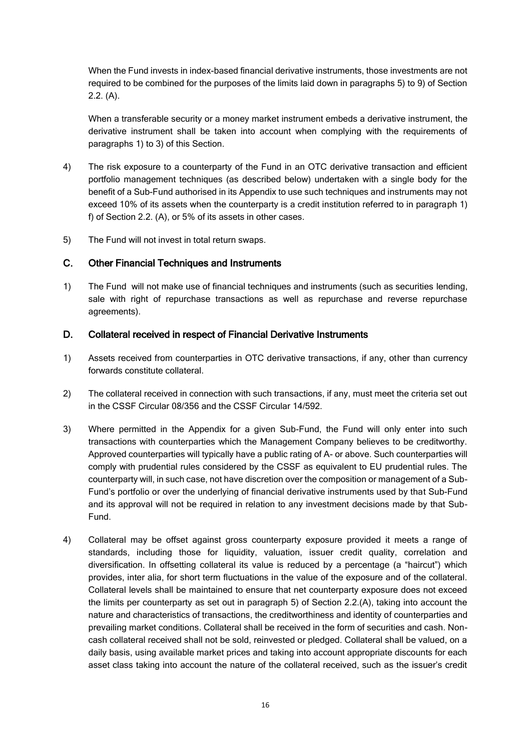When the Fund invests in index-based financial derivative instruments, those investments are not required to be combined for the purposes of the limits laid down in paragraphs 5) to 9) of Section 2.2. (A).

When a transferable security or a money market instrument embeds a derivative instrument, the derivative instrument shall be taken into account when complying with the requirements of paragraphs 1) to 3) of this Section.

- 4) The risk exposure to a counterparty of the Fund in an OTC derivative transaction and efficient portfolio management techniques (as described below) undertaken with a single body for the benefit of a Sub-Fund authorised in its Appendix to use such techniques and instruments may not exceed 10% of its assets when the counterparty is a credit institution referred to in paragraph 1) f) of Section 2.2. (A), or 5% of its assets in other cases.
- 5) The Fund will not invest in total return swaps.

#### C. Other Financial Techniques and Instruments

1) The Fund will not make use of financial techniques and instruments (such as securities lending, sale with right of repurchase transactions as well as repurchase and reverse repurchase agreements).

#### D. Collateral received in respect of Financial Derivative Instruments

- 1) Assets received from counterparties in OTC derivative transactions, if any, other than currency forwards constitute collateral.
- 2) The collateral received in connection with such transactions, if any, must meet the criteria set out in the CSSF Circular 08/356 and the CSSF Circular 14/592.
- 3) Where permitted in the Appendix for a given Sub-Fund, the Fund will only enter into such transactions with counterparties which the Management Company believes to be creditworthy. Approved counterparties will typically have a public rating of A- or above. Such counterparties will comply with prudential rules considered by the CSSF as equivalent to EU prudential rules. The counterparty will, in such case, not have discretion over the composition or management of a Sub-Fund's portfolio or over the underlying of financial derivative instruments used by that Sub-Fund and its approval will not be required in relation to any investment decisions made by that Sub-Fund.
- 4) Collateral may be offset against gross counterparty exposure provided it meets a range of standards, including those for liquidity, valuation, issuer credit quality, correlation and diversification. In offsetting collateral its value is reduced by a percentage (a "haircut") which provides, inter alia, for short term fluctuations in the value of the exposure and of the collateral. Collateral levels shall be maintained to ensure that net counterparty exposure does not exceed the limits per counterparty as set out in paragraph 5) of Section 2.2.(A), taking into account the nature and characteristics of transactions, the creditworthiness and identity of counterparties and prevailing market conditions. Collateral shall be received in the form of securities and cash. Noncash collateral received shall not be sold, reinvested or pledged. Collateral shall be valued, on a daily basis, using available market prices and taking into account appropriate discounts for each asset class taking into account the nature of the collateral received, such as the issuer's credit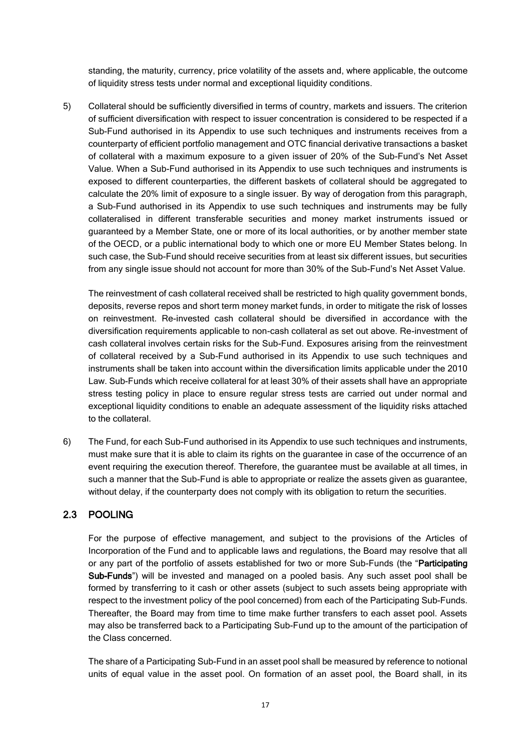standing, the maturity, currency, price volatility of the assets and, where applicable, the outcome of liquidity stress tests under normal and exceptional liquidity conditions.

5) Collateral should be sufficiently diversified in terms of country, markets and issuers. The criterion of sufficient diversification with respect to issuer concentration is considered to be respected if a Sub-Fund authorised in its Appendix to use such techniques and instruments receives from a counterparty of efficient portfolio management and OTC financial derivative transactions a basket of collateral with a maximum exposure to a given issuer of 20% of the Sub-Fund's Net Asset Value. When a Sub-Fund authorised in its Appendix to use such techniques and instruments is exposed to different counterparties, the different baskets of collateral should be aggregated to calculate the 20% limit of exposure to a single issuer. By way of derogation from this paragraph, a Sub-Fund authorised in its Appendix to use such techniques and instruments may be fully collateralised in different transferable securities and money market instruments issued or guaranteed by a Member State, one or more of its local authorities, or by another member state of the OECD, or a public international body to which one or more EU Member States belong. In such case, the Sub-Fund should receive securities from at least six different issues, but securities from any single issue should not account for more than 30% of the Sub-Fund's Net Asset Value.

The reinvestment of cash collateral received shall be restricted to high quality government bonds, deposits, reverse repos and short term money market funds, in order to mitigate the risk of losses on reinvestment. Re-invested cash collateral should be diversified in accordance with the diversification requirements applicable to non-cash collateral as set out above. Re-investment of cash collateral involves certain risks for the Sub-Fund. Exposures arising from the reinvestment of collateral received by a Sub-Fund authorised in its Appendix to use such techniques and instruments shall be taken into account within the diversification limits applicable under the 2010 Law. Sub-Funds which receive collateral for at least 30% of their assets shall have an appropriate stress testing policy in place to ensure regular stress tests are carried out under normal and exceptional liquidity conditions to enable an adequate assessment of the liquidity risks attached to the collateral.

6) The Fund, for each Sub-Fund authorised in its Appendix to use such techniques and instruments, must make sure that it is able to claim its rights on the guarantee in case of the occurrence of an event requiring the execution thereof. Therefore, the guarantee must be available at all times, in such a manner that the Sub-Fund is able to appropriate or realize the assets given as guarantee, without delay, if the counterparty does not comply with its obligation to return the securities.

## <span id="page-23-0"></span>2.3 POOLING

For the purpose of effective management, and subject to the provisions of the Articles of Incorporation of the Fund and to applicable laws and regulations, the Board may resolve that all or any part of the portfolio of assets established for two or more Sub-Funds (the "Participating Sub-Funds") will be invested and managed on a pooled basis. Any such asset pool shall be formed by transferring to it cash or other assets (subject to such assets being appropriate with respect to the investment policy of the pool concerned) from each of the Participating Sub-Funds. Thereafter, the Board may from time to time make further transfers to each asset pool. Assets may also be transferred back to a Participating Sub-Fund up to the amount of the participation of the Class concerned.

The share of a Participating Sub-Fund in an asset pool shall be measured by reference to notional units of equal value in the asset pool. On formation of an asset pool, the Board shall, in its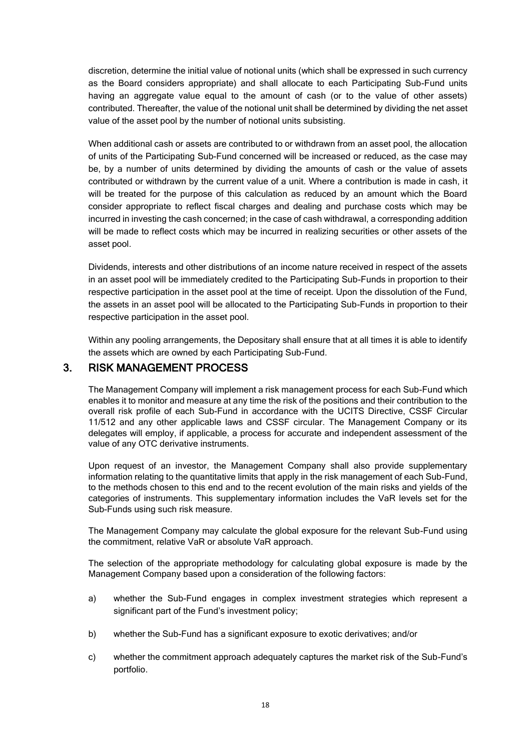discretion, determine the initial value of notional units (which shall be expressed in such currency as the Board considers appropriate) and shall allocate to each Participating Sub-Fund units having an aggregate value equal to the amount of cash (or to the value of other assets) contributed. Thereafter, the value of the notional unit shall be determined by dividing the net asset value of the asset pool by the number of notional units subsisting.

When additional cash or assets are contributed to or withdrawn from an asset pool, the allocation of units of the Participating Sub-Fund concerned will be increased or reduced, as the case may be, by a number of units determined by dividing the amounts of cash or the value of assets contributed or withdrawn by the current value of a unit. Where a contribution is made in cash, it will be treated for the purpose of this calculation as reduced by an amount which the Board consider appropriate to reflect fiscal charges and dealing and purchase costs which may be incurred in investing the cash concerned; in the case of cash withdrawal, a corresponding addition will be made to reflect costs which may be incurred in realizing securities or other assets of the asset pool.

Dividends, interests and other distributions of an income nature received in respect of the assets in an asset pool will be immediately credited to the Participating Sub-Funds in proportion to their respective participation in the asset pool at the time of receipt. Upon the dissolution of the Fund, the assets in an asset pool will be allocated to the Participating Sub-Funds in proportion to their respective participation in the asset pool.

Within any pooling arrangements, the Depositary shall ensure that at all times it is able to identify the assets which are owned by each Participating Sub-Fund.

# <span id="page-24-0"></span>3. RISK MANAGEMENT PROCESS

The Management Company will implement a risk management process for each Sub-Fund which enables it to monitor and measure at any time the risk of the positions and their contribution to the overall risk profile of each Sub-Fund in accordance with the UCITS Directive, CSSF Circular 11/512 and any other applicable laws and CSSF circular. The Management Company or its delegates will employ, if applicable, a process for accurate and independent assessment of the value of any OTC derivative instruments.

Upon request of an investor, the Management Company shall also provide supplementary information relating to the quantitative limits that apply in the risk management of each Sub-Fund, to the methods chosen to this end and to the recent evolution of the main risks and yields of the categories of instruments. This supplementary information includes the VaR levels set for the Sub-Funds using such risk measure.

The Management Company may calculate the global exposure for the relevant Sub-Fund using the commitment, relative VaR or absolute VaR approach.

The selection of the appropriate methodology for calculating global exposure is made by the Management Company based upon a consideration of the following factors:

- a) whether the Sub-Fund engages in complex investment strategies which represent a significant part of the Fund's investment policy;
- b) whether the Sub-Fund has a significant exposure to exotic derivatives; and/or
- c) whether the commitment approach adequately captures the market risk of the Sub-Fund's portfolio.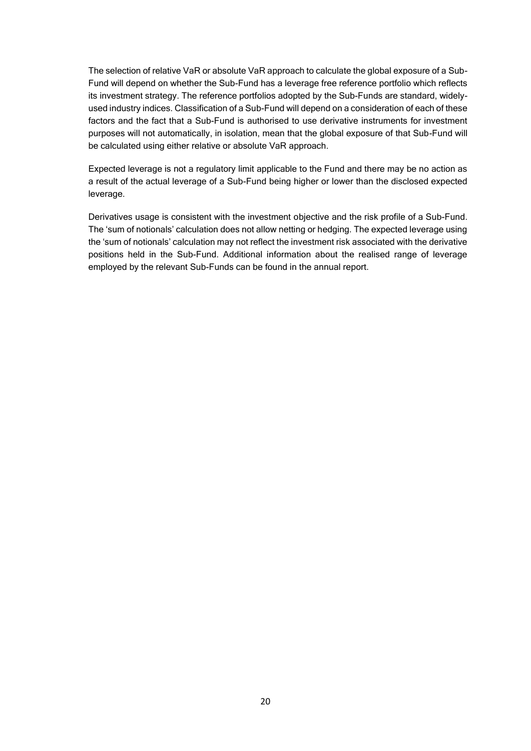The selection of relative VaR or absolute VaR approach to calculate the global exposure of a Sub-Fund will depend on whether the Sub-Fund has a leverage free reference portfolio which reflects its investment strategy. The reference portfolios adopted by the Sub-Funds are standard, widelyused industry indices. Classification of a Sub-Fund will depend on a consideration of each of these factors and the fact that a Sub-Fund is authorised to use derivative instruments for investment purposes will not automatically, in isolation, mean that the global exposure of that Sub-Fund will be calculated using either relative or absolute VaR approach.

Expected leverage is not a regulatory limit applicable to the Fund and there may be no action as a result of the actual leverage of a Sub-Fund being higher or lower than the disclosed expected leverage.

Derivatives usage is consistent with the investment objective and the risk profile of a Sub-Fund. The 'sum of notionals' calculation does not allow netting or hedging. The expected leverage using the 'sum of notionals' calculation may not reflect the investment risk associated with the derivative positions held in the Sub-Fund. Additional information about the realised range of leverage employed by the relevant Sub-Funds can be found in the annual report.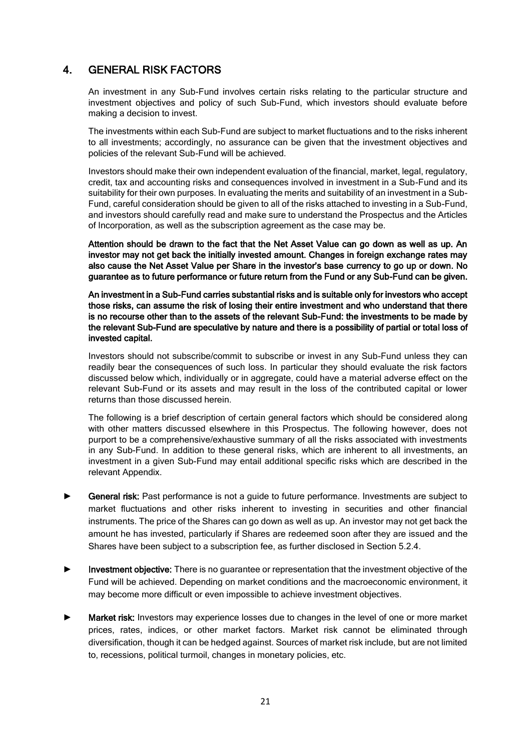# <span id="page-26-0"></span>4. GENERAL RISK FACTORS

An investment in any Sub-Fund involves certain risks relating to the particular structure and investment objectives and policy of such Sub-Fund, which investors should evaluate before making a decision to invest.

The investments within each Sub-Fund are subject to market fluctuations and to the risks inherent to all investments; accordingly, no assurance can be given that the investment objectives and policies of the relevant Sub-Fund will be achieved.

Investors should make their own independent evaluation of the financial, market, legal, regulatory, credit, tax and accounting risks and consequences involved in investment in a Sub-Fund and its suitability for their own purposes. In evaluating the merits and suitability of an investment in a Sub-Fund, careful consideration should be given to all of the risks attached to investing in a Sub-Fund, and investors should carefully read and make sure to understand the Prospectus and the Articles of Incorporation, as well as the subscription agreement as the case may be.

Attention should be drawn to the fact that the Net Asset Value can go down as well as up. An investor may not get back the initially invested amount. Changes in foreign exchange rates may also cause the Net Asset Value per Share in the investor's base currency to go up or down. No guarantee as to future performance or future return from the Fund or any Sub-Fund can be given.

An investment in a Sub-Fund carries substantial risks and is suitable only for investors who accept those risks, can assume the risk of losing their entire investment and who understand that there is no recourse other than to the assets of the relevant Sub-Fund: the investments to be made by the relevant Sub-Fund are speculative by nature and there is a possibility of partial or total loss of invested capital.

Investors should not subscribe/commit to subscribe or invest in any Sub-Fund unless they can readily bear the consequences of such loss. In particular they should evaluate the risk factors discussed below which, individually or in aggregate, could have a material adverse effect on the relevant Sub-Fund or its assets and may result in the loss of the contributed capital or lower returns than those discussed herein.

The following is a brief description of certain general factors which should be considered along with other matters discussed elsewhere in this Prospectus. The following however, does not purport to be a comprehensive/exhaustive summary of all the risks associated with investments in any Sub-Fund. In addition to these general risks, which are inherent to all investments, an investment in a given Sub-Fund may entail additional specific risks which are described in the relevant Appendix.

- ► General risk: Past performance is not a guide to future performance. Investments are subject to market fluctuations and other risks inherent to investing in securities and other financial instruments. The price of the Shares can go down as well as up. An investor may not get back the amount he has invested, particularly if Shares are redeemed soon after they are issued and the Shares have been subject to a subscription fee, as further disclosed in Section 5.2.4.
- ► Investment objective: There is no guarantee or representation that the investment objective of the Fund will be achieved. Depending on market conditions and the macroeconomic environment, it may become more difficult or even impossible to achieve investment objectives.
- Market risk: Investors may experience losses due to changes in the level of one or more market prices, rates, indices, or other market factors. Market risk cannot be eliminated through diversification, though it can be hedged against. Sources of market risk include, but are not limited to, recessions, political turmoil, changes in monetary policies, etc.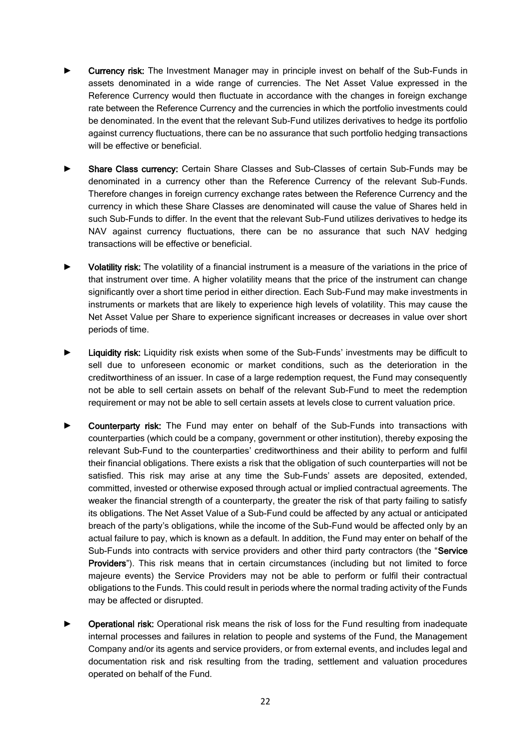- Currency risk: The Investment Manager may in principle invest on behalf of the Sub-Funds in assets denominated in a wide range of currencies. The Net Asset Value expressed in the Reference Currency would then fluctuate in accordance with the changes in foreign exchange rate between the Reference Currency and the currencies in which the portfolio investments could be denominated. In the event that the relevant Sub-Fund utilizes derivatives to hedge its portfolio against currency fluctuations, there can be no assurance that such portfolio hedging transactions will be effective or beneficial.
- Share Class currency: Certain Share Classes and Sub-Classes of certain Sub-Funds may be denominated in a currency other than the Reference Currency of the relevant Sub-Funds. Therefore changes in foreign currency exchange rates between the Reference Currency and the currency in which these Share Classes are denominated will cause the value of Shares held in such Sub-Funds to differ. In the event that the relevant Sub-Fund utilizes derivatives to hedge its NAV against currency fluctuations, there can be no assurance that such NAV hedging transactions will be effective or beneficial.
- Volatility risk: The volatility of a financial instrument is a measure of the variations in the price of that instrument over time. A higher volatility means that the price of the instrument can change significantly over a short time period in either direction. Each Sub-Fund may make investments in instruments or markets that are likely to experience high levels of volatility. This may cause the Net Asset Value per Share to experience significant increases or decreases in value over short periods of time.
- Liquidity risk: Liquidity risk exists when some of the Sub-Funds' investments may be difficult to sell due to unforeseen economic or market conditions, such as the deterioration in the creditworthiness of an issuer. In case of a large redemption request, the Fund may consequently not be able to sell certain assets on behalf of the relevant Sub-Fund to meet the redemption requirement or may not be able to sell certain assets at levels close to current valuation price.
- Counterparty risk: The Fund may enter on behalf of the Sub-Funds into transactions with counterparties (which could be a company, government or other institution), thereby exposing the relevant Sub-Fund to the counterparties' creditworthiness and their ability to perform and fulfil their financial obligations. There exists a risk that the obligation of such counterparties will not be satisfied. This risk may arise at any time the Sub-Funds' assets are deposited, extended, committed, invested or otherwise exposed through actual or implied contractual agreements. The weaker the financial strength of a counterparty, the greater the risk of that party failing to satisfy its obligations. The Net Asset Value of a Sub-Fund could be affected by any actual or anticipated breach of the party's obligations, while the income of the Sub-Fund would be affected only by an actual failure to pay, which is known as a default. In addition, the Fund may enter on behalf of the Sub-Funds into contracts with service providers and other third party contractors (the "Service Providers"). This risk means that in certain circumstances (including but not limited to force majeure events) the Service Providers may not be able to perform or fulfil their contractual obligations to the Funds. This could result in periods where the normal trading activity of the Funds may be affected or disrupted.
- Operational risk: Operational risk means the risk of loss for the Fund resulting from inadequate internal processes and failures in relation to people and systems of the Fund, the Management Company and/or its agents and service providers, or from external events, and includes legal and documentation risk and risk resulting from the trading, settlement and valuation procedures operated on behalf of the Fund.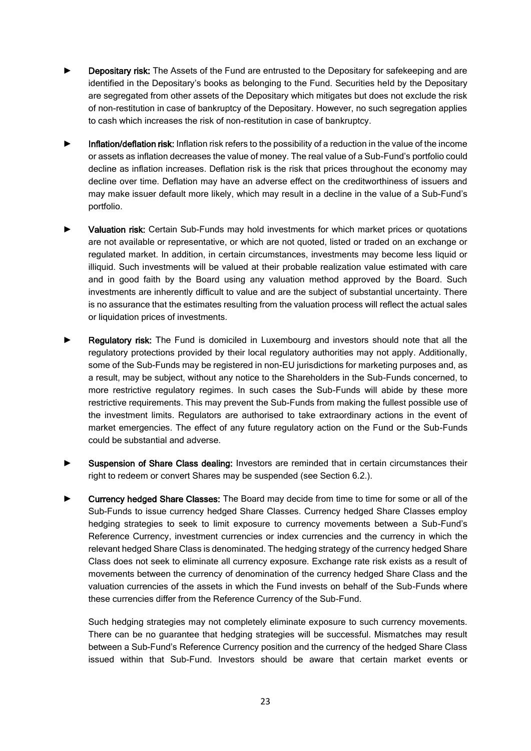- Depositary risk: The Assets of the Fund are entrusted to the Depositary for safekeeping and are identified in the Depositary's books as belonging to the Fund. Securities held by the Depositary are segregated from other assets of the Depositary which mitigates but does not exclude the risk of non-restitution in case of bankruptcy of the Depositary. However, no such segregation applies to cash which increases the risk of non-restitution in case of bankruptcy.
- Inflation/deflation risk: Inflation risk refers to the possibility of a reduction in the value of the income or assets as inflation decreases the value of money. The real value of a Sub-Fund's portfolio could decline as inflation increases. Deflation risk is the risk that prices throughout the economy may decline over time. Deflation may have an adverse effect on the creditworthiness of issuers and may make issuer default more likely, which may result in a decline in the value of a Sub-Fund's portfolio.
- Valuation risk: Certain Sub-Funds may hold investments for which market prices or quotations are not available or representative, or which are not quoted, listed or traded on an exchange or regulated market. In addition, in certain circumstances, investments may become less liquid or illiquid. Such investments will be valued at their probable realization value estimated with care and in good faith by the Board using any valuation method approved by the Board. Such investments are inherently difficult to value and are the subject of substantial uncertainty. There is no assurance that the estimates resulting from the valuation process will reflect the actual sales or liquidation prices of investments.
- **Regulatory risk:** The Fund is domiciled in Luxembourg and investors should note that all the regulatory protections provided by their local regulatory authorities may not apply. Additionally, some of the Sub-Funds may be registered in non-EU jurisdictions for marketing purposes and, as a result, may be subject, without any notice to the Shareholders in the Sub-Funds concerned, to more restrictive regulatory regimes. In such cases the Sub-Funds will abide by these more restrictive requirements. This may prevent the Sub-Funds from making the fullest possible use of the investment limits. Regulators are authorised to take extraordinary actions in the event of market emergencies. The effect of any future regulatory action on the Fund or the Sub-Funds could be substantial and adverse.
- Suspension of Share Class dealing: Investors are reminded that in certain circumstances their right to redeem or convert Shares may be suspended (see Section 6.2.).
- Currency hedged Share Classes: The Board may decide from time to time for some or all of the Sub-Funds to issue currency hedged Share Classes. Currency hedged Share Classes employ hedging strategies to seek to limit exposure to currency movements between a Sub-Fund's Reference Currency, investment currencies or index currencies and the currency in which the relevant hedged Share Class is denominated. The hedging strategy of the currency hedged Share Class does not seek to eliminate all currency exposure. Exchange rate risk exists as a result of movements between the currency of denomination of the currency hedged Share Class and the valuation currencies of the assets in which the Fund invests on behalf of the Sub-Funds where these currencies differ from the Reference Currency of the Sub-Fund.

Such hedging strategies may not completely eliminate exposure to such currency movements. There can be no guarantee that hedging strategies will be successful. Mismatches may result between a Sub-Fund's Reference Currency position and the currency of the hedged Share Class issued within that Sub-Fund. Investors should be aware that certain market events or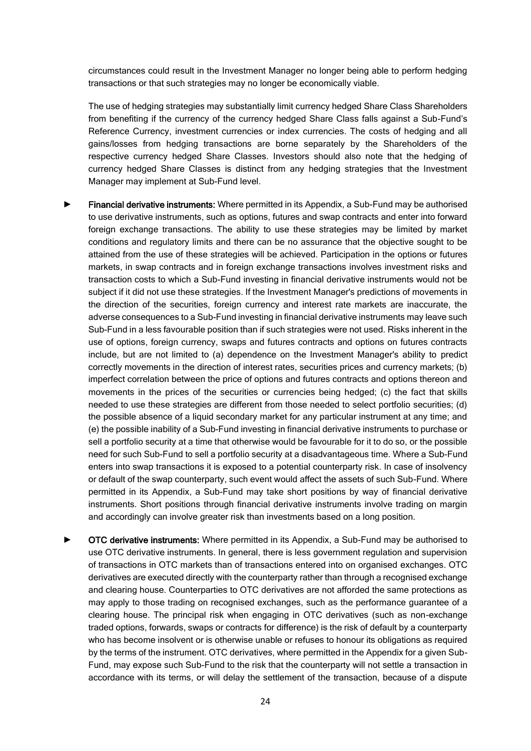circumstances could result in the Investment Manager no longer being able to perform hedging transactions or that such strategies may no longer be economically viable.

The use of hedging strategies may substantially limit currency hedged Share Class Shareholders from benefiting if the currency of the currency hedged Share Class falls against a Sub-Fund's Reference Currency, investment currencies or index currencies. The costs of hedging and all gains/losses from hedging transactions are borne separately by the Shareholders of the respective currency hedged Share Classes. Investors should also note that the hedging of currency hedged Share Classes is distinct from any hedging strategies that the Investment Manager may implement at Sub-Fund level.

- Financial derivative instruments: Where permitted in its Appendix, a Sub-Fund may be authorised to use derivative instruments, such as options, futures and swap contracts and enter into forward foreign exchange transactions. The ability to use these strategies may be limited by market conditions and regulatory limits and there can be no assurance that the objective sought to be attained from the use of these strategies will be achieved. Participation in the options or futures markets, in swap contracts and in foreign exchange transactions involves investment risks and transaction costs to which a Sub-Fund investing in financial derivative instruments would not be subject if it did not use these strategies. If the Investment Manager's predictions of movements in the direction of the securities, foreign currency and interest rate markets are inaccurate, the adverse consequences to a Sub-Fund investing in financial derivative instruments may leave such Sub-Fund in a less favourable position than if such strategies were not used. Risks inherent in the use of options, foreign currency, swaps and futures contracts and options on futures contracts include, but are not limited to (a) dependence on the Investment Manager's ability to predict correctly movements in the direction of interest rates, securities prices and currency markets; (b) imperfect correlation between the price of options and futures contracts and options thereon and movements in the prices of the securities or currencies being hedged; (c) the fact that skills needed to use these strategies are different from those needed to select portfolio securities; (d) the possible absence of a liquid secondary market for any particular instrument at any time; and (e) the possible inability of a Sub-Fund investing in financial derivative instruments to purchase or sell a portfolio security at a time that otherwise would be favourable for it to do so, or the possible need for such Sub-Fund to sell a portfolio security at a disadvantageous time. Where a Sub-Fund enters into swap transactions it is exposed to a potential counterparty risk. In case of insolvency or default of the swap counterparty, such event would affect the assets of such Sub-Fund. Where permitted in its Appendix, a Sub-Fund may take short positions by way of financial derivative instruments. Short positions through financial derivative instruments involve trading on margin and accordingly can involve greater risk than investments based on a long position.
- **OTC derivative instruments:** Where permitted in its Appendix, a Sub-Fund may be authorised to use OTC derivative instruments. In general, there is less government regulation and supervision of transactions in OTC markets than of transactions entered into on organised exchanges. OTC derivatives are executed directly with the counterparty rather than through a recognised exchange and clearing house. Counterparties to OTC derivatives are not afforded the same protections as may apply to those trading on recognised exchanges, such as the performance guarantee of a clearing house. The principal risk when engaging in OTC derivatives (such as non-exchange traded options, forwards, swaps or contracts for difference) is the risk of default by a counterparty who has become insolvent or is otherwise unable or refuses to honour its obligations as required by the terms of the instrument. OTC derivatives, where permitted in the Appendix for a given Sub-Fund, may expose such Sub-Fund to the risk that the counterparty will not settle a transaction in accordance with its terms, or will delay the settlement of the transaction, because of a dispute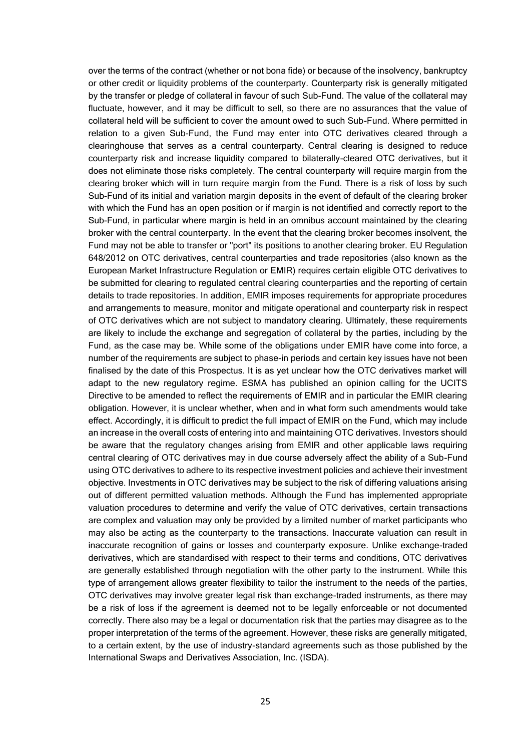over the terms of the contract (whether or not bona fide) or because of the insolvency, bankruptcy or other credit or liquidity problems of the counterparty. Counterparty risk is generally mitigated by the transfer or pledge of collateral in favour of such Sub-Fund. The value of the collateral may fluctuate, however, and it may be difficult to sell, so there are no assurances that the value of collateral held will be sufficient to cover the amount owed to such Sub-Fund. Where permitted in relation to a given Sub-Fund, the Fund may enter into OTC derivatives cleared through a clearinghouse that serves as a central counterparty. Central clearing is designed to reduce counterparty risk and increase liquidity compared to bilaterally-cleared OTC derivatives, but it does not eliminate those risks completely. The central counterparty will require margin from the clearing broker which will in turn require margin from the Fund. There is a risk of loss by such Sub-Fund of its initial and variation margin deposits in the event of default of the clearing broker with which the Fund has an open position or if margin is not identified and correctly report to the Sub-Fund, in particular where margin is held in an omnibus account maintained by the clearing broker with the central counterparty. In the event that the clearing broker becomes insolvent, the Fund may not be able to transfer or "port" its positions to another clearing broker. EU Regulation 648/2012 on OTC derivatives, central counterparties and trade repositories (also known as the European Market Infrastructure Regulation or EMIR) requires certain eligible OTC derivatives to be submitted for clearing to regulated central clearing counterparties and the reporting of certain details to trade repositories. In addition, EMIR imposes requirements for appropriate procedures and arrangements to measure, monitor and mitigate operational and counterparty risk in respect of OTC derivatives which are not subject to mandatory clearing. Ultimately, these requirements are likely to include the exchange and segregation of collateral by the parties, including by the Fund, as the case may be. While some of the obligations under EMIR have come into force, a number of the requirements are subject to phase-in periods and certain key issues have not been finalised by the date of this Prospectus. It is as yet unclear how the OTC derivatives market will adapt to the new regulatory regime. ESMA has published an opinion calling for the UCITS Directive to be amended to reflect the requirements of EMIR and in particular the EMIR clearing obligation. However, it is unclear whether, when and in what form such amendments would take effect. Accordingly, it is difficult to predict the full impact of EMIR on the Fund, which may include an increase in the overall costs of entering into and maintaining OTC derivatives. Investors should be aware that the regulatory changes arising from EMIR and other applicable laws requiring central clearing of OTC derivatives may in due course adversely affect the ability of a Sub-Fund using OTC derivatives to adhere to its respective investment policies and achieve their investment objective. Investments in OTC derivatives may be subject to the risk of differing valuations arising out of different permitted valuation methods. Although the Fund has implemented appropriate valuation procedures to determine and verify the value of OTC derivatives, certain transactions are complex and valuation may only be provided by a limited number of market participants who may also be acting as the counterparty to the transactions. Inaccurate valuation can result in inaccurate recognition of gains or losses and counterparty exposure. Unlike exchange-traded derivatives, which are standardised with respect to their terms and conditions, OTC derivatives are generally established through negotiation with the other party to the instrument. While this type of arrangement allows greater flexibility to tailor the instrument to the needs of the parties, OTC derivatives may involve greater legal risk than exchange-traded instruments, as there may be a risk of loss if the agreement is deemed not to be legally enforceable or not documented correctly. There also may be a legal or documentation risk that the parties may disagree as to the proper interpretation of the terms of the agreement. However, these risks are generally mitigated, to a certain extent, by the use of industry-standard agreements such as those published by the International Swaps and Derivatives Association, Inc. (ISDA).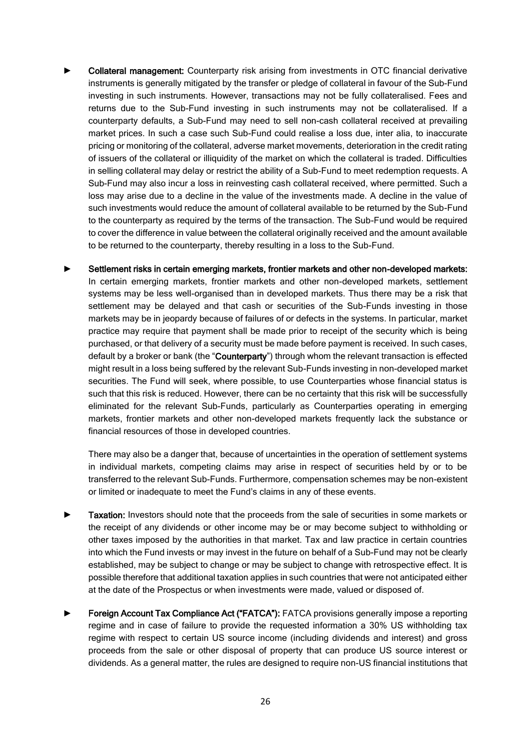- Collateral management: Counterparty risk arising from investments in OTC financial derivative instruments is generally mitigated by the transfer or pledge of collateral in favour of the Sub-Fund investing in such instruments. However, transactions may not be fully collateralised. Fees and returns due to the Sub-Fund investing in such instruments may not be collateralised. If a counterparty defaults, a Sub-Fund may need to sell non-cash collateral received at prevailing market prices. In such a case such Sub-Fund could realise a loss due, inter alia, to inaccurate pricing or monitoring of the collateral, adverse market movements, deterioration in the credit rating of issuers of the collateral or illiquidity of the market on which the collateral is traded. Difficulties in selling collateral may delay or restrict the ability of a Sub-Fund to meet redemption requests. A Sub-Fund may also incur a loss in reinvesting cash collateral received, where permitted. Such a loss may arise due to a decline in the value of the investments made. A decline in the value of such investments would reduce the amount of collateral available to be returned by the Sub-Fund to the counterparty as required by the terms of the transaction. The Sub-Fund would be required to cover the difference in value between the collateral originally received and the amount available to be returned to the counterparty, thereby resulting in a loss to the Sub-Fund.
- Settlement risks in certain emerging markets, frontier markets and other non-developed markets: In certain emerging markets, frontier markets and other non-developed markets, settlement systems may be less well-organised than in developed markets. Thus there may be a risk that settlement may be delayed and that cash or securities of the Sub-Funds investing in those markets may be in jeopardy because of failures of or defects in the systems. In particular, market practice may require that payment shall be made prior to receipt of the security which is being purchased, or that delivery of a security must be made before payment is received. In such cases, default by a broker or bank (the "Counterparty") through whom the relevant transaction is effected might result in a loss being suffered by the relevant Sub-Funds investing in non-developed market securities. The Fund will seek, where possible, to use Counterparties whose financial status is such that this risk is reduced. However, there can be no certainty that this risk will be successfully eliminated for the relevant Sub-Funds, particularly as Counterparties operating in emerging markets, frontier markets and other non-developed markets frequently lack the substance or financial resources of those in developed countries.

There may also be a danger that, because of uncertainties in the operation of settlement systems in individual markets, competing claims may arise in respect of securities held by or to be transferred to the relevant Sub-Funds. Furthermore, compensation schemes may be non-existent or limited or inadequate to meet the Fund's claims in any of these events.

- Taxation: Investors should note that the proceeds from the sale of securities in some markets or the receipt of any dividends or other income may be or may become subject to withholding or other taxes imposed by the authorities in that market. Tax and law practice in certain countries into which the Fund invests or may invest in the future on behalf of a Sub-Fund may not be clearly established, may be subject to change or may be subject to change with retrospective effect. It is possible therefore that additional taxation applies in such countries that were not anticipated either at the date of the Prospectus or when investments were made, valued or disposed of.
- Foreign Account Tax Compliance Act ("FATCA"): FATCA provisions generally impose a reporting regime and in case of failure to provide the requested information a 30% US withholding tax regime with respect to certain US source income (including dividends and interest) and gross proceeds from the sale or other disposal of property that can produce US source interest or dividends. As a general matter, the rules are designed to require non-US financial institutions that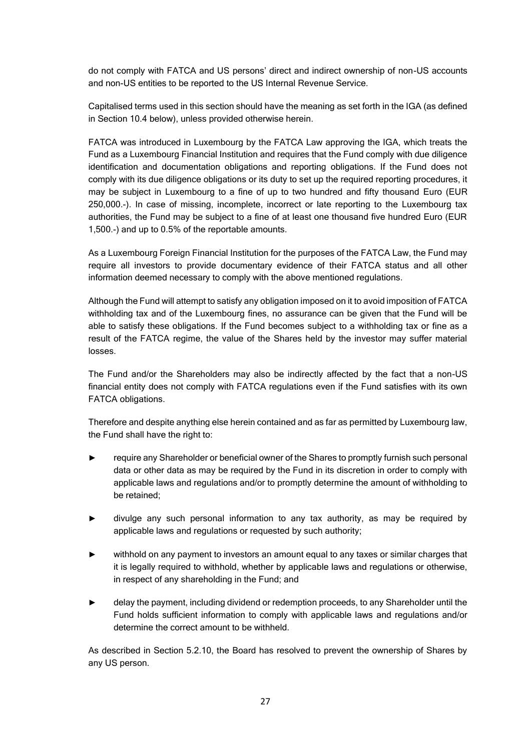do not comply with FATCA and US persons' direct and indirect ownership of non-US accounts and non-US entities to be reported to the US Internal Revenue Service.

Capitalised terms used in this section should have the meaning as set forth in the IGA (as defined in Section 10.4 below), unless provided otherwise herein.

FATCA was introduced in Luxembourg by the FATCA Law approving the IGA, which treats the Fund as a Luxembourg Financial Institution and requires that the Fund comply with due diligence identification and documentation obligations and reporting obligations. If the Fund does not comply with its due diligence obligations or its duty to set up the required reporting procedures, it may be subject in Luxembourg to a fine of up to two hundred and fifty thousand Euro (EUR 250,000.-). In case of missing, incomplete, incorrect or late reporting to the Luxembourg tax authorities, the Fund may be subject to a fine of at least one thousand five hundred Euro (EUR 1,500.-) and up to 0.5% of the reportable amounts.

As a Luxembourg Foreign Financial Institution for the purposes of the FATCA Law, the Fund may require all investors to provide documentary evidence of their FATCA status and all other information deemed necessary to comply with the above mentioned regulations.

Although the Fund will attempt to satisfy any obligation imposed on it to avoid imposition of FATCA withholding tax and of the Luxembourg fines, no assurance can be given that the Fund will be able to satisfy these obligations. If the Fund becomes subject to a withholding tax or fine as a result of the FATCA regime, the value of the Shares held by the investor may suffer material losses.

The Fund and/or the Shareholders may also be indirectly affected by the fact that a non-US financial entity does not comply with FATCA regulations even if the Fund satisfies with its own FATCA obligations.

Therefore and despite anything else herein contained and as far as permitted by Luxembourg law, the Fund shall have the right to:

- require any Shareholder or beneficial owner of the Shares to promptly furnish such personal data or other data as may be required by the Fund in its discretion in order to comply with applicable laws and regulations and/or to promptly determine the amount of withholding to be retained;
- divulge any such personal information to any tax authority, as may be required by applicable laws and regulations or requested by such authority;
- withhold on any payment to investors an amount equal to any taxes or similar charges that it is legally required to withhold, whether by applicable laws and regulations or otherwise, in respect of any shareholding in the Fund; and
- delay the payment, including dividend or redemption proceeds, to any Shareholder until the Fund holds sufficient information to comply with applicable laws and regulations and/or determine the correct amount to be withheld.

As described in Section 5.2.10, the Board has resolved to prevent the ownership of Shares by any US person.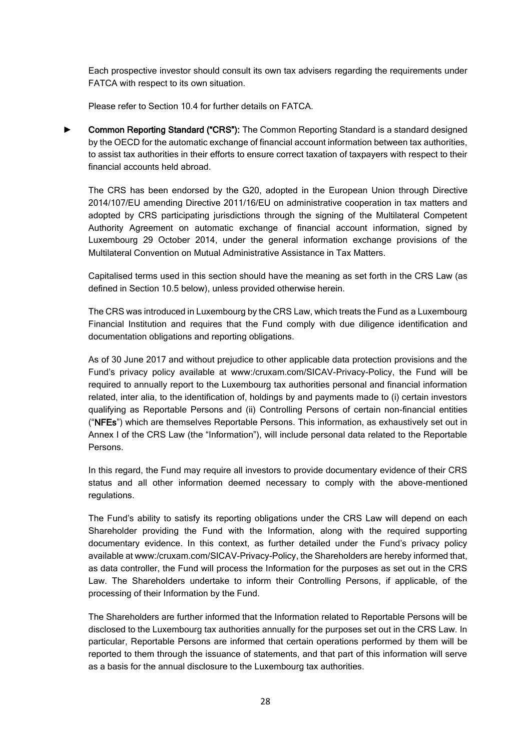Each prospective investor should consult its own tax advisers regarding the requirements under FATCA with respect to its own situation.

Please refer to Section 10.4 for further details on FATCA.

Common Reporting Standard ("CRS"): The Common Reporting Standard is a standard designed by the OECD for the automatic exchange of financial account information between tax authorities, to assist tax authorities in their efforts to ensure correct taxation of taxpayers with respect to their financial accounts held abroad.

The CRS has been endorsed by the G20, adopted in the European Union through Directive 2014/107/EU amending Directive 2011/16/EU on administrative cooperation in tax matters and adopted by CRS participating jurisdictions through the signing of the Multilateral Competent Authority Agreement on automatic exchange of financial account information, signed by Luxembourg 29 October 2014, under the general information exchange provisions of the Multilateral Convention on Mutual Administrative Assistance in Tax Matters.

Capitalised terms used in this section should have the meaning as set forth in the CRS Law (as defined in Section 10.5 below), unless provided otherwise herein.

The CRS was introduced in Luxembourg by the CRS Law, which treats the Fund as a Luxembourg Financial Institution and requires that the Fund comply with due diligence identification and documentation obligations and reporting obligations.

As of 30 June 2017 and without prejudice to other applicable data protection provisions and the Fund's privacy policy available at www:/cruxam.com/SICAV-Privacy-Policy, the Fund will be required to annually report to the Luxembourg tax authorities personal and financial information related, inter alia, to the identification of, holdings by and payments made to (i) certain investors qualifying as Reportable Persons and (ii) Controlling Persons of certain non-financial entities ("NFEs") which are themselves Reportable Persons. This information, as exhaustively set out in Annex I of the CRS Law (the "Information"), will include personal data related to the Reportable Persons.

In this regard, the Fund may require all investors to provide documentary evidence of their CRS status and all other information deemed necessary to comply with the above-mentioned regulations.

The Fund's ability to satisfy its reporting obligations under the CRS Law will depend on each Shareholder providing the Fund with the Information, along with the required supporting documentary evidence. In this context, as further detailed under the Fund's privacy policy available at www:/cruxam.com/SICAV-Privacy-Policy, the Shareholders are hereby informed that, as data controller, the Fund will process the Information for the purposes as set out in the CRS Law. The Shareholders undertake to inform their Controlling Persons, if applicable, of the processing of their Information by the Fund.

The Shareholders are further informed that the Information related to Reportable Persons will be disclosed to the Luxembourg tax authorities annually for the purposes set out in the CRS Law. In particular, Reportable Persons are informed that certain operations performed by them will be reported to them through the issuance of statements, and that part of this information will serve as a basis for the annual disclosure to the Luxembourg tax authorities.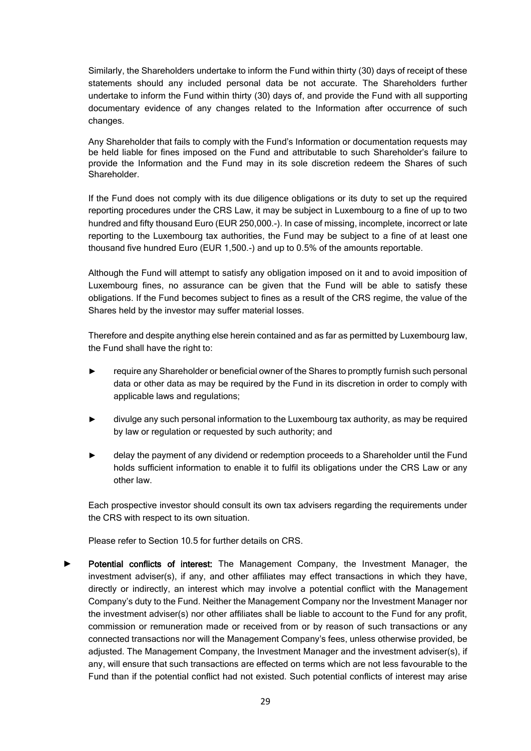Similarly, the Shareholders undertake to inform the Fund within thirty (30) days of receipt of these statements should any included personal data be not accurate. The Shareholders further undertake to inform the Fund within thirty (30) days of, and provide the Fund with all supporting documentary evidence of any changes related to the Information after occurrence of such changes.

Any Shareholder that fails to comply with the Fund's Information or documentation requests may be held liable for fines imposed on the Fund and attributable to such Shareholder's failure to provide the Information and the Fund may in its sole discretion redeem the Shares of such Shareholder.

If the Fund does not comply with its due diligence obligations or its duty to set up the required reporting procedures under the CRS Law, it may be subject in Luxembourg to a fine of up to two hundred and fifty thousand Euro (EUR 250,000.-). In case of missing, incomplete, incorrect or late reporting to the Luxembourg tax authorities, the Fund may be subject to a fine of at least one thousand five hundred Euro (EUR 1,500.-) and up to 0.5% of the amounts reportable.

Although the Fund will attempt to satisfy any obligation imposed on it and to avoid imposition of Luxembourg fines, no assurance can be given that the Fund will be able to satisfy these obligations. If the Fund becomes subject to fines as a result of the CRS regime, the value of the Shares held by the investor may suffer material losses.

Therefore and despite anything else herein contained and as far as permitted by Luxembourg law, the Fund shall have the right to:

- require any Shareholder or beneficial owner of the Shares to promptly furnish such personal data or other data as may be required by the Fund in its discretion in order to comply with applicable laws and regulations;
- divulge any such personal information to the Luxembourg tax authority, as may be required by law or regulation or requested by such authority; and
- delay the payment of any dividend or redemption proceeds to a Shareholder until the Fund holds sufficient information to enable it to fulfil its obligations under the CRS Law or any other law.

Each prospective investor should consult its own tax advisers regarding the requirements under the CRS with respect to its own situation.

Please refer to Section 10.5 for further details on CRS.

Potential conflicts of interest: The Management Company, the Investment Manager, the investment adviser(s), if any, and other affiliates may effect transactions in which they have, directly or indirectly, an interest which may involve a potential conflict with the Management Company's duty to the Fund. Neither the Management Company nor the Investment Manager nor the investment adviser(s) nor other affiliates shall be liable to account to the Fund for any profit, commission or remuneration made or received from or by reason of such transactions or any connected transactions nor will the Management Company's fees, unless otherwise provided, be adjusted. The Management Company, the Investment Manager and the investment adviser(s), if any, will ensure that such transactions are effected on terms which are not less favourable to the Fund than if the potential conflict had not existed. Such potential conflicts of interest may arise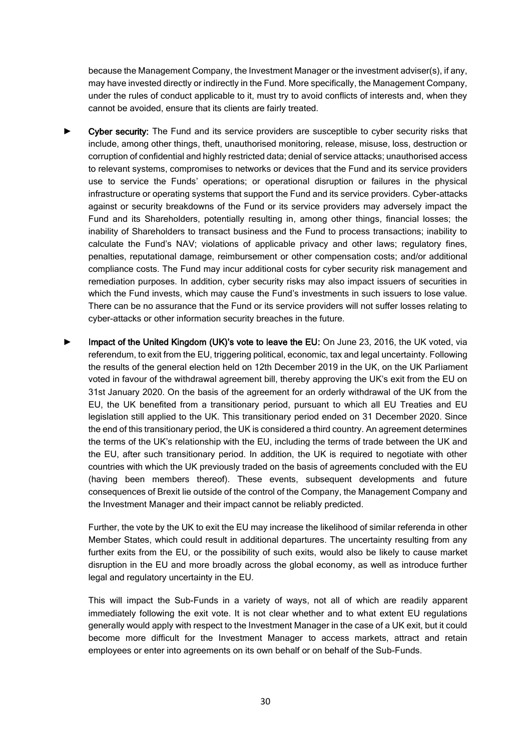because the Management Company, the Investment Manager or the investment adviser(s), if any, may have invested directly or indirectly in the Fund. More specifically, the Management Company, under the rules of conduct applicable to it, must try to avoid conflicts of interests and, when they cannot be avoided, ensure that its clients are fairly treated.

- Cyber security: The Fund and its service providers are susceptible to cyber security risks that include, among other things, theft, unauthorised monitoring, release, misuse, loss, destruction or corruption of confidential and highly restricted data; denial of service attacks; unauthorised access to relevant systems, compromises to networks or devices that the Fund and its service providers use to service the Funds' operations; or operational disruption or failures in the physical infrastructure or operating systems that support the Fund and its service providers. Cyber-attacks against or security breakdowns of the Fund or its service providers may adversely impact the Fund and its Shareholders, potentially resulting in, among other things, financial losses; the inability of Shareholders to transact business and the Fund to process transactions; inability to calculate the Fund's NAV; violations of applicable privacy and other laws; regulatory fines, penalties, reputational damage, reimbursement or other compensation costs; and/or additional compliance costs. The Fund may incur additional costs for cyber security risk management and remediation purposes. In addition, cyber security risks may also impact issuers of securities in which the Fund invests, which may cause the Fund's investments in such issuers to lose value. There can be no assurance that the Fund or its service providers will not suffer losses relating to cyber-attacks or other information security breaches in the future.
- Impact of the United Kingdom (UK)'s vote to leave the EU: On June 23, 2016, the UK voted, via referendum, to exit from the EU, triggering political, economic, tax and legal uncertainty. Following the results of the general election held on 12th December 2019 in the UK, on the UK Parliament voted in favour of the withdrawal agreement bill, thereby approving the UK's exit from the EU on 31st January 2020. On the basis of the agreement for an orderly withdrawal of the UK from the EU, the UK benefited from a transitionary period, pursuant to which all EU Treaties and EU legislation still applied to the UK. This transitionary period ended on 31 December 2020. Since the end of this transitionary period, the UK is considered a third country. An agreement determines the terms of the UK's relationship with the EU, including the terms of trade between the UK and the EU, after such transitionary period. In addition, the UK is required to negotiate with other countries with which the UK previously traded on the basis of agreements concluded with the EU (having been members thereof). These events, subsequent developments and future consequences of Brexit lie outside of the control of the Company, the Management Company and the Investment Manager and their impact cannot be reliably predicted.

Further, the vote by the UK to exit the EU may increase the likelihood of similar referenda in other Member States, which could result in additional departures. The uncertainty resulting from any further exits from the EU, or the possibility of such exits, would also be likely to cause market disruption in the EU and more broadly across the global economy, as well as introduce further legal and regulatory uncertainty in the EU.

This will impact the Sub-Funds in a variety of ways, not all of which are readily apparent immediately following the exit vote. It is not clear whether and to what extent EU regulations generally would apply with respect to the Investment Manager in the case of a UK exit, but it could become more difficult for the Investment Manager to access markets, attract and retain employees or enter into agreements on its own behalf or on behalf of the Sub-Funds.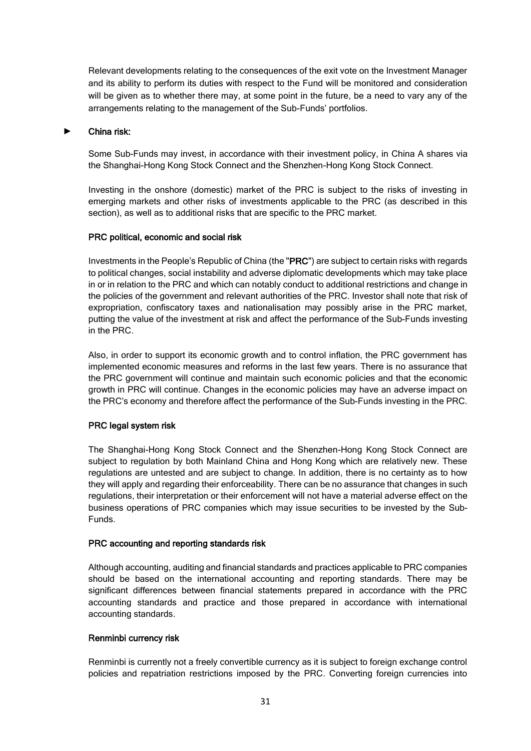Relevant developments relating to the consequences of the exit vote on the Investment Manager and its ability to perform its duties with respect to the Fund will be monitored and consideration will be given as to whether there may, at some point in the future, be a need to vary any of the arrangements relating to the management of the Sub-Funds' portfolios.

#### ► China risk:

Some Sub-Funds may invest, in accordance with their investment policy, in China A shares via the Shanghai-Hong Kong Stock Connect and the Shenzhen-Hong Kong Stock Connect.

Investing in the onshore (domestic) market of the PRC is subject to the risks of investing in emerging markets and other risks of investments applicable to the PRC (as described in this section), as well as to additional risks that are specific to the PRC market.

#### PRC political, economic and social risk

Investments in the People's Republic of China (the "PRC") are subject to certain risks with regards to political changes, social instability and adverse diplomatic developments which may take place in or in relation to the PRC and which can notably conduct to additional restrictions and change in the policies of the government and relevant authorities of the PRC. Investor shall note that risk of expropriation, confiscatory taxes and nationalisation may possibly arise in the PRC market, putting the value of the investment at risk and affect the performance of the Sub-Funds investing in the PRC.

Also, in order to support its economic growth and to control inflation, the PRC government has implemented economic measures and reforms in the last few years. There is no assurance that the PRC government will continue and maintain such economic policies and that the economic growth in PRC will continue. Changes in the economic policies may have an adverse impact on the PRC's economy and therefore affect the performance of the Sub-Funds investing in the PRC.

### PRC legal system risk

The Shanghai-Hong Kong Stock Connect and the Shenzhen-Hong Kong Stock Connect are subject to regulation by both Mainland China and Hong Kong which are relatively new. These regulations are untested and are subject to change. In addition, there is no certainty as to how they will apply and regarding their enforceability. There can be no assurance that changes in such regulations, their interpretation or their enforcement will not have a material adverse effect on the business operations of PRC companies which may issue securities to be invested by the Sub-Funds.

#### PRC accounting and reporting standards risk

Although accounting, auditing and financial standards and practices applicable to PRC companies should be based on the international accounting and reporting standards. There may be significant differences between financial statements prepared in accordance with the PRC accounting standards and practice and those prepared in accordance with international accounting standards.

### Renminbi currency risk

Renminbi is currently not a freely convertible currency as it is subject to foreign exchange control policies and repatriation restrictions imposed by the PRC. Converting foreign currencies into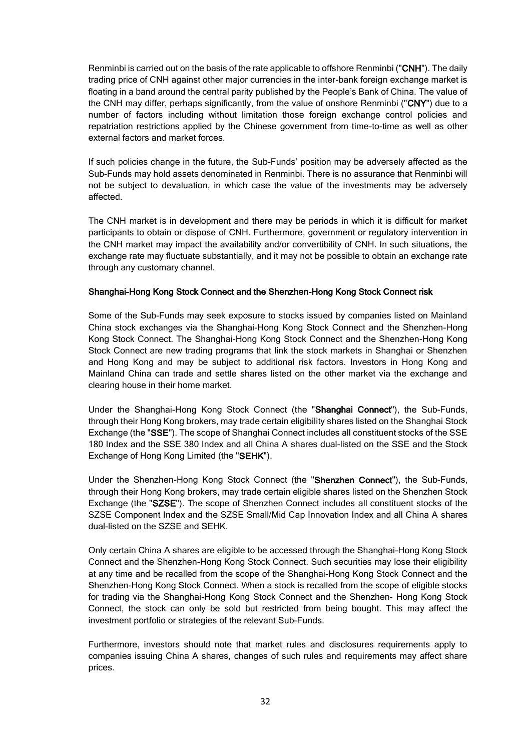Renminbi is carried out on the basis of the rate applicable to offshore Renminbi ("CNH"). The daily trading price of CNH against other major currencies in the inter-bank foreign exchange market is floating in a band around the central parity published by the People's Bank of China. The value of the CNH may differ, perhaps significantly, from the value of onshore Renminbi ("CNY") due to a number of factors including without limitation those foreign exchange control policies and repatriation restrictions applied by the Chinese government from time-to-time as well as other external factors and market forces.

If such policies change in the future, the Sub-Funds' position may be adversely affected as the Sub-Funds may hold assets denominated in Renminbi. There is no assurance that Renminbi will not be subject to devaluation, in which case the value of the investments may be adversely affected.

The CNH market is in development and there may be periods in which it is difficult for market participants to obtain or dispose of CNH. Furthermore, government or regulatory intervention in the CNH market may impact the availability and/or convertibility of CNH. In such situations, the exchange rate may fluctuate substantially, and it may not be possible to obtain an exchange rate through any customary channel.

### Shanghai-Hong Kong Stock Connect and the Shenzhen-Hong Kong Stock Connect risk

Some of the Sub-Funds may seek exposure to stocks issued by companies listed on Mainland China stock exchanges via the Shanghai-Hong Kong Stock Connect and the Shenzhen-Hong Kong Stock Connect. The Shanghai-Hong Kong Stock Connect and the Shenzhen-Hong Kong Stock Connect are new trading programs that link the stock markets in Shanghai or Shenzhen and Hong Kong and may be subject to additional risk factors. Investors in Hong Kong and Mainland China can trade and settle shares listed on the other market via the exchange and clearing house in their home market.

Under the Shanghai-Hong Kong Stock Connect (the "Shanghai Connect"), the Sub-Funds, through their Hong Kong brokers, may trade certain eligibility shares listed on the Shanghai Stock Exchange (the "SSE"). The scope of Shanghai Connect includes all constituent stocks of the SSE 180 Index and the SSE 380 Index and all China A shares dual-listed on the SSE and the Stock Exchange of Hong Kong Limited (the "SEHK").

Under the Shenzhen-Hong Kong Stock Connect (the "Shenzhen Connect"), the Sub-Funds, through their Hong Kong brokers, may trade certain eligible shares listed on the Shenzhen Stock Exchange (the "SZSE"). The scope of Shenzhen Connect includes all constituent stocks of the SZSE Component Index and the SZSE Small/Mid Cap Innovation Index and all China A shares dual-listed on the SZSE and SEHK.

Only certain China A shares are eligible to be accessed through the Shanghai-Hong Kong Stock Connect and the Shenzhen-Hong Kong Stock Connect. Such securities may lose their eligibility at any time and be recalled from the scope of the Shanghai-Hong Kong Stock Connect and the Shenzhen-Hong Kong Stock Connect. When a stock is recalled from the scope of eligible stocks for trading via the Shanghai-Hong Kong Stock Connect and the Shenzhen- Hong Kong Stock Connect, the stock can only be sold but restricted from being bought. This may affect the investment portfolio or strategies of the relevant Sub-Funds.

Furthermore, investors should note that market rules and disclosures requirements apply to companies issuing China A shares, changes of such rules and requirements may affect share prices.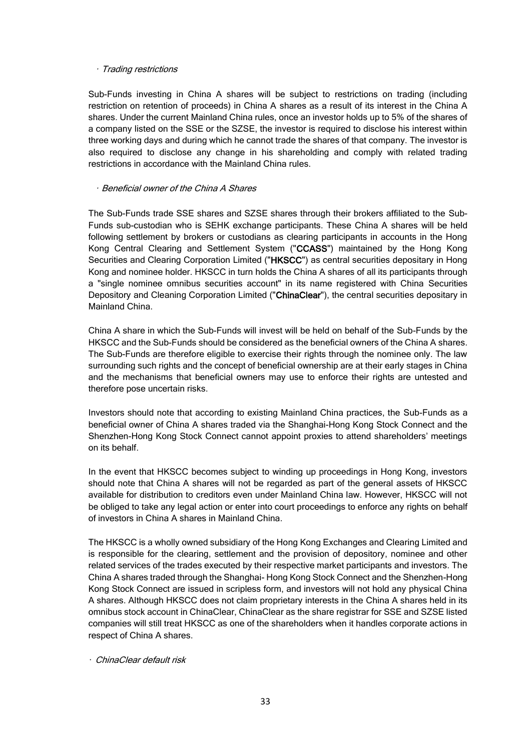### • Trading restrictions

Sub-Funds investing in China A shares will be subject to restrictions on trading (including restriction on retention of proceeds) in China A shares as a result of its interest in the China A shares. Under the current Mainland China rules, once an investor holds up to 5% of the shares of a company listed on the SSE or the SZSE, the investor is required to disclose his interest within three working days and during which he cannot trade the shares of that company. The investor is also required to disclose any change in his shareholding and comply with related trading restrictions in accordance with the Mainland China rules.

#### • Beneficial owner of the China A Shares

The Sub-Funds trade SSE shares and SZSE shares through their brokers affiliated to the Sub-Funds sub-custodian who is SEHK exchange participants. These China A shares will be held following settlement by brokers or custodians as clearing participants in accounts in the Hong Kong Central Clearing and Settlement System ("CCASS") maintained by the Hong Kong Securities and Clearing Corporation Limited ("HKSCC") as central securities depositary in Hong Kong and nominee holder. HKSCC in turn holds the China A shares of all its participants through a "single nominee omnibus securities account" in its name registered with China Securities Depository and Cleaning Corporation Limited ("ChinaClear"), the central securities depositary in Mainland China.

China A share in which the Sub-Funds will invest will be held on behalf of the Sub-Funds by the HKSCC and the Sub-Funds should be considered as the beneficial owners of the China A shares. The Sub-Funds are therefore eligible to exercise their rights through the nominee only. The law surrounding such rights and the concept of beneficial ownership are at their early stages in China and the mechanisms that beneficial owners may use to enforce their rights are untested and therefore pose uncertain risks.

Investors should note that according to existing Mainland China practices, the Sub-Funds as a beneficial owner of China A shares traded via the Shanghai-Hong Kong Stock Connect and the Shenzhen-Hong Kong Stock Connect cannot appoint proxies to attend shareholders' meetings on its behalf.

In the event that HKSCC becomes subject to winding up proceedings in Hong Kong, investors should note that China A shares will not be regarded as part of the general assets of HKSCC available for distribution to creditors even under Mainland China law. However, HKSCC will not be obliged to take any legal action or enter into court proceedings to enforce any rights on behalf of investors in China A shares in Mainland China.

The HKSCC is a wholly owned subsidiary of the Hong Kong Exchanges and Clearing Limited and is responsible for the clearing, settlement and the provision of depository, nominee and other related services of the trades executed by their respective market participants and investors. The China A shares traded through the Shanghai- Hong Kong Stock Connect and the Shenzhen-Hong Kong Stock Connect are issued in scripless form, and investors will not hold any physical China A shares. Although HKSCC does not claim proprietary interests in the China A shares held in its omnibus stock account in ChinaClear, ChinaClear as the share registrar for SSE and SZSE listed companies will still treat HKSCC as one of the shareholders when it handles corporate actions in respect of China A shares.

• ChinaClear default risk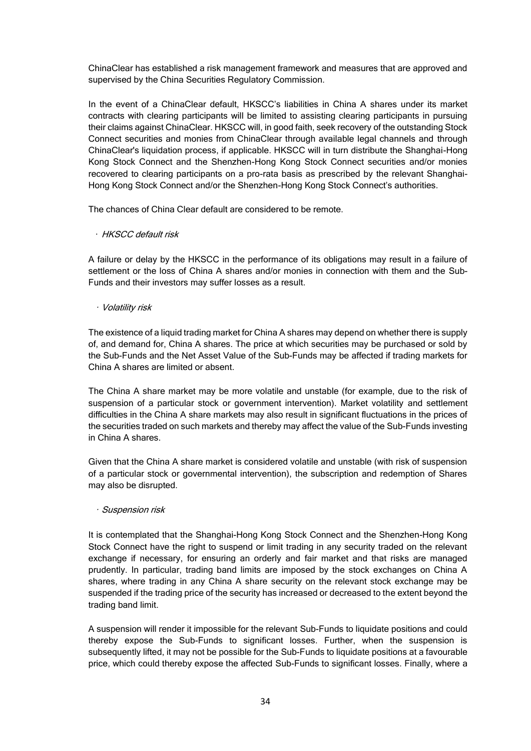ChinaClear has established a risk management framework and measures that are approved and supervised by the China Securities Regulatory Commission.

In the event of a ChinaClear default, HKSCC's liabilities in China A shares under its market contracts with clearing participants will be limited to assisting clearing participants in pursuing their claims against ChinaClear. HKSCC will, in good faith, seek recovery of the outstanding Stock Connect securities and monies from ChinaClear through available legal channels and through ChinaClear's liquidation process, if applicable. HKSCC will in turn distribute the Shanghai-Hong Kong Stock Connect and the Shenzhen-Hong Kong Stock Connect securities and/or monies recovered to clearing participants on a pro-rata basis as prescribed by the relevant Shanghai-Hong Kong Stock Connect and/or the Shenzhen-Hong Kong Stock Connect's authorities.

The chances of China Clear default are considered to be remote.

#### • HKSCC default risk

A failure or delay by the HKSCC in the performance of its obligations may result in a failure of settlement or the loss of China A shares and/or monies in connection with them and the Sub-Funds and their investors may suffer losses as a result.

### • Volatility risk

The existence of a liquid trading market for China A shares may depend on whether there is supply of, and demand for, China A shares. The price at which securities may be purchased or sold by the Sub-Funds and the Net Asset Value of the Sub-Funds may be affected if trading markets for China A shares are limited or absent.

The China A share market may be more volatile and unstable (for example, due to the risk of suspension of a particular stock or government intervention). Market volatility and settlement difficulties in the China A share markets may also result in significant fluctuations in the prices of the securities traded on such markets and thereby may affect the value of the Sub-Funds investing in China A shares.

Given that the China A share market is considered volatile and unstable (with risk of suspension of a particular stock or governmental intervention), the subscription and redemption of Shares may also be disrupted.

#### • Suspension risk

It is contemplated that the Shanghai-Hong Kong Stock Connect and the Shenzhen-Hong Kong Stock Connect have the right to suspend or limit trading in any security traded on the relevant exchange if necessary, for ensuring an orderly and fair market and that risks are managed prudently. In particular, trading band limits are imposed by the stock exchanges on China A shares, where trading in any China A share security on the relevant stock exchange may be suspended if the trading price of the security has increased or decreased to the extent beyond the trading band limit.

A suspension will render it impossible for the relevant Sub-Funds to liquidate positions and could thereby expose the Sub-Funds to significant losses. Further, when the suspension is subsequently lifted, it may not be possible for the Sub-Funds to liquidate positions at a favourable price, which could thereby expose the affected Sub-Funds to significant losses. Finally, where a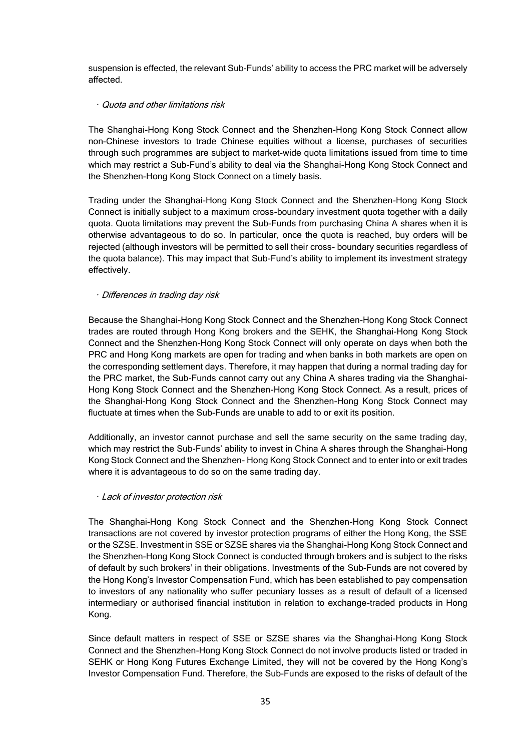suspension is effected, the relevant Sub-Funds' ability to access the PRC market will be adversely affected.

### • Quota and other limitations risk

The Shanghai-Hong Kong Stock Connect and the Shenzhen-Hong Kong Stock Connect allow non-Chinese investors to trade Chinese equities without a license, purchases of securities through such programmes are subject to market-wide quota limitations issued from time to time which may restrict a Sub-Fund's ability to deal via the Shanghai-Hong Kong Stock Connect and the Shenzhen-Hong Kong Stock Connect on a timely basis.

Trading under the Shanghai-Hong Kong Stock Connect and the Shenzhen-Hong Kong Stock Connect is initially subject to a maximum cross-boundary investment quota together with a daily quota. Quota limitations may prevent the Sub-Funds from purchasing China A shares when it is otherwise advantageous to do so. In particular, once the quota is reached, buy orders will be rejected (although investors will be permitted to sell their cross- boundary securities regardless of the quota balance). This may impact that Sub-Fund's ability to implement its investment strategy effectively.

### • Differences in trading day risk

Because the Shanghai-Hong Kong Stock Connect and the Shenzhen-Hong Kong Stock Connect trades are routed through Hong Kong brokers and the SEHK, the Shanghai-Hong Kong Stock Connect and the Shenzhen-Hong Kong Stock Connect will only operate on days when both the PRC and Hong Kong markets are open for trading and when banks in both markets are open on the corresponding settlement days. Therefore, it may happen that during a normal trading day for the PRC market, the Sub-Funds cannot carry out any China A shares trading via the Shanghai-Hong Kong Stock Connect and the Shenzhen-Hong Kong Stock Connect. As a result, prices of the Shanghai-Hong Kong Stock Connect and the Shenzhen-Hong Kong Stock Connect may fluctuate at times when the Sub-Funds are unable to add to or exit its position.

Additionally, an investor cannot purchase and sell the same security on the same trading day, which may restrict the Sub-Funds' ability to invest in China A shares through the Shanghai-Hong Kong Stock Connect and the Shenzhen- Hong Kong Stock Connect and to enter into or exit trades where it is advantageous to do so on the same trading day.

### • Lack of investor protection risk

The Shanghai-Hong Kong Stock Connect and the Shenzhen-Hong Kong Stock Connect transactions are not covered by investor protection programs of either the Hong Kong, the SSE or the SZSE. Investment in SSE or SZSE shares via the Shanghai-Hong Kong Stock Connect and the Shenzhen-Hong Kong Stock Connect is conducted through brokers and is subject to the risks of default by such brokers' in their obligations. Investments of the Sub-Funds are not covered by the Hong Kong's Investor Compensation Fund, which has been established to pay compensation to investors of any nationality who suffer pecuniary losses as a result of default of a licensed intermediary or authorised financial institution in relation to exchange-traded products in Hong Kong.

Since default matters in respect of SSE or SZSE shares via the Shanghai-Hong Kong Stock Connect and the Shenzhen-Hong Kong Stock Connect do not involve products listed or traded in SEHK or Hong Kong Futures Exchange Limited, they will not be covered by the Hong Kong's Investor Compensation Fund. Therefore, the Sub-Funds are exposed to the risks of default of the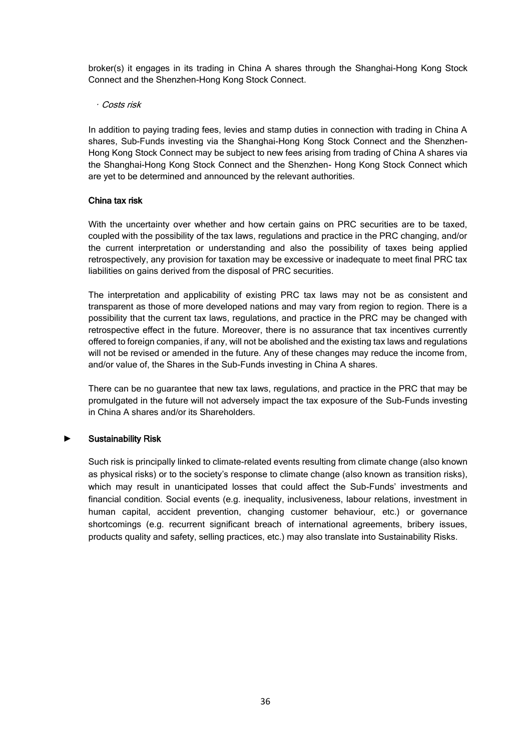broker(s) it engages in its trading in China A shares through the Shanghai-Hong Kong Stock Connect and the Shenzhen-Hong Kong Stock Connect.

#### • Costs risk

In addition to paying trading fees, levies and stamp duties in connection with trading in China A shares, Sub-Funds investing via the Shanghai-Hong Kong Stock Connect and the Shenzhen-Hong Kong Stock Connect may be subject to new fees arising from trading of China A shares via the Shanghai-Hong Kong Stock Connect and the Shenzhen- Hong Kong Stock Connect which are yet to be determined and announced by the relevant authorities.

### China tax risk

With the uncertainty over whether and how certain gains on PRC securities are to be taxed, coupled with the possibility of the tax laws, regulations and practice in the PRC changing, and/or the current interpretation or understanding and also the possibility of taxes being applied retrospectively, any provision for taxation may be excessive or inadequate to meet final PRC tax liabilities on gains derived from the disposal of PRC securities.

The interpretation and applicability of existing PRC tax laws may not be as consistent and transparent as those of more developed nations and may vary from region to region. There is a possibility that the current tax laws, regulations, and practice in the PRC may be changed with retrospective effect in the future. Moreover, there is no assurance that tax incentives currently offered to foreign companies, if any, will not be abolished and the existing tax laws and regulations will not be revised or amended in the future. Any of these changes may reduce the income from, and/or value of, the Shares in the Sub-Funds investing in China A shares.

There can be no guarantee that new tax laws, regulations, and practice in the PRC that may be promulgated in the future will not adversely impact the tax exposure of the Sub-Funds investing in China A shares and/or its Shareholders.

### ► Sustainability Risk

Such risk is principally linked to climate-related events resulting from climate change (also known as physical risks) or to the society's response to climate change (also known as transition risks), which may result in unanticipated losses that could affect the Sub-Funds' investments and financial condition. Social events (e.g. inequality, inclusiveness, labour relations, investment in human capital, accident prevention, changing customer behaviour, etc.) or governance shortcomings (e.g. recurrent significant breach of international agreements, bribery issues, products quality and safety, selling practices, etc.) may also translate into Sustainability Risks.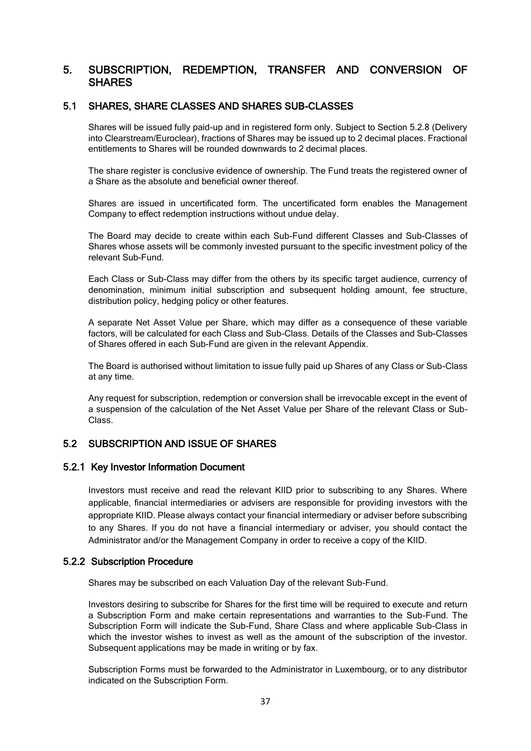# 5. SUBSCRIPTION, REDEMPTION, TRANSFER AND CONVERSION OF SHARES

### 5.1 SHARES, SHARE CLASSES AND SHARES SUB-CLASSES

Shares will be issued fully paid-up and in registered form only. Subject to Section 5.2.8 (Delivery into Clearstream/Euroclear), fractions of Shares may be issued up to 2 decimal places. Fractional entitlements to Shares will be rounded downwards to 2 decimal places.

The share register is conclusive evidence of ownership. The Fund treats the registered owner of a Share as the absolute and beneficial owner thereof.

Shares are issued in uncertificated form. The uncertificated form enables the Management Company to effect redemption instructions without undue delay.

The Board may decide to create within each Sub-Fund different Classes and Sub-Classes of Shares whose assets will be commonly invested pursuant to the specific investment policy of the relevant Sub-Fund.

Each Class or Sub-Class may differ from the others by its specific target audience, currency of denomination, minimum initial subscription and subsequent holding amount, fee structure, distribution policy, hedging policy or other features.

A separate Net Asset Value per Share, which may differ as a consequence of these variable factors, will be calculated for each Class and Sub-Class. Details of the Classes and Sub-Classes of Shares offered in each Sub-Fund are given in the relevant Appendix.

The Board is authorised without limitation to issue fully paid up Shares of any Class or Sub-Class at any time.

Any request for subscription, redemption or conversion shall be irrevocable except in the event of a suspension of the calculation of the Net Asset Value per Share of the relevant Class or Sub-Class.

## 5.2 SUBSCRIPTION AND ISSUE OF SHARES

### 5.2.1 Key Investor Information Document

Investors must receive and read the relevant KIID prior to subscribing to any Shares. Where applicable, financial intermediaries or advisers are responsible for providing investors with the appropriate KIID. Please always contact your financial intermediary or adviser before subscribing to any Shares. If you do not have a financial intermediary or adviser, you should contact the Administrator and/or the Management Company in order to receive a copy of the KIID.

### 5.2.2 Subscription Procedure

Shares may be subscribed on each Valuation Day of the relevant Sub-Fund.

Investors desiring to subscribe for Shares for the first time will be required to execute and return a Subscription Form and make certain representations and warranties to the Sub-Fund. The Subscription Form will indicate the Sub-Fund, Share Class and where applicable Sub-Class in which the investor wishes to invest as well as the amount of the subscription of the investor. Subsequent applications may be made in writing or by fax.

Subscription Forms must be forwarded to the Administrator in Luxembourg, or to any distributor indicated on the Subscription Form.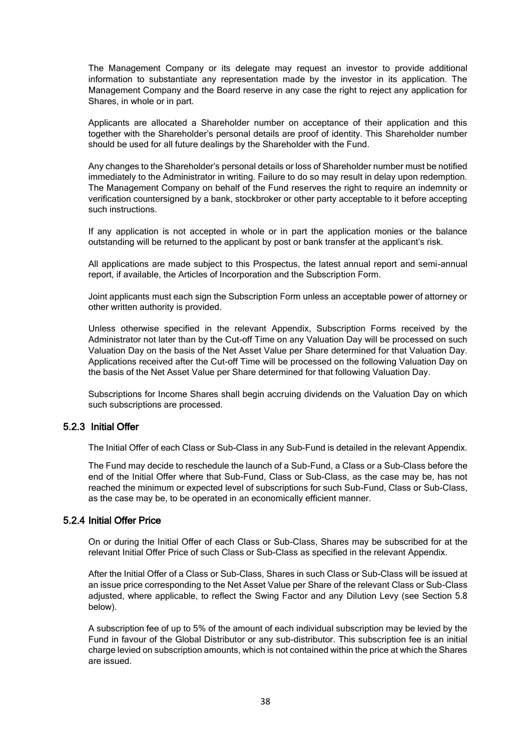The Management Company or its delegate may request an investor to provide additional information to substantiate any representation made by the investor in its application. The Management Company and the Board reserve in any case the right to reject any application for Shares, in whole or in part.

Applicants are allocated a Shareholder number on acceptance of their application and this together with the Shareholder's personal details are proof of identity. This Shareholder number should be used for all future dealings by the Shareholder with the Fund.

Any changes to the Shareholder's personal details or loss of Shareholder number must be notified immediately to the Administrator in writing. Failure to do so may result in delay upon redemption. The Management Company on behalf of the Fund reserves the right to require an indemnity or verification countersigned by a bank, stockbroker or other party acceptable to it before accepting such instructions.

If any application is not accepted in whole or in part the application monies or the balance outstanding will be returned to the applicant by post or bank transfer at the applicant's risk.

All applications are made subject to this Prospectus, the latest annual report and semi-annual report, if available, the Articles of Incorporation and the Subscription Form.

Joint applicants must each sign the Subscription Form unless an acceptable power of attorney or other written authority is provided.

Unless otherwise specified in the relevant Appendix, Subscription Forms received by the Administrator not later than by the Cut-off Time on any Valuation Day will be processed on such Valuation Day on the basis of the Net Asset Value per Share determined for that Valuation Day. Applications received after the Cut-off Time will be processed on the following Valuation Day on the basis of the Net Asset Value per Share determined for that following Valuation Day.

Subscriptions for Income Shares shall begin accruing dividends on the Valuation Day on which such subscriptions are processed.

## 5.2.3 Initial Offer

The Initial Offer of each Class or Sub-Class in any Sub-Fund is detailed in the relevant Appendix.

The Fund may decide to reschedule the launch of a Sub-Fund, a Class or a Sub-Class before the end of the Initial Offer where that Sub-Fund, Class or Sub-Class, as the case may be, has not reached the minimum or expected level of subscriptions for such Sub-Fund, Class or Sub-Class, as the case may be, to be operated in an economically efficient manner.

### 5.2.4 Initial Offer Price

On or during the Initial Offer of each Class or Sub-Class, Shares may be subscribed for at the relevant Initial Offer Price of such Class or Sub-Class as specified in the relevant Appendix.

After the Initial Offer of a Class or Sub-Class, Shares in such Class or Sub-Class will be issued at an issue price corresponding to the Net Asset Value per Share of the relevant Class or Sub-Class adjusted, where applicable, to reflect the Swing Factor and any Dilution Levy (see Section 5.8 below).

A subscription fee of up to 5% of the amount of each individual subscription may be levied by the Fund in favour of the Global Distributor or any sub-distributor. This subscription fee is an initial charge levied on subscription amounts, which is not contained within the price at which the Shares are issued.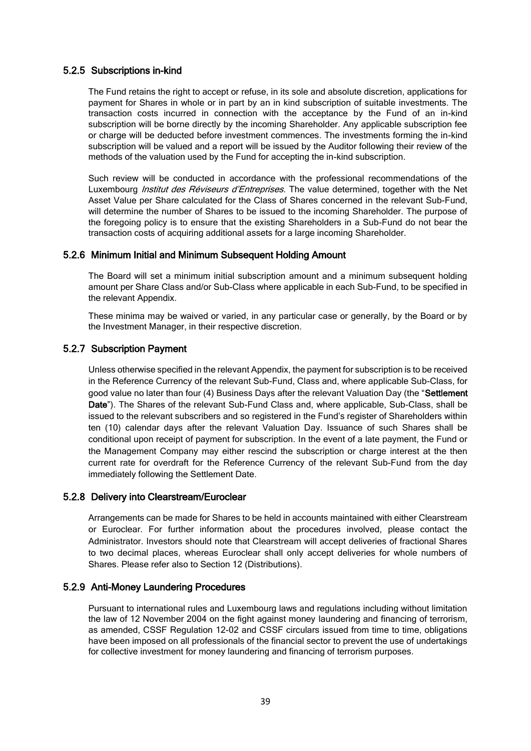### 5.2.5 Subscriptions in-kind

The Fund retains the right to accept or refuse, in its sole and absolute discretion, applications for payment for Shares in whole or in part by an in kind subscription of suitable investments. The transaction costs incurred in connection with the acceptance by the Fund of an in-kind subscription will be borne directly by the incoming Shareholder. Any applicable subscription fee or charge will be deducted before investment commences. The investments forming the in-kind subscription will be valued and a report will be issued by the Auditor following their review of the methods of the valuation used by the Fund for accepting the in-kind subscription.

Such review will be conducted in accordance with the professional recommendations of the Luxembourg *Institut des Réviseurs d'Entreprises*. The value determined, together with the Net Asset Value per Share calculated for the Class of Shares concerned in the relevant Sub-Fund, will determine the number of Shares to be issued to the incoming Shareholder. The purpose of the foregoing policy is to ensure that the existing Shareholders in a Sub-Fund do not bear the transaction costs of acquiring additional assets for a large incoming Shareholder.

## 5.2.6 Minimum Initial and Minimum Subsequent Holding Amount

The Board will set a minimum initial subscription amount and a minimum subsequent holding amount per Share Class and/or Sub-Class where applicable in each Sub-Fund, to be specified in the relevant Appendix.

These minima may be waived or varied, in any particular case or generally, by the Board or by the Investment Manager, in their respective discretion.

### 5.2.7 Subscription Payment

Unless otherwise specified in the relevant Appendix, the payment for subscription is to be received in the Reference Currency of the relevant Sub-Fund, Class and, where applicable Sub-Class, for good value no later than four (4) Business Days after the relevant Valuation Day (the "Settlement Date"). The Shares of the relevant Sub-Fund Class and, where applicable, Sub-Class, shall be issued to the relevant subscribers and so registered in the Fund's register of Shareholders within ten (10) calendar days after the relevant Valuation Day. Issuance of such Shares shall be conditional upon receipt of payment for subscription. In the event of a late payment, the Fund or the Management Company may either rescind the subscription or charge interest at the then current rate for overdraft for the Reference Currency of the relevant Sub-Fund from the day immediately following the Settlement Date.

### 5.2.8 Delivery into Clearstream/Euroclear

Arrangements can be made for Shares to be held in accounts maintained with either Clearstream or Euroclear. For further information about the procedures involved, please contact the Administrator. Investors should note that Clearstream will accept deliveries of fractional Shares to two decimal places, whereas Euroclear shall only accept deliveries for whole numbers of Shares. Please refer also to Section 12 (Distributions).

## 5.2.9 Anti-Money Laundering Procedures

Pursuant to international rules and Luxembourg laws and regulations including without limitation the law of 12 November 2004 on the fight against money laundering and financing of terrorism, as amended, CSSF Regulation 12-02 and CSSF circulars issued from time to time, obligations have been imposed on all professionals of the financial sector to prevent the use of undertakings for collective investment for money laundering and financing of terrorism purposes.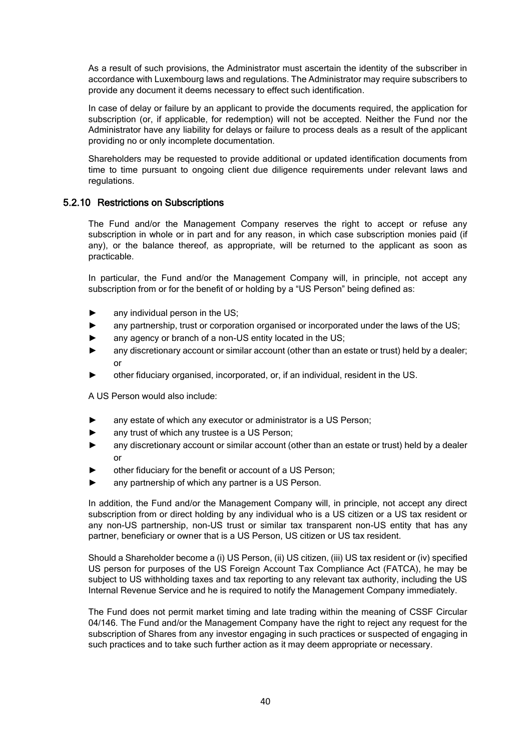As a result of such provisions, the Administrator must ascertain the identity of the subscriber in accordance with Luxembourg laws and regulations. The Administrator may require subscribers to provide any document it deems necessary to effect such identification.

In case of delay or failure by an applicant to provide the documents required, the application for subscription (or, if applicable, for redemption) will not be accepted. Neither the Fund nor the Administrator have any liability for delays or failure to process deals as a result of the applicant providing no or only incomplete documentation.

Shareholders may be requested to provide additional or updated identification documents from time to time pursuant to ongoing client due diligence requirements under relevant laws and regulations.

## 5.2.10 Restrictions on Subscriptions

The Fund and/or the Management Company reserves the right to accept or refuse any subscription in whole or in part and for any reason, in which case subscription monies paid (if any), or the balance thereof, as appropriate, will be returned to the applicant as soon as practicable.

In particular, the Fund and/or the Management Company will, in principle, not accept any subscription from or for the benefit of or holding by a "US Person" being defined as:

- any individual person in the US;
- any partnership, trust or corporation organised or incorporated under the laws of the US;
- any agency or branch of a non-US entity located in the US;
- any discretionary account or similar account (other than an estate or trust) held by a dealer; or
- other fiduciary organised, incorporated, or, if an individual, resident in the US.

A US Person would also include:

- any estate of which any executor or administrator is a US Person;
- any trust of which any trustee is a US Person;
- any discretionary account or similar account (other than an estate or trust) held by a dealer or
- other fiduciary for the benefit or account of a US Person;
- any partnership of which any partner is a US Person.

In addition, the Fund and/or the Management Company will, in principle, not accept any direct subscription from or direct holding by any individual who is a US citizen or a US tax resident or any non-US partnership, non-US trust or similar tax transparent non-US entity that has any partner, beneficiary or owner that is a US Person, US citizen or US tax resident.

Should a Shareholder become a (i) US Person, (ii) US citizen, (iii) US tax resident or (iv) specified US person for purposes of the US Foreign Account Tax Compliance Act (FATCA), he may be subject to US withholding taxes and tax reporting to any relevant tax authority, including the US Internal Revenue Service and he is required to notify the Management Company immediately.

The Fund does not permit market timing and late trading within the meaning of CSSF Circular 04/146. The Fund and/or the Management Company have the right to reject any request for the subscription of Shares from any investor engaging in such practices or suspected of engaging in such practices and to take such further action as it may deem appropriate or necessary.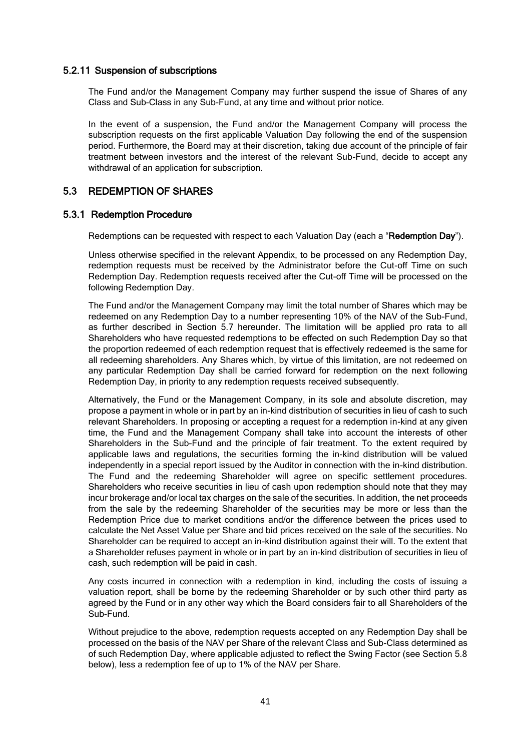### 5.2.11 Suspension of subscriptions

The Fund and/or the Management Company may further suspend the issue of Shares of any Class and Sub-Class in any Sub-Fund, at any time and without prior notice.

In the event of a suspension, the Fund and/or the Management Company will process the subscription requests on the first applicable Valuation Day following the end of the suspension period. Furthermore, the Board may at their discretion, taking due account of the principle of fair treatment between investors and the interest of the relevant Sub-Fund, decide to accept any withdrawal of an application for subscription.

## 5.3 REDEMPTION OF SHARES

### 5.3.1 Redemption Procedure

Redemptions can be requested with respect to each Valuation Day (each a "Redemption Day").

Unless otherwise specified in the relevant Appendix, to be processed on any Redemption Day, redemption requests must be received by the Administrator before the Cut-off Time on such Redemption Day. Redemption requests received after the Cut-off Time will be processed on the following Redemption Day.

The Fund and/or the Management Company may limit the total number of Shares which may be redeemed on any Redemption Day to a number representing 10% of the NAV of the Sub-Fund, as further described in Section 5.7 hereunder. The limitation will be applied pro rata to all Shareholders who have requested redemptions to be effected on such Redemption Day so that the proportion redeemed of each redemption request that is effectively redeemed is the same for all redeeming shareholders. Any Shares which, by virtue of this limitation, are not redeemed on any particular Redemption Day shall be carried forward for redemption on the next following Redemption Day, in priority to any redemption requests received subsequently.

Alternatively, the Fund or the Management Company, in its sole and absolute discretion, may propose a payment in whole or in part by an in-kind distribution of securities in lieu of cash to such relevant Shareholders. In proposing or accepting a request for a redemption in-kind at any given time, the Fund and the Management Company shall take into account the interests of other Shareholders in the Sub-Fund and the principle of fair treatment. To the extent required by applicable laws and regulations, the securities forming the in-kind distribution will be valued independently in a special report issued by the Auditor in connection with the in-kind distribution. The Fund and the redeeming Shareholder will agree on specific settlement procedures. Shareholders who receive securities in lieu of cash upon redemption should note that they may incur brokerage and/or local tax charges on the sale of the securities. In addition, the net proceeds from the sale by the redeeming Shareholder of the securities may be more or less than the Redemption Price due to market conditions and/or the difference between the prices used to calculate the Net Asset Value per Share and bid prices received on the sale of the securities. No Shareholder can be required to accept an in-kind distribution against their will. To the extent that a Shareholder refuses payment in whole or in part by an in-kind distribution of securities in lieu of cash, such redemption will be paid in cash.

Any costs incurred in connection with a redemption in kind, including the costs of issuing a valuation report, shall be borne by the redeeming Shareholder or by such other third party as agreed by the Fund or in any other way which the Board considers fair to all Shareholders of the Sub-Fund.

Without prejudice to the above, redemption requests accepted on any Redemption Day shall be processed on the basis of the NAV per Share of the relevant Class and Sub-Class determined as of such Redemption Day, where applicable adjusted to reflect the Swing Factor (see Section 5.8 below), less a redemption fee of up to 1% of the NAV per Share.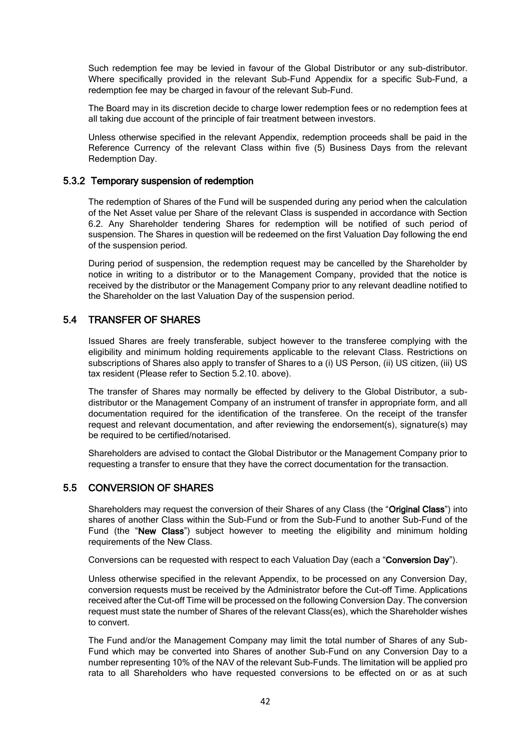Such redemption fee may be levied in favour of the Global Distributor or any sub-distributor. Where specifically provided in the relevant Sub-Fund Appendix for a specific Sub-Fund, a redemption fee may be charged in favour of the relevant Sub-Fund.

The Board may in its discretion decide to charge lower redemption fees or no redemption fees at all taking due account of the principle of fair treatment between investors.

Unless otherwise specified in the relevant Appendix, redemption proceeds shall be paid in the Reference Currency of the relevant Class within five (5) Business Days from the relevant Redemption Day.

## 5.3.2 Temporary suspension of redemption

The redemption of Shares of the Fund will be suspended during any period when the calculation of the Net Asset value per Share of the relevant Class is suspended in accordance with Section 6.2. Any Shareholder tendering Shares for redemption will be notified of such period of suspension. The Shares in question will be redeemed on the first Valuation Day following the end of the suspension period.

During period of suspension, the redemption request may be cancelled by the Shareholder by notice in writing to a distributor or to the Management Company, provided that the notice is received by the distributor or the Management Company prior to any relevant deadline notified to the Shareholder on the last Valuation Day of the suspension period.

## 5.4 TRANSFER OF SHARES

Issued Shares are freely transferable, subject however to the transferee complying with the eligibility and minimum holding requirements applicable to the relevant Class. Restrictions on subscriptions of Shares also apply to transfer of Shares to a (i) US Person, (ii) US citizen, (iii) US tax resident (Please refer to Section 5.2.10. above).

The transfer of Shares may normally be effected by delivery to the Global Distributor, a subdistributor or the Management Company of an instrument of transfer in appropriate form, and all documentation required for the identification of the transferee. On the receipt of the transfer request and relevant documentation, and after reviewing the endorsement(s), signature(s) may be required to be certified/notarised.

Shareholders are advised to contact the Global Distributor or the Management Company prior to requesting a transfer to ensure that they have the correct documentation for the transaction.

## 5.5 CONVERSION OF SHARES

Shareholders may request the conversion of their Shares of any Class (the "Original Class") into shares of another Class within the Sub-Fund or from the Sub-Fund to another Sub-Fund of the Fund (the "New Class") subject however to meeting the eligibility and minimum holding requirements of the New Class.

Conversions can be requested with respect to each Valuation Day (each a "Conversion Day").

Unless otherwise specified in the relevant Appendix, to be processed on any Conversion Day, conversion requests must be received by the Administrator before the Cut-off Time. Applications received after the Cut-off Time will be processed on the following Conversion Day. The conversion request must state the number of Shares of the relevant Class(es), which the Shareholder wishes to convert.

The Fund and/or the Management Company may limit the total number of Shares of any Sub-Fund which may be converted into Shares of another Sub-Fund on any Conversion Day to a number representing 10% of the NAV of the relevant Sub-Funds. The limitation will be applied pro rata to all Shareholders who have requested conversions to be effected on or as at such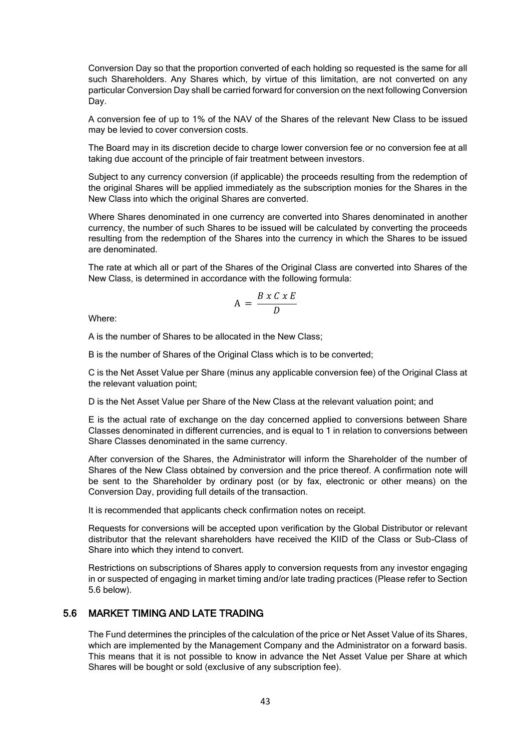Conversion Day so that the proportion converted of each holding so requested is the same for all such Shareholders. Any Shares which, by virtue of this limitation, are not converted on any particular Conversion Day shall be carried forward for conversion on the next following Conversion Day.

A conversion fee of up to 1% of the NAV of the Shares of the relevant New Class to be issued may be levied to cover conversion costs.

The Board may in its discretion decide to charge lower conversion fee or no conversion fee at all taking due account of the principle of fair treatment between investors.

Subject to any currency conversion (if applicable) the proceeds resulting from the redemption of the original Shares will be applied immediately as the subscription monies for the Shares in the New Class into which the original Shares are converted.

Where Shares denominated in one currency are converted into Shares denominated in another currency, the number of such Shares to be issued will be calculated by converting the proceeds resulting from the redemption of the Shares into the currency in which the Shares to be issued are denominated.

The rate at which all or part of the Shares of the Original Class are converted into Shares of the New Class, is determined in accordance with the following formula:

$$
A = \frac{B \times C \times E}{D}
$$

Where:

A is the number of Shares to be allocated in the New Class;

B is the number of Shares of the Original Class which is to be converted;

C is the Net Asset Value per Share (minus any applicable conversion fee) of the Original Class at the relevant valuation point;

D is the Net Asset Value per Share of the New Class at the relevant valuation point; and

E is the actual rate of exchange on the day concerned applied to conversions between Share Classes denominated in different currencies, and is equal to 1 in relation to conversions between Share Classes denominated in the same currency.

After conversion of the Shares, the Administrator will inform the Shareholder of the number of Shares of the New Class obtained by conversion and the price thereof. A confirmation note will be sent to the Shareholder by ordinary post (or by fax, electronic or other means) on the Conversion Day, providing full details of the transaction.

It is recommended that applicants check confirmation notes on receipt.

Requests for conversions will be accepted upon verification by the Global Distributor or relevant distributor that the relevant shareholders have received the KIID of the Class or Sub-Class of Share into which they intend to convert.

Restrictions on subscriptions of Shares apply to conversion requests from any investor engaging in or suspected of engaging in market timing and/or late trading practices (Please refer to Section 5.6 below).

# 5.6 MARKET TIMING AND LATE TRADING

The Fund determines the principles of the calculation of the price or Net Asset Value of its Shares, which are implemented by the Management Company and the Administrator on a forward basis. This means that it is not possible to know in advance the Net Asset Value per Share at which Shares will be bought or sold (exclusive of any subscription fee).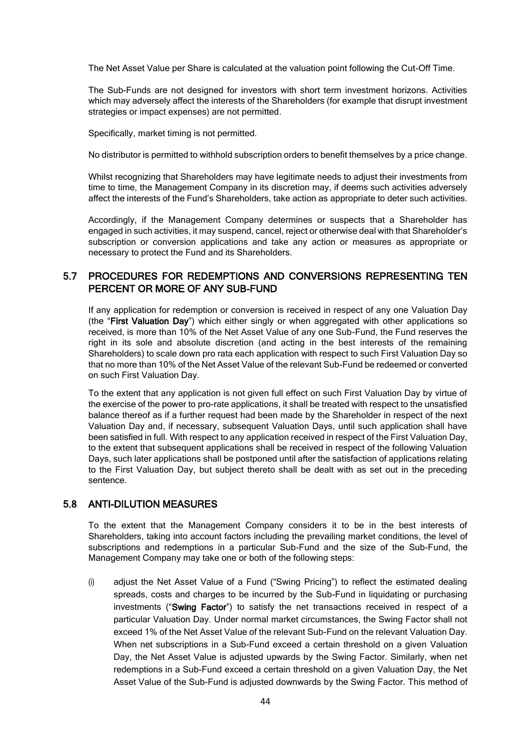The Net Asset Value per Share is calculated at the valuation point following the Cut-Off Time.

The Sub-Funds are not designed for investors with short term investment horizons. Activities which may adversely affect the interests of the Shareholders (for example that disrupt investment strategies or impact expenses) are not permitted.

Specifically, market timing is not permitted.

No distributor is permitted to withhold subscription orders to benefit themselves by a price change.

Whilst recognizing that Shareholders may have legitimate needs to adjust their investments from time to time, the Management Company in its discretion may, if deems such activities adversely affect the interests of the Fund's Shareholders, take action as appropriate to deter such activities.

Accordingly, if the Management Company determines or suspects that a Shareholder has engaged in such activities, it may suspend, cancel, reject or otherwise deal with that Shareholder's subscription or conversion applications and take any action or measures as appropriate or necessary to protect the Fund and its Shareholders.

# 5.7 PROCEDURES FOR REDEMPTIONS AND CONVERSIONS REPRESENTING TEN PERCENT OR MORE OF ANY SUB-FUND

If any application for redemption or conversion is received in respect of any one Valuation Day (the "First Valuation Day") which either singly or when aggregated with other applications so received, is more than 10% of the Net Asset Value of any one Sub-Fund, the Fund reserves the right in its sole and absolute discretion (and acting in the best interests of the remaining Shareholders) to scale down pro rata each application with respect to such First Valuation Day so that no more than 10% of the Net Asset Value of the relevant Sub-Fund be redeemed or converted on such First Valuation Day.

To the extent that any application is not given full effect on such First Valuation Day by virtue of the exercise of the power to pro-rate applications, it shall be treated with respect to the unsatisfied balance thereof as if a further request had been made by the Shareholder in respect of the next Valuation Day and, if necessary, subsequent Valuation Days, until such application shall have been satisfied in full. With respect to any application received in respect of the First Valuation Day, to the extent that subsequent applications shall be received in respect of the following Valuation Days, such later applications shall be postponed until after the satisfaction of applications relating to the First Valuation Day, but subject thereto shall be dealt with as set out in the preceding sentence.

# 5.8 ANTI-DILUTION MEASURES

To the extent that the Management Company considers it to be in the best interests of Shareholders, taking into account factors including the prevailing market conditions, the level of subscriptions and redemptions in a particular Sub-Fund and the size of the Sub-Fund, the Management Company may take one or both of the following steps:

(i) adjust the Net Asset Value of a Fund ("Swing Pricing") to reflect the estimated dealing spreads, costs and charges to be incurred by the Sub-Fund in liquidating or purchasing investments ("Swing Factor") to satisfy the net transactions received in respect of a particular Valuation Day. Under normal market circumstances, the Swing Factor shall not exceed 1% of the Net Asset Value of the relevant Sub-Fund on the relevant Valuation Day. When net subscriptions in a Sub-Fund exceed a certain threshold on a given Valuation Day, the Net Asset Value is adjusted upwards by the Swing Factor. Similarly, when net redemptions in a Sub-Fund exceed a certain threshold on a given Valuation Day, the Net Asset Value of the Sub-Fund is adjusted downwards by the Swing Factor. This method of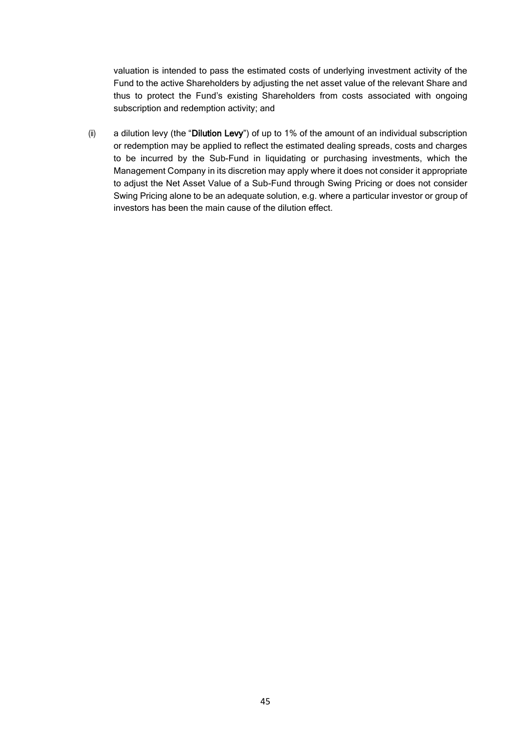valuation is intended to pass the estimated costs of underlying investment activity of the Fund to the active Shareholders by adjusting the net asset value of the relevant Share and thus to protect the Fund's existing Shareholders from costs associated with ongoing subscription and redemption activity; and

(ii) a dilution levy (the "Dilution Levy") of up to 1% of the amount of an individual subscription or redemption may be applied to reflect the estimated dealing spreads, costs and charges to be incurred by the Sub-Fund in liquidating or purchasing investments, which the Management Company in its discretion may apply where it does not consider it appropriate to adjust the Net Asset Value of a Sub-Fund through Swing Pricing or does not consider Swing Pricing alone to be an adequate solution, e.g. where a particular investor or group of investors has been the main cause of the dilution effect.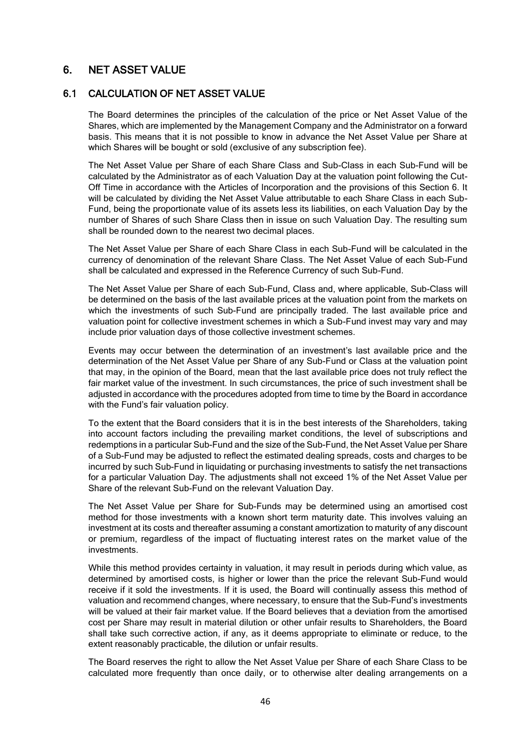# 6. NET ASSET VALUE

### 6.1 CALCULATION OF NET ASSET VALUE

The Board determines the principles of the calculation of the price or Net Asset Value of the Shares, which are implemented by the Management Company and the Administrator on a forward basis. This means that it is not possible to know in advance the Net Asset Value per Share at which Shares will be bought or sold (exclusive of any subscription fee).

The Net Asset Value per Share of each Share Class and Sub-Class in each Sub-Fund will be calculated by the Administrator as of each Valuation Day at the valuation point following the Cut-Off Time in accordance with the Articles of Incorporation and the provisions of this Section 6. It will be calculated by dividing the Net Asset Value attributable to each Share Class in each Sub-Fund, being the proportionate value of its assets less its liabilities, on each Valuation Day by the number of Shares of such Share Class then in issue on such Valuation Day. The resulting sum shall be rounded down to the nearest two decimal places.

The Net Asset Value per Share of each Share Class in each Sub-Fund will be calculated in the currency of denomination of the relevant Share Class. The Net Asset Value of each Sub-Fund shall be calculated and expressed in the Reference Currency of such Sub-Fund.

The Net Asset Value per Share of each Sub-Fund, Class and, where applicable, Sub-Class will be determined on the basis of the last available prices at the valuation point from the markets on which the investments of such Sub-Fund are principally traded. The last available price and valuation point for collective investment schemes in which a Sub-Fund invest may vary and may include prior valuation days of those collective investment schemes.

Events may occur between the determination of an investment's last available price and the determination of the Net Asset Value per Share of any Sub-Fund or Class at the valuation point that may, in the opinion of the Board, mean that the last available price does not truly reflect the fair market value of the investment. In such circumstances, the price of such investment shall be adjusted in accordance with the procedures adopted from time to time by the Board in accordance with the Fund's fair valuation policy.

To the extent that the Board considers that it is in the best interests of the Shareholders, taking into account factors including the prevailing market conditions, the level of subscriptions and redemptions in a particular Sub-Fund and the size of the Sub-Fund, the Net Asset Value per Share of a Sub-Fund may be adjusted to reflect the estimated dealing spreads, costs and charges to be incurred by such Sub-Fund in liquidating or purchasing investments to satisfy the net transactions for a particular Valuation Day. The adjustments shall not exceed 1% of the Net Asset Value per Share of the relevant Sub-Fund on the relevant Valuation Day.

The Net Asset Value per Share for Sub-Funds may be determined using an amortised cost method for those investments with a known short term maturity date. This involves valuing an investment at its costs and thereafter assuming a constant amortization to maturity of any discount or premium, regardless of the impact of fluctuating interest rates on the market value of the investments.

While this method provides certainty in valuation, it may result in periods during which value, as determined by amortised costs, is higher or lower than the price the relevant Sub-Fund would receive if it sold the investments. If it is used, the Board will continually assess this method of valuation and recommend changes, where necessary, to ensure that the Sub-Fund's investments will be valued at their fair market value. If the Board believes that a deviation from the amortised cost per Share may result in material dilution or other unfair results to Shareholders, the Board shall take such corrective action, if any, as it deems appropriate to eliminate or reduce, to the extent reasonably practicable, the dilution or unfair results.

The Board reserves the right to allow the Net Asset Value per Share of each Share Class to be calculated more frequently than once daily, or to otherwise alter dealing arrangements on a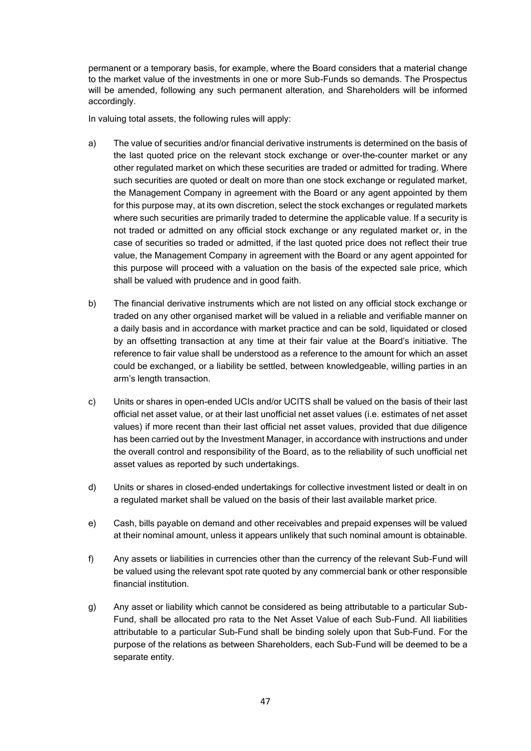permanent or a temporary basis, for example, where the Board considers that a material change to the market value of the investments in one or more Sub-Funds so demands. The Prospectus will be amended, following any such permanent alteration, and Shareholders will be informed accordingly.

In valuing total assets, the following rules will apply:

- a) The value of securities and/or financial derivative instruments is determined on the basis of the last quoted price on the relevant stock exchange or over-the-counter market or any other regulated market on which these securities are traded or admitted for trading. Where such securities are quoted or dealt on more than one stock exchange or regulated market, the Management Company in agreement with the Board or any agent appointed by them for this purpose may, at its own discretion, select the stock exchanges or regulated markets where such securities are primarily traded to determine the applicable value. If a security is not traded or admitted on any official stock exchange or any regulated market or, in the case of securities so traded or admitted, if the last quoted price does not reflect their true value, the Management Company in agreement with the Board or any agent appointed for this purpose will proceed with a valuation on the basis of the expected sale price, which shall be valued with prudence and in good faith.
- b) The financial derivative instruments which are not listed on any official stock exchange or traded on any other organised market will be valued in a reliable and verifiable manner on a daily basis and in accordance with market practice and can be sold, liquidated or closed by an offsetting transaction at any time at their fair value at the Board's initiative. The reference to fair value shall be understood as a reference to the amount for which an asset could be exchanged, or a liability be settled, between knowledgeable, willing parties in an arm's length transaction.
- c) Units or shares in open-ended UCIs and/or UCITS shall be valued on the basis of their last official net asset value, or at their last unofficial net asset values (i.e. estimates of net asset values) if more recent than their last official net asset values, provided that due diligence has been carried out by the Investment Manager, in accordance with instructions and under the overall control and responsibility of the Board, as to the reliability of such unofficial net asset values as reported by such undertakings.
- d) Units or shares in closed-ended undertakings for collective investment listed or dealt in on a regulated market shall be valued on the basis of their last available market price.
- e) Cash, bills payable on demand and other receivables and prepaid expenses will be valued at their nominal amount, unless it appears unlikely that such nominal amount is obtainable.
- f) Any assets or liabilities in currencies other than the currency of the relevant Sub-Fund will be valued using the relevant spot rate quoted by any commercial bank or other responsible financial institution.
- g) Any asset or liability which cannot be considered as being attributable to a particular Sub-Fund, shall be allocated pro rata to the Net Asset Value of each Sub-Fund. All liabilities attributable to a particular Sub-Fund shall be binding solely upon that Sub-Fund. For the purpose of the relations as between Shareholders, each Sub-Fund will be deemed to be a separate entity.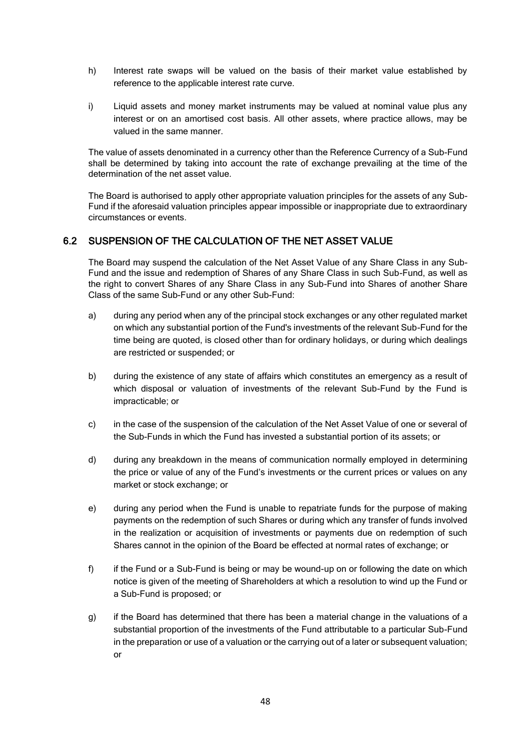- h) Interest rate swaps will be valued on the basis of their market value established by reference to the applicable interest rate curve.
- i) Liquid assets and money market instruments may be valued at nominal value plus any interest or on an amortised cost basis. All other assets, where practice allows, may be valued in the same manner.

The value of assets denominated in a currency other than the Reference Currency of a Sub-Fund shall be determined by taking into account the rate of exchange prevailing at the time of the determination of the net asset value.

The Board is authorised to apply other appropriate valuation principles for the assets of any Sub-Fund if the aforesaid valuation principles appear impossible or inappropriate due to extraordinary circumstances or events.

# 6.2 SUSPENSION OF THE CALCULATION OF THE NET ASSET VALUE

The Board may suspend the calculation of the Net Asset Value of any Share Class in any Sub-Fund and the issue and redemption of Shares of any Share Class in such Sub-Fund, as well as the right to convert Shares of any Share Class in any Sub-Fund into Shares of another Share Class of the same Sub-Fund or any other Sub-Fund:

- a) during any period when any of the principal stock exchanges or any other regulated market on which any substantial portion of the Fund's investments of the relevant Sub-Fund for the time being are quoted, is closed other than for ordinary holidays, or during which dealings are restricted or suspended; or
- b) during the existence of any state of affairs which constitutes an emergency as a result of which disposal or valuation of investments of the relevant Sub-Fund by the Fund is impracticable; or
- c) in the case of the suspension of the calculation of the Net Asset Value of one or several of the Sub-Funds in which the Fund has invested a substantial portion of its assets; or
- d) during any breakdown in the means of communication normally employed in determining the price or value of any of the Fund's investments or the current prices or values on any market or stock exchange; or
- e) during any period when the Fund is unable to repatriate funds for the purpose of making payments on the redemption of such Shares or during which any transfer of funds involved in the realization or acquisition of investments or payments due on redemption of such Shares cannot in the opinion of the Board be effected at normal rates of exchange; or
- f) if the Fund or a Sub-Fund is being or may be wound-up on or following the date on which notice is given of the meeting of Shareholders at which a resolution to wind up the Fund or a Sub-Fund is proposed; or
- g) if the Board has determined that there has been a material change in the valuations of a substantial proportion of the investments of the Fund attributable to a particular Sub-Fund in the preparation or use of a valuation or the carrying out of a later or subsequent valuation; or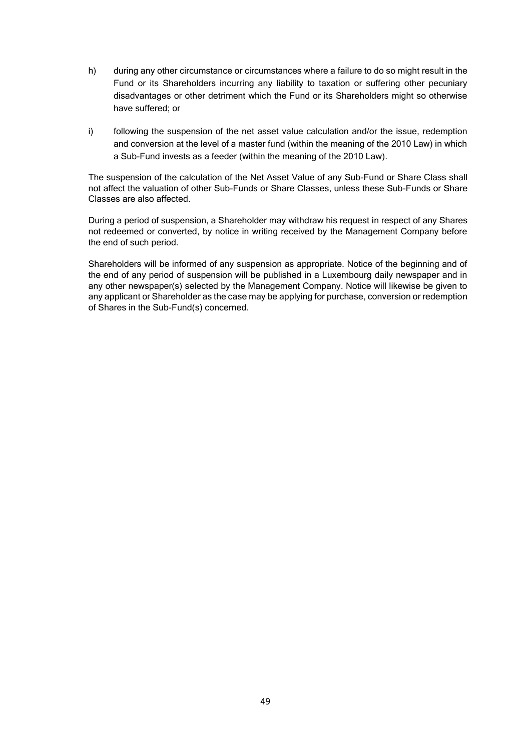- h) during any other circumstance or circumstances where a failure to do so might result in the Fund or its Shareholders incurring any liability to taxation or suffering other pecuniary disadvantages or other detriment which the Fund or its Shareholders might so otherwise have suffered; or
- i) following the suspension of the net asset value calculation and/or the issue, redemption and conversion at the level of a master fund (within the meaning of the 2010 Law) in which a Sub-Fund invests as a feeder (within the meaning of the 2010 Law).

The suspension of the calculation of the Net Asset Value of any Sub-Fund or Share Class shall not affect the valuation of other Sub-Funds or Share Classes, unless these Sub-Funds or Share Classes are also affected.

During a period of suspension, a Shareholder may withdraw his request in respect of any Shares not redeemed or converted, by notice in writing received by the Management Company before the end of such period.

Shareholders will be informed of any suspension as appropriate. Notice of the beginning and of the end of any period of suspension will be published in a Luxembourg daily newspaper and in any other newspaper(s) selected by the Management Company. Notice will likewise be given to any applicant or Shareholder as the case may be applying for purchase, conversion or redemption of Shares in the Sub-Fund(s) concerned.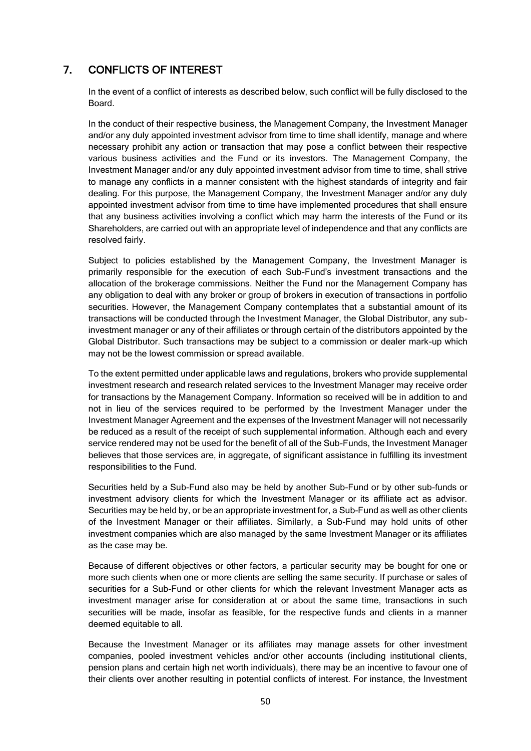# 7. CONFLICTS OF INTEREST

In the event of a conflict of interests as described below, such conflict will be fully disclosed to the Board.

In the conduct of their respective business, the Management Company, the Investment Manager and/or any duly appointed investment advisor from time to time shall identify, manage and where necessary prohibit any action or transaction that may pose a conflict between their respective various business activities and the Fund or its investors. The Management Company, the Investment Manager and/or any duly appointed investment advisor from time to time, shall strive to manage any conflicts in a manner consistent with the highest standards of integrity and fair dealing. For this purpose, the Management Company, the Investment Manager and/or any duly appointed investment advisor from time to time have implemented procedures that shall ensure that any business activities involving a conflict which may harm the interests of the Fund or its Shareholders, are carried out with an appropriate level of independence and that any conflicts are resolved fairly.

Subject to policies established by the Management Company, the Investment Manager is primarily responsible for the execution of each Sub-Fund's investment transactions and the allocation of the brokerage commissions. Neither the Fund nor the Management Company has any obligation to deal with any broker or group of brokers in execution of transactions in portfolio securities. However, the Management Company contemplates that a substantial amount of its transactions will be conducted through the Investment Manager, the Global Distributor, any subinvestment manager or any of their affiliates or through certain of the distributors appointed by the Global Distributor. Such transactions may be subject to a commission or dealer mark-up which may not be the lowest commission or spread available.

To the extent permitted under applicable laws and regulations, brokers who provide supplemental investment research and research related services to the Investment Manager may receive order for transactions by the Management Company. Information so received will be in addition to and not in lieu of the services required to be performed by the Investment Manager under the Investment Manager Agreement and the expenses of the Investment Manager will not necessarily be reduced as a result of the receipt of such supplemental information. Although each and every service rendered may not be used for the benefit of all of the Sub-Funds, the Investment Manager believes that those services are, in aggregate, of significant assistance in fulfilling its investment responsibilities to the Fund.

Securities held by a Sub-Fund also may be held by another Sub-Fund or by other sub-funds or investment advisory clients for which the Investment Manager or its affiliate act as advisor. Securities may be held by, or be an appropriate investment for, a Sub-Fund as well as other clients of the Investment Manager or their affiliates. Similarly, a Sub-Fund may hold units of other investment companies which are also managed by the same Investment Manager or its affiliates as the case may be.

Because of different objectives or other factors, a particular security may be bought for one or more such clients when one or more clients are selling the same security. If purchase or sales of securities for a Sub-Fund or other clients for which the relevant Investment Manager acts as investment manager arise for consideration at or about the same time, transactions in such securities will be made, insofar as feasible, for the respective funds and clients in a manner deemed equitable to all.

Because the Investment Manager or its affiliates may manage assets for other investment companies, pooled investment vehicles and/or other accounts (including institutional clients, pension plans and certain high net worth individuals), there may be an incentive to favour one of their clients over another resulting in potential conflicts of interest. For instance, the Investment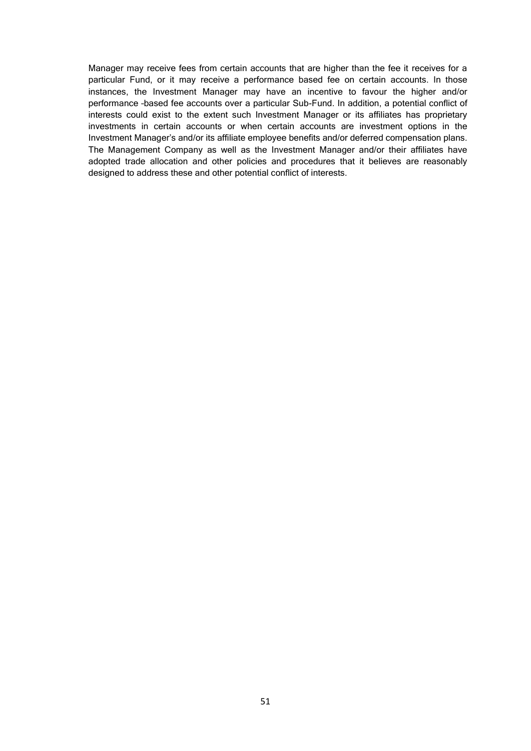Manager may receive fees from certain accounts that are higher than the fee it receives for a particular Fund, or it may receive a performance based fee on certain accounts. In those instances, the Investment Manager may have an incentive to favour the higher and/or performance –based fee accounts over a particular Sub-Fund. In addition, a potential conflict of interests could exist to the extent such Investment Manager or its affiliates has proprietary investments in certain accounts or when certain accounts are investment options in the Investment Manager's and/or its affiliate employee benefits and/or deferred compensation plans. The Management Company as well as the Investment Manager and/or their affiliates have adopted trade allocation and other policies and procedures that it believes are reasonably designed to address these and other potential conflict of interests.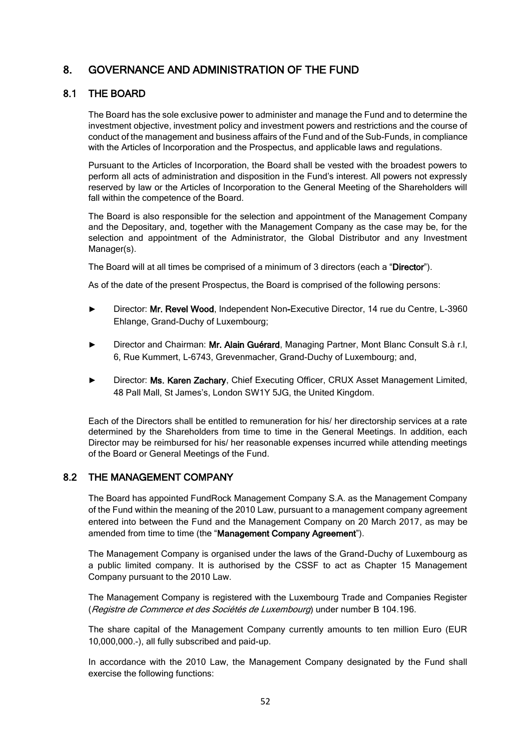# 8. GOVERNANCE AND ADMINISTRATION OF THE FUND

# 8.1 THE BOARD

The Board has the sole exclusive power to administer and manage the Fund and to determine the investment objective, investment policy and investment powers and restrictions and the course of conduct of the management and business affairs of the Fund and of the Sub-Funds, in compliance with the Articles of Incorporation and the Prospectus, and applicable laws and regulations.

Pursuant to the Articles of Incorporation, the Board shall be vested with the broadest powers to perform all acts of administration and disposition in the Fund's interest. All powers not expressly reserved by law or the Articles of Incorporation to the General Meeting of the Shareholders will fall within the competence of the Board.

The Board is also responsible for the selection and appointment of the Management Company and the Depositary, and, together with the Management Company as the case may be, for the selection and appointment of the Administrator, the Global Distributor and any Investment Manager(s).

The Board will at all times be comprised of a minimum of 3 directors (each a "Director").

As of the date of the present Prospectus, the Board is comprised of the following persons:

- ► Director: Mr. Revel Wood, Independent Non-Executive Director, 14 rue du Centre, L-3960 Ehlange, Grand-Duchy of Luxembourg;
- ► Director and Chairman: Mr. Alain Guérard, Managing Partner, Mont Blanc Consult S.à r.l, 6, Rue Kummert, L-6743, Grevenmacher, Grand-Duchy of Luxembourg; and,
- Director: Ms. Karen Zachary, Chief Executing Officer, CRUX Asset Management Limited, 48 Pall Mall, St James's, London SW1Y 5JG, the United Kingdom.

Each of the Directors shall be entitled to remuneration for his/ her directorship services at a rate determined by the Shareholders from time to time in the General Meetings. In addition, each Director may be reimbursed for his/ her reasonable expenses incurred while attending meetings of the Board or General Meetings of the Fund.

## 8.2 THE MANAGEMENT COMPANY

The Board has appointed FundRock Management Company S.A. as the Management Company of the Fund within the meaning of the 2010 Law, pursuant to a management company agreement entered into between the Fund and the Management Company on 20 March 2017, as may be amended from time to time (the "Management Company Agreement").

The Management Company is organised under the laws of the Grand-Duchy of Luxembourg as a public limited company. It is authorised by the CSSF to act as Chapter 15 Management Company pursuant to the 2010 Law.

The Management Company is registered with the Luxembourg Trade and Companies Register (Registre de Commerce et des Sociétés de Luxembourg) under number B 104.196.

The share capital of the Management Company currently amounts to ten million Euro (EUR 10,000,000.-), all fully subscribed and paid-up.

In accordance with the 2010 Law, the Management Company designated by the Fund shall exercise the following functions: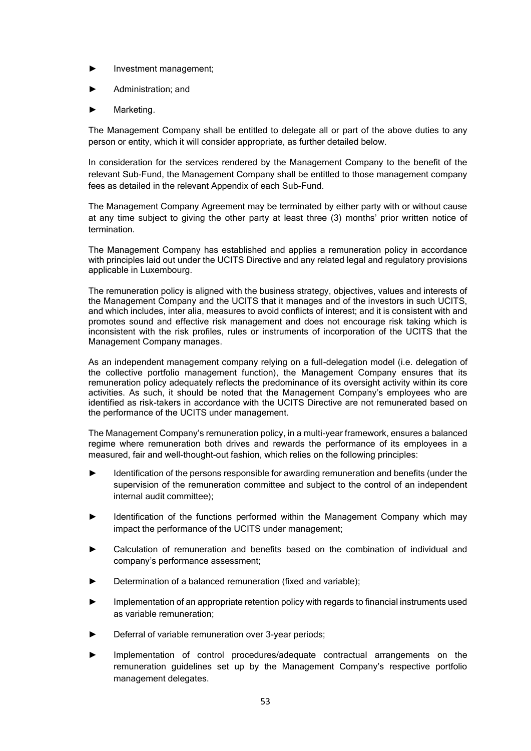- ► Investment management;
- ► Administration; and
- Marketing.

The Management Company shall be entitled to delegate all or part of the above duties to any person or entity, which it will consider appropriate, as further detailed below.

In consideration for the services rendered by the Management Company to the benefit of the relevant Sub-Fund, the Management Company shall be entitled to those management company fees as detailed in the relevant Appendix of each Sub-Fund.

The Management Company Agreement may be terminated by either party with or without cause at any time subject to giving the other party at least three (3) months' prior written notice of termination.

The Management Company has established and applies a remuneration policy in accordance with principles laid out under the UCITS Directive and any related legal and regulatory provisions applicable in Luxembourg.

The remuneration policy is aligned with the business strategy, objectives, values and interests of the Management Company and the UCITS that it manages and of the investors in such UCITS, and which includes, inter alia, measures to avoid conflicts of interest; and it is consistent with and promotes sound and effective risk management and does not encourage risk taking which is inconsistent with the risk profiles, rules or instruments of incorporation of the UCITS that the Management Company manages.

As an independent management company relying on a full-delegation model (i.e. delegation of the collective portfolio management function), the Management Company ensures that its remuneration policy adequately reflects the predominance of its oversight activity within its core activities. As such, it should be noted that the Management Company's employees who are identified as risk-takers in accordance with the UCITS Directive are not remunerated based on the performance of the UCITS under management.

The Management Company's remuneration policy, in a multi-year framework, ensures a balanced regime where remuneration both drives and rewards the performance of its employees in a measured, fair and well-thought-out fashion, which relies on the following principles:

- Identification of the persons responsible for awarding remuneration and benefits (under the supervision of the remuneration committee and subject to the control of an independent internal audit committee);
- Identification of the functions performed within the Management Company which may impact the performance of the UCITS under management;
- Calculation of remuneration and benefits based on the combination of individual and company's performance assessment;
- Determination of a balanced remuneration (fixed and variable):
- Implementation of an appropriate retention policy with regards to financial instruments used as variable remuneration;
- Deferral of variable remuneration over 3-year periods;
- Implementation of control procedures/adequate contractual arrangements on the remuneration guidelines set up by the Management Company's respective portfolio management delegates.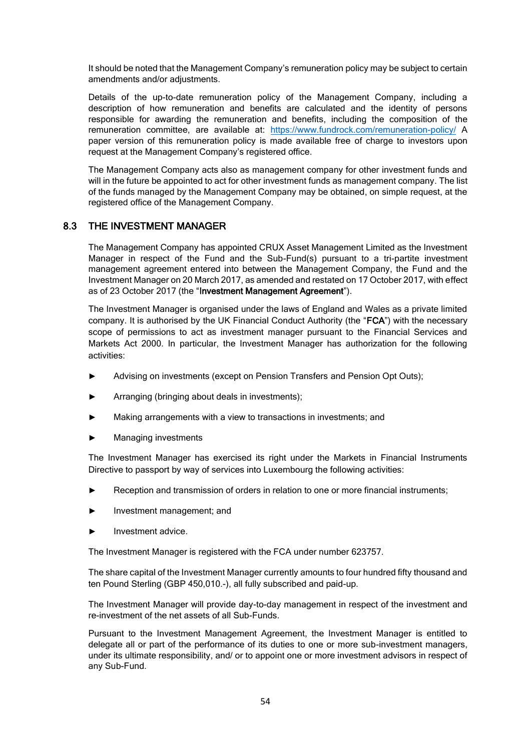It should be noted that the Management Company's remuneration policy may be subject to certain amendments and/or adjustments.

Details of the up-to-date remuneration policy of the Management Company, including a description of how remuneration and benefits are calculated and the identity of persons responsible for awarding the remuneration and benefits, including the composition of the remuneration committee, are available at: <https://www.fundrock.com/remuneration-policy/> A paper version of this remuneration policy is made available free of charge to investors upon request at the Management Company's registered office.

The Management Company acts also as management company for other investment funds and will in the future be appointed to act for other investment funds as management company. The list of the funds managed by the Management Company may be obtained, on simple request, at the registered office of the Management Company.

## 8.3 THE INVESTMENT MANAGER

The Management Company has appointed CRUX Asset Management Limited as the Investment Manager in respect of the Fund and the Sub-Fund(s) pursuant to a tri-partite investment management agreement entered into between the Management Company, the Fund and the Investment Manager on 20 March 2017, as amended and restated on 17 October 2017, with effect as of 23 October 2017 (the "Investment Management Agreement").

The Investment Manager is organised under the laws of England and Wales as a private limited company. It is authorised by the UK Financial Conduct Authority (the "FCA") with the necessary scope of permissions to act as investment manager pursuant to the Financial Services and Markets Act 2000. In particular, the Investment Manager has authorization for the following activities:

- Advising on investments (except on Pension Transfers and Pension Opt Outs);
- Arranging (bringing about deals in investments);
- Making arrangements with a view to transactions in investments; and
- Managing investments

The Investment Manager has exercised its right under the Markets in Financial Instruments Directive to passport by way of services into Luxembourg the following activities:

- Reception and transmission of orders in relation to one or more financial instruments;
- Investment management: and
- Investment advice.

The Investment Manager is registered with the FCA under number 623757.

The share capital of the Investment Manager currently amounts to four hundred fifty thousand and ten Pound Sterling (GBP 450,010.-), all fully subscribed and paid-up.

The Investment Manager will provide day-to-day management in respect of the investment and re-investment of the net assets of all Sub-Funds.

Pursuant to the Investment Management Agreement, the Investment Manager is entitled to delegate all or part of the performance of its duties to one or more sub-investment managers, under its ultimate responsibility, and/ or to appoint one or more investment advisors in respect of any Sub-Fund.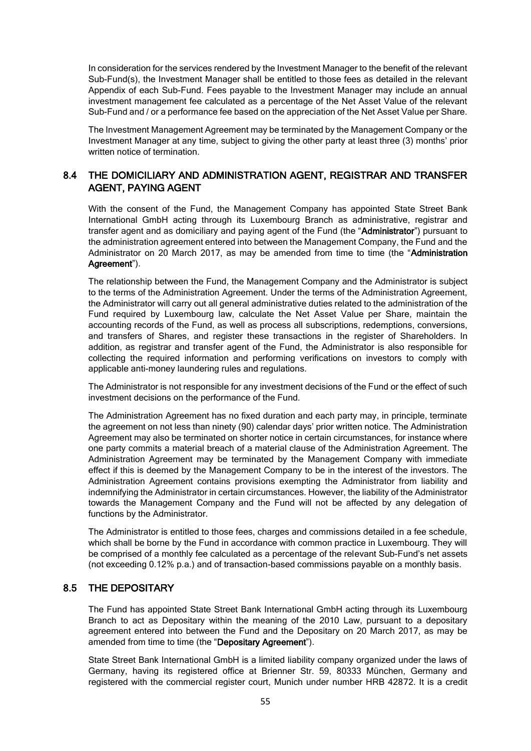In consideration for the services rendered by the Investment Manager to the benefit of the relevant Sub-Fund(s), the Investment Manager shall be entitled to those fees as detailed in the relevant Appendix of each Sub-Fund. Fees payable to the Investment Manager may include an annual investment management fee calculated as a percentage of the Net Asset Value of the relevant Sub-Fund and / or a performance fee based on the appreciation of the Net Asset Value per Share.

The Investment Management Agreement may be terminated by the Management Company or the Investment Manager at any time, subject to giving the other party at least three (3) months' prior written notice of termination.

# 8.4 THE DOMICILIARY AND ADMINISTRATION AGENT, REGISTRAR AND TRANSFER AGENT, PAYING AGENT

With the consent of the Fund, the Management Company has appointed State Street Bank International GmbH acting through its Luxembourg Branch as administrative, registrar and transfer agent and as domiciliary and paying agent of the Fund (the "Administrator") pursuant to the administration agreement entered into between the Management Company, the Fund and the Administrator on 20 March 2017, as may be amended from time to time (the "Administration Agreement").

The relationship between the Fund, the Management Company and the Administrator is subject to the terms of the Administration Agreement. Under the terms of the Administration Agreement, the Administrator will carry out all general administrative duties related to the administration of the Fund required by Luxembourg law, calculate the Net Asset Value per Share, maintain the accounting records of the Fund, as well as process all subscriptions, redemptions, conversions, and transfers of Shares, and register these transactions in the register of Shareholders. In addition, as registrar and transfer agent of the Fund, the Administrator is also responsible for collecting the required information and performing verifications on investors to comply with applicable anti-money laundering rules and regulations.

The Administrator is not responsible for any investment decisions of the Fund or the effect of such investment decisions on the performance of the Fund.

The Administration Agreement has no fixed duration and each party may, in principle, terminate the agreement on not less than ninety (90) calendar days' prior written notice. The Administration Agreement may also be terminated on shorter notice in certain circumstances, for instance where one party commits a material breach of a material clause of the Administration Agreement. The Administration Agreement may be terminated by the Management Company with immediate effect if this is deemed by the Management Company to be in the interest of the investors. The Administration Agreement contains provisions exempting the Administrator from liability and indemnifying the Administrator in certain circumstances. However, the liability of the Administrator towards the Management Company and the Fund will not be affected by any delegation of functions by the Administrator.

The Administrator is entitled to those fees, charges and commissions detailed in a fee schedule, which shall be borne by the Fund in accordance with common practice in Luxembourg. They will be comprised of a monthly fee calculated as a percentage of the relevant Sub-Fund's net assets (not exceeding 0.12% p.a.) and of transaction-based commissions payable on a monthly basis.

# 8.5 THE DEPOSITARY

The Fund has appointed State Street Bank International GmbH acting through its Luxembourg Branch to act as Depositary within the meaning of the 2010 Law, pursuant to a depositary agreement entered into between the Fund and the Depositary on 20 March 2017, as may be amended from time to time (the "Depositary Agreement").

State Street Bank International GmbH is a limited liability company organized under the laws of Germany, having its registered office at Brienner Str. 59, 80333 München, Germany and registered with the commercial register court, Munich under number HRB 42872. It is a credit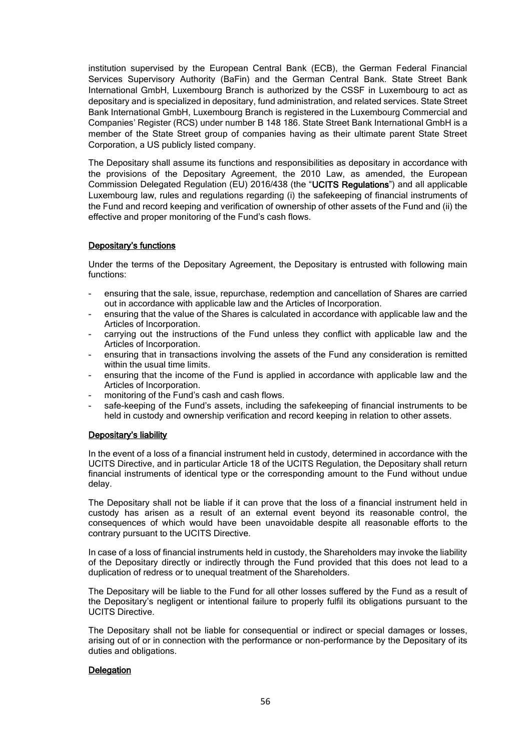institution supervised by the European Central Bank (ECB), the German Federal Financial Services Supervisory Authority (BaFin) and the German Central Bank. State Street Bank International GmbH, Luxembourg Branch is authorized by the CSSF in Luxembourg to act as depositary and is specialized in depositary, fund administration, and related services. State Street Bank International GmbH, Luxembourg Branch is registered in the Luxembourg Commercial and Companies' Register (RCS) under number B 148 186. State Street Bank International GmbH is a member of the State Street group of companies having as their ultimate parent State Street Corporation, a US publicly listed company.

The Depositary shall assume its functions and responsibilities as depositary in accordance with the provisions of the Depositary Agreement, the 2010 Law, as amended, the European Commission Delegated Regulation (EU) 2016/438 (the "UCITS Regulations") and all applicable Luxembourg law, rules and regulations regarding (i) the safekeeping of financial instruments of the Fund and record keeping and verification of ownership of other assets of the Fund and (ii) the effective and proper monitoring of the Fund's cash flows.

### Depositary's functions

Under the terms of the Depositary Agreement, the Depositary is entrusted with following main functions:

- ensuring that the sale, issue, repurchase, redemption and cancellation of Shares are carried out in accordance with applicable law and the Articles of Incorporation.
- ensuring that the value of the Shares is calculated in accordance with applicable law and the Articles of Incorporation.
- carrying out the instructions of the Fund unless they conflict with applicable law and the Articles of Incorporation.
- ensuring that in transactions involving the assets of the Fund any consideration is remitted within the usual time limits.
- ensuring that the income of the Fund is applied in accordance with applicable law and the Articles of Incorporation.
- monitoring of the Fund's cash and cash flows.
- safe-keeping of the Fund's assets, including the safekeeping of financial instruments to be held in custody and ownership verification and record keeping in relation to other assets.

#### Depositary's liability

In the event of a loss of a financial instrument held in custody, determined in accordance with the UCITS Directive, and in particular Article 18 of the UCITS Regulation, the Depositary shall return financial instruments of identical type or the corresponding amount to the Fund without undue delay.

The Depositary shall not be liable if it can prove that the loss of a financial instrument held in custody has arisen as a result of an external event beyond its reasonable control, the consequences of which would have been unavoidable despite all reasonable efforts to the contrary pursuant to the UCITS Directive.

In case of a loss of financial instruments held in custody, the Shareholders may invoke the liability of the Depositary directly or indirectly through the Fund provided that this does not lead to a duplication of redress or to unequal treatment of the Shareholders.

The Depositary will be liable to the Fund for all other losses suffered by the Fund as a result of the Depositary's negligent or intentional failure to properly fulfil its obligations pursuant to the UCITS Directive.

The Depositary shall not be liable for consequential or indirect or special damages or losses, arising out of or in connection with the performance or non-performance by the Depositary of its duties and obligations.

#### **Delegation**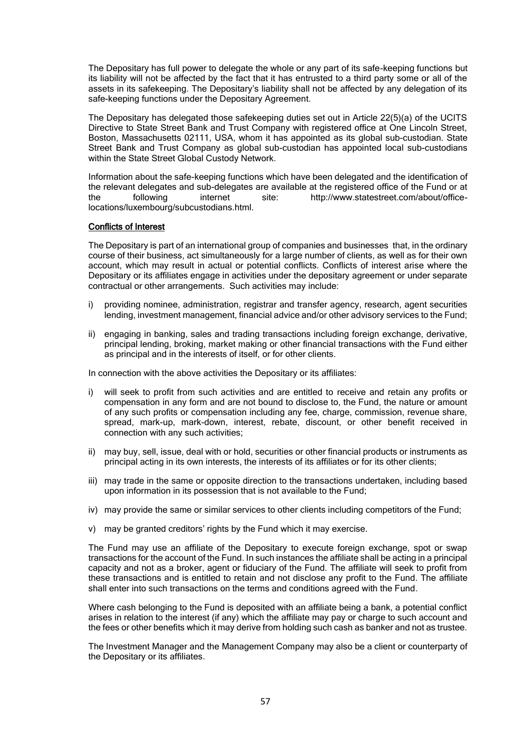The Depositary has full power to delegate the whole or any part of its safe-keeping functions but its liability will not be affected by the fact that it has entrusted to a third party some or all of the assets in its safekeeping. The Depositary's liability shall not be affected by any delegation of its safe-keeping functions under the Depositary Agreement.

The Depositary has delegated those safekeeping duties set out in Article 22(5)(a) of the UCITS Directive to State Street Bank and Trust Company with registered office at One Lincoln Street, Boston, Massachusetts 02111, USA, whom it has appointed as its global sub-custodian. State Street Bank and Trust Company as global sub-custodian has appointed local sub-custodians within the State Street Global Custody Network.

Information about the safe-keeping functions which have been delegated and the identification of the relevant delegates and sub-delegates are available at the registered office of the Fund or at the following internet site: http://www.statestreet.com/about/officelocations/luxembourg/subcustodians.html.

#### Conflicts of Interest

The Depositary is part of an international group of companies and businesses that, in the ordinary course of their business, act simultaneously for a large number of clients, as well as for their own account, which may result in actual or potential conflicts. Conflicts of interest arise where the Depositary or its affiliates engage in activities under the depositary agreement or under separate contractual or other arrangements. Such activities may include:

- i) providing nominee, administration, registrar and transfer agency, research, agent securities lending, investment management, financial advice and/or other advisory services to the Fund;
- ii) engaging in banking, sales and trading transactions including foreign exchange, derivative, principal lending, broking, market making or other financial transactions with the Fund either as principal and in the interests of itself, or for other clients.

In connection with the above activities the Depositary or its affiliates:

- i) will seek to profit from such activities and are entitled to receive and retain any profits or compensation in any form and are not bound to disclose to, the Fund, the nature or amount of any such profits or compensation including any fee, charge, commission, revenue share, spread, mark-up, mark-down, interest, rebate, discount, or other benefit received in connection with any such activities;
- ii) may buy, sell, issue, deal with or hold, securities or other financial products or instruments as principal acting in its own interests, the interests of its affiliates or for its other clients;
- iii) may trade in the same or opposite direction to the transactions undertaken, including based upon information in its possession that is not available to the Fund;
- iv) may provide the same or similar services to other clients including competitors of the Fund;
- v) may be granted creditors' rights by the Fund which it may exercise.

The Fund may use an affiliate of the Depositary to execute foreign exchange, spot or swap transactions for the account of the Fund. In such instances the affiliate shall be acting in a principal capacity and not as a broker, agent or fiduciary of the Fund. The affiliate will seek to profit from these transactions and is entitled to retain and not disclose any profit to the Fund. The affiliate shall enter into such transactions on the terms and conditions agreed with the Fund.

Where cash belonging to the Fund is deposited with an affiliate being a bank, a potential conflict arises in relation to the interest (if any) which the affiliate may pay or charge to such account and the fees or other benefits which it may derive from holding such cash as banker and not as trustee.

The Investment Manager and the Management Company may also be a client or counterparty of the Depositary or its affiliates.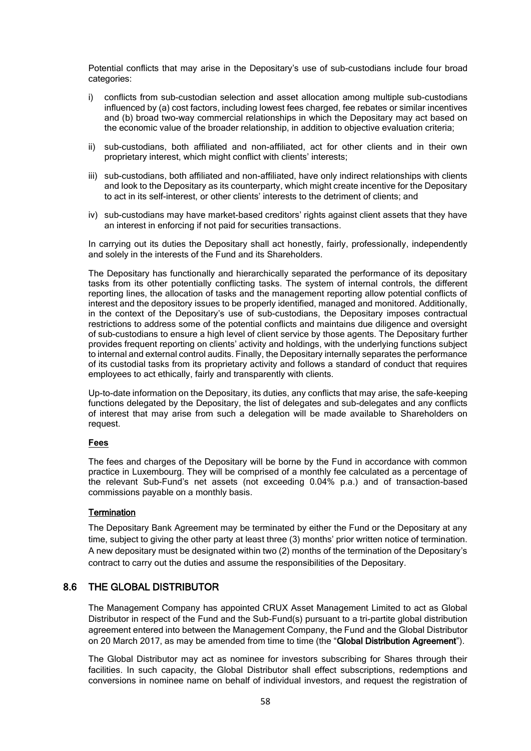Potential conflicts that may arise in the Depositary's use of sub-custodians include four broad categories:

- i) conflicts from sub-custodian selection and asset allocation among multiple sub-custodians influenced by (a) cost factors, including lowest fees charged, fee rebates or similar incentives and (b) broad two-way commercial relationships in which the Depositary may act based on the economic value of the broader relationship, in addition to objective evaluation criteria;
- ii) sub-custodians, both affiliated and non-affiliated, act for other clients and in their own proprietary interest, which might conflict with clients' interests;
- iii) sub-custodians, both affiliated and non-affiliated, have only indirect relationships with clients and look to the Depositary as its counterparty, which might create incentive for the Depositary to act in its self-interest, or other clients' interests to the detriment of clients; and
- iv) sub-custodians may have market-based creditors' rights against client assets that they have an interest in enforcing if not paid for securities transactions.

In carrying out its duties the Depositary shall act honestly, fairly, professionally, independently and solely in the interests of the Fund and its Shareholders.

The Depositary has functionally and hierarchically separated the performance of its depositary tasks from its other potentially conflicting tasks. The system of internal controls, the different reporting lines, the allocation of tasks and the management reporting allow potential conflicts of interest and the depository issues to be properly identified, managed and monitored. Additionally, in the context of the Depositary's use of sub-custodians, the Depositary imposes contractual restrictions to address some of the potential conflicts and maintains due diligence and oversight of sub-custodians to ensure a high level of client service by those agents. The Depositary further provides frequent reporting on clients' activity and holdings, with the underlying functions subject to internal and external control audits. Finally, the Depositary internally separates the performance of its custodial tasks from its proprietary activity and follows a standard of conduct that requires employees to act ethically, fairly and transparently with clients.

Up-to-date information on the Depositary, its duties, any conflicts that may arise, the safe-keeping functions delegated by the Depositary, the list of delegates and sub-delegates and any conflicts of interest that may arise from such a delegation will be made available to Shareholders on request.

### **Fees**

The fees and charges of the Depositary will be borne by the Fund in accordance with common practice in Luxembourg. They will be comprised of a monthly fee calculated as a percentage of the relevant Sub-Fund's net assets (not exceeding 0.04% p.a.) and of transaction-based commissions payable on a monthly basis.

### **Termination**

The Depositary Bank Agreement may be terminated by either the Fund or the Depositary at any time, subject to giving the other party at least three (3) months' prior written notice of termination. A new depositary must be designated within two (2) months of the termination of the Depositary's contract to carry out the duties and assume the responsibilities of the Depositary.

## 8.6 THE GLOBAL DISTRIBUTOR

The Management Company has appointed CRUX Asset Management Limited to act as Global Distributor in respect of the Fund and the Sub-Fund(s) pursuant to a tri-partite global distribution agreement entered into between the Management Company, the Fund and the Global Distributor on 20 March 2017, as may be amended from time to time (the "Global Distribution Agreement").

The Global Distributor may act as nominee for investors subscribing for Shares through their facilities. In such capacity, the Global Distributor shall effect subscriptions, redemptions and conversions in nominee name on behalf of individual investors, and request the registration of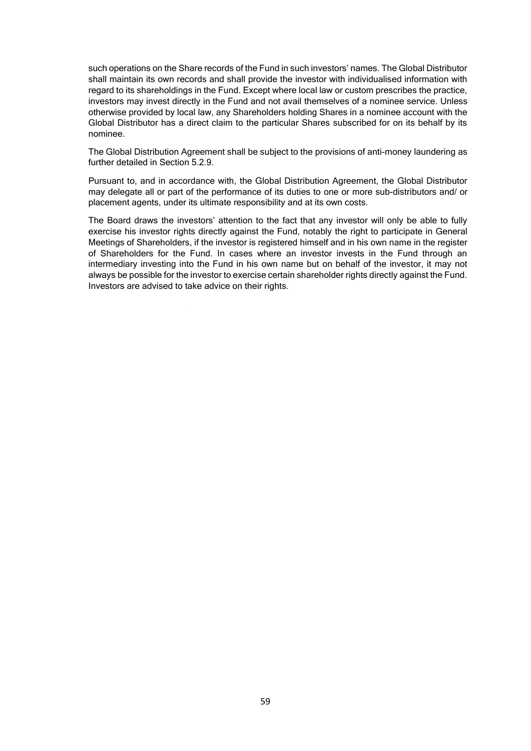such operations on the Share records of the Fund in such investors' names. The Global Distributor shall maintain its own records and shall provide the investor with individualised information with regard to its shareholdings in the Fund. Except where local law or custom prescribes the practice, investors may invest directly in the Fund and not avail themselves of a nominee service. Unless otherwise provided by local law, any Shareholders holding Shares in a nominee account with the Global Distributor has a direct claim to the particular Shares subscribed for on its behalf by its nominee.

The Global Distribution Agreement shall be subject to the provisions of anti-money laundering as further detailed in Section 5.2.9.

Pursuant to, and in accordance with, the Global Distribution Agreement, the Global Distributor may delegate all or part of the performance of its duties to one or more sub-distributors and/ or placement agents, under its ultimate responsibility and at its own costs.

The Board draws the investors' attention to the fact that any investor will only be able to fully exercise his investor rights directly against the Fund, notably the right to participate in General Meetings of Shareholders, if the investor is registered himself and in his own name in the register of Shareholders for the Fund. In cases where an investor invests in the Fund through an intermediary investing into the Fund in his own name but on behalf of the investor, it may not always be possible for the investor to exercise certain shareholder rights directly against the Fund. Investors are advised to take advice on their rights.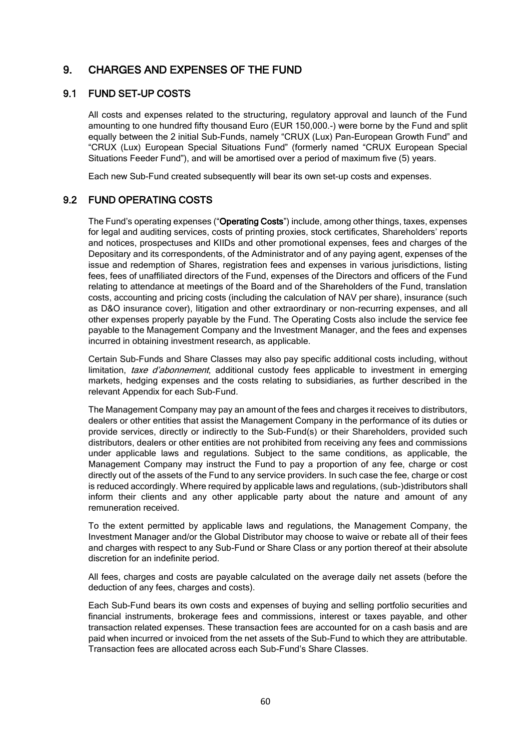# 9. CHARGES AND EXPENSES OF THE FUND

## 9.1 FUND SET-UP COSTS

All costs and expenses related to the structuring, regulatory approval and launch of the Fund amounting to one hundred fifty thousand Euro (EUR 150,000.-) were borne by the Fund and split equally between the 2 initial Sub-Funds, namely "CRUX (Lux) Pan-European Growth Fund" and "CRUX (Lux) European Special Situations Fund" (formerly named "CRUX European Special Situations Feeder Fund"), and will be amortised over a period of maximum five (5) years.

Each new Sub-Fund created subsequently will bear its own set-up costs and expenses.

## 9.2 FUND OPERATING COSTS

The Fund's operating expenses ("Operating Costs") include, among other things, taxes, expenses for legal and auditing services, costs of printing proxies, stock certificates, Shareholders' reports and notices, prospectuses and KIIDs and other promotional expenses, fees and charges of the Depositary and its correspondents, of the Administrator and of any paying agent, expenses of the issue and redemption of Shares, registration fees and expenses in various jurisdictions, listing fees, fees of unaffiliated directors of the Fund, expenses of the Directors and officers of the Fund relating to attendance at meetings of the Board and of the Shareholders of the Fund, translation costs, accounting and pricing costs (including the calculation of NAV per share), insurance (such as D&O insurance cover), litigation and other extraordinary or non-recurring expenses, and all other expenses properly payable by the Fund. The Operating Costs also include the service fee payable to the Management Company and the Investment Manager, and the fees and expenses incurred in obtaining investment research, as applicable.

Certain Sub-Funds and Share Classes may also pay specific additional costs including, without limitation, taxe d'abonnement, additional custody fees applicable to investment in emerging markets, hedging expenses and the costs relating to subsidiaries, as further described in the relevant Appendix for each Sub-Fund.

The Management Company may pay an amount of the fees and charges it receives to distributors, dealers or other entities that assist the Management Company in the performance of its duties or provide services, directly or indirectly to the Sub-Fund(s) or their Shareholders, provided such distributors, dealers or other entities are not prohibited from receiving any fees and commissions under applicable laws and regulations. Subject to the same conditions, as applicable, the Management Company may instruct the Fund to pay a proportion of any fee, charge or cost directly out of the assets of the Fund to any service providers. In such case the fee, charge or cost is reduced accordingly. Where required by applicable laws and regulations, (sub-)distributors shall inform their clients and any other applicable party about the nature and amount of any remuneration received.

To the extent permitted by applicable laws and regulations, the Management Company, the Investment Manager and/or the Global Distributor may choose to waive or rebate all of their fees and charges with respect to any Sub-Fund or Share Class or any portion thereof at their absolute discretion for an indefinite period.

All fees, charges and costs are payable calculated on the average daily net assets (before the deduction of any fees, charges and costs).

Each Sub-Fund bears its own costs and expenses of buying and selling portfolio securities and financial instruments, brokerage fees and commissions, interest or taxes payable, and other transaction related expenses. These transaction fees are accounted for on a cash basis and are paid when incurred or invoiced from the net assets of the Sub-Fund to which they are attributable. Transaction fees are allocated across each Sub-Fund's Share Classes.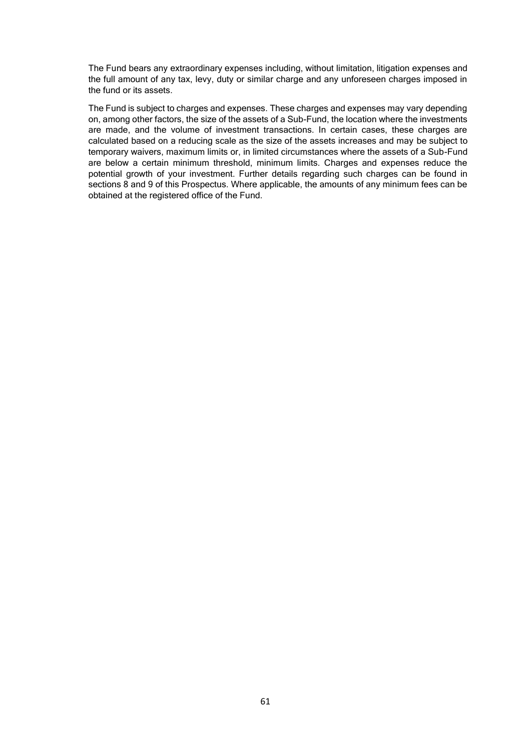The Fund bears any extraordinary expenses including, without limitation, litigation expenses and the full amount of any tax, levy, duty or similar charge and any unforeseen charges imposed in the fund or its assets.

The Fund is subject to charges and expenses. These charges and expenses may vary depending on, among other factors, the size of the assets of a Sub-Fund, the location where the investments are made, and the volume of investment transactions. In certain cases, these charges are calculated based on a reducing scale as the size of the assets increases and may be subject to temporary waivers, maximum limits or, in limited circumstances where the assets of a Sub-Fund are below a certain minimum threshold, minimum limits. Charges and expenses reduce the potential growth of your investment. Further details regarding such charges can be found in sections 8 and 9 of this Prospectus. Where applicable, the amounts of any minimum fees can be obtained at the registered office of the Fund.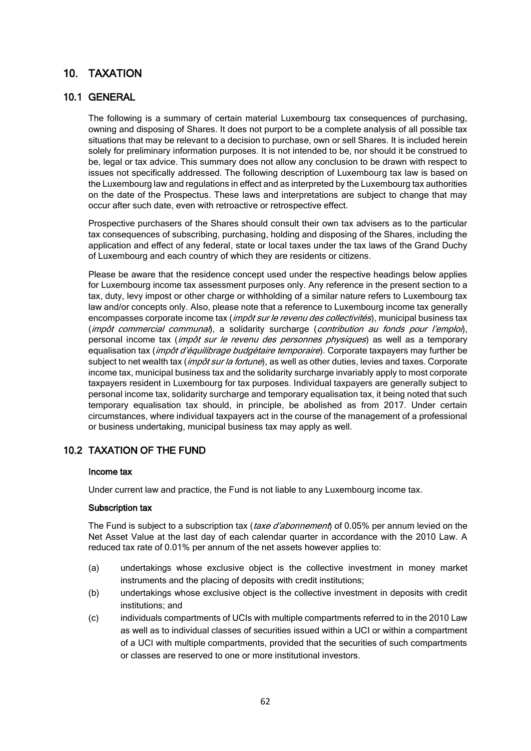# 10. TAXATION

# 10.1 GENERAL

The following is a summary of certain material Luxembourg tax consequences of purchasing, owning and disposing of Shares. It does not purport to be a complete analysis of all possible tax situations that may be relevant to a decision to purchase, own or sell Shares. It is included herein solely for preliminary information purposes. It is not intended to be, nor should it be construed to be, legal or tax advice. This summary does not allow any conclusion to be drawn with respect to issues not specifically addressed. The following description of Luxembourg tax law is based on the Luxembourg law and regulations in effect and as interpreted by the Luxembourg tax authorities on the date of the Prospectus. These laws and interpretations are subject to change that may occur after such date, even with retroactive or retrospective effect.

Prospective purchasers of the Shares should consult their own tax advisers as to the particular tax consequences of subscribing, purchasing, holding and disposing of the Shares, including the application and effect of any federal, state or local taxes under the tax laws of the Grand Duchy of Luxembourg and each country of which they are residents or citizens.

Please be aware that the residence concept used under the respective headings below applies for Luxembourg income tax assessment purposes only. Any reference in the present section to a tax, duty, levy impost or other charge or withholding of a similar nature refers to Luxembourg tax law and/or concepts only. Also, please note that a reference to Luxembourg income tax generally encompasses corporate income tax (*impôt sur le revenu des collectivités*), municipal business tax (impôt commercial communal), a solidarity surcharge (contribution au fonds pour l'emploi), personal income tax (*impôt sur le revenu des personnes physiques*) as well as a temporary equalisation tax (*impôt d'équilibrage budgétaire temporaire*). Corporate taxpayers may further be subject to net wealth tax (impôt sur la fortune), as well as other duties, levies and taxes. Corporate income tax, municipal business tax and the solidarity surcharge invariably apply to most corporate taxpayers resident in Luxembourg for tax purposes. Individual taxpayers are generally subject to personal income tax, solidarity surcharge and temporary equalisation tax, it being noted that such temporary equalisation tax should, in principle, be abolished as from 2017. Under certain circumstances, where individual taxpayers act in the course of the management of a professional or business undertaking, municipal business tax may apply as well.

# 10.2 TAXATION OF THE FUND

### Income tax

Under current law and practice, the Fund is not liable to any Luxembourg income tax.

#### Subscription tax

The Fund is subject to a subscription tax (taxe d'abonnement) of 0.05% per annum levied on the Net Asset Value at the last day of each calendar quarter in accordance with the 2010 Law. A reduced tax rate of 0.01% per annum of the net assets however applies to:

- (a) undertakings whose exclusive object is the collective investment in money market instruments and the placing of deposits with credit institutions;
- (b) undertakings whose exclusive object is the collective investment in deposits with credit institutions; and
- (c) individuals compartments of UCIs with multiple compartments referred to in the 2010 Law as well as to individual classes of securities issued within a UCI or within a compartment of a UCI with multiple compartments, provided that the securities of such compartments or classes are reserved to one or more institutional investors.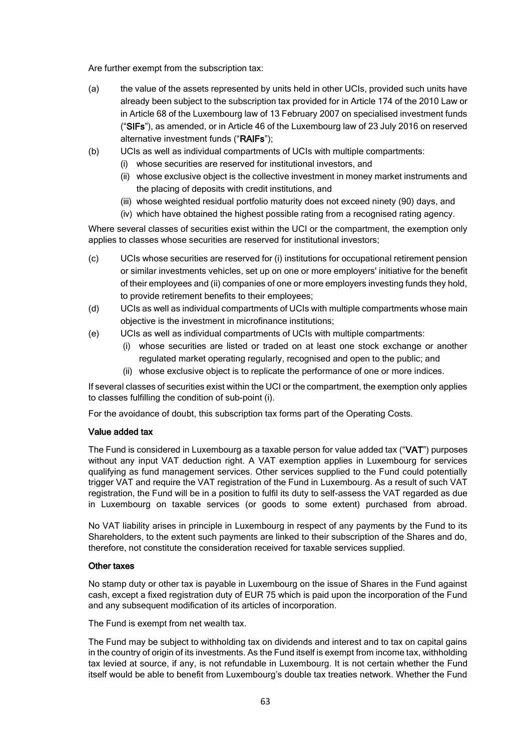Are further exempt from the subscription tax:

- (a) the value of the assets represented by units held in other UCIs, provided such units have already been subject to the subscription tax provided for in Article 174 of the 2010 Law or in Article 68 of the Luxembourg law of 13 February 2007 on specialised investment funds ("SIFs"), as amended, or in Article 46 of the Luxembourg law of 23 July 2016 on reserved alternative investment funds ("RAIFs");
- (b) UCIs as well as individual compartments of UCIs with multiple compartments:
	- (i) whose securities are reserved for institutional investors, and
	- (ii) whose exclusive object is the collective investment in money market instruments and the placing of deposits with credit institutions, and
	- (iii) whose weighted residual portfolio maturity does not exceed ninety (90) days, and
	- (iv) which have obtained the highest possible rating from a recognised rating agency.

Where several classes of securities exist within the UCI or the compartment, the exemption only applies to classes whose securities are reserved for institutional investors;

- (c) UCIs whose securities are reserved for (i) institutions for occupational retirement pension or similar investments vehicles, set up on one or more employers' initiative for the benefit of their employees and (ii) companies of one or more employers investing funds they hold, to provide retirement benefits to their employees;
- (d) UCIs as well as individual compartments of UCIs with multiple compartments whose main objective is the investment in microfinance institutions;
- (e) UCIs as well as individual compartments of UCIs with multiple compartments:
	- (i) whose securities are listed or traded on at least one stock exchange or another regulated market operating regularly, recognised and open to the public; and
	- (ii) whose exclusive object is to replicate the performance of one or more indices.

If several classes of securities exist within the UCI or the compartment, the exemption only applies to classes fulfilling the condition of sub-point (i).

For the avoidance of doubt, this subscription tax forms part of the Operating Costs.

### Value added tax

The Fund is considered in Luxembourg as a taxable person for value added tax ("VAT") purposes without any input VAT deduction right. A VAT exemption applies in Luxembourg for services qualifying as fund management services. Other services supplied to the Fund could potentially trigger VAT and require the VAT registration of the Fund in Luxembourg. As a result of such VAT registration, the Fund will be in a position to fulfil its duty to self-assess the VAT regarded as due in Luxembourg on taxable services (or goods to some extent) purchased from abroad.

No VAT liability arises in principle in Luxembourg in respect of any payments by the Fund to its Shareholders, to the extent such payments are linked to their subscription of the Shares and do, therefore, not constitute the consideration received for taxable services supplied.

### Other taxes

No stamp duty or other tax is payable in Luxembourg on the issue of Shares in the Fund against cash, except a fixed registration duty of EUR 75 which is paid upon the incorporation of the Fund and any subsequent modification of its articles of incorporation.

The Fund is exempt from net wealth tax.

The Fund may be subject to withholding tax on dividends and interest and to tax on capital gains in the country of origin of its investments. As the Fund itself is exempt from income tax, withholding tax levied at source, if any, is not refundable in Luxembourg. It is not certain whether the Fund itself would be able to benefit from Luxembourg's double tax treaties network. Whether the Fund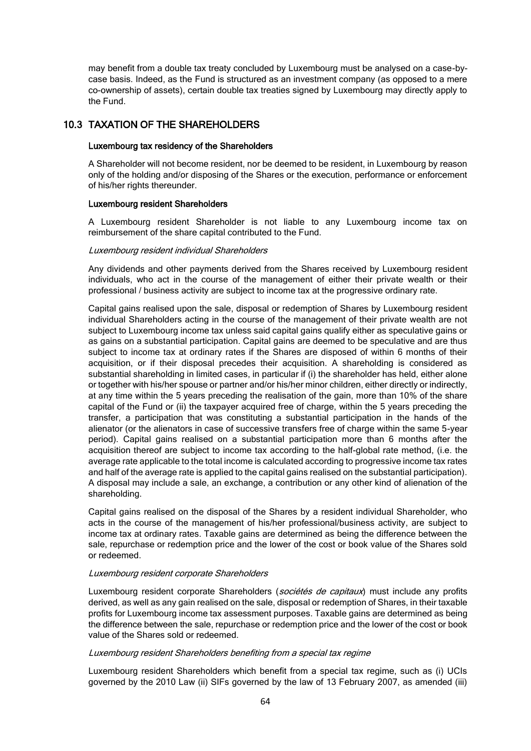may benefit from a double tax treaty concluded by Luxembourg must be analysed on a case-bycase basis. Indeed, as the Fund is structured as an investment company (as opposed to a mere co-ownership of assets), certain double tax treaties signed by Luxembourg may directly apply to the Fund.

# 10.3 TAXATION OF THE SHAREHOLDERS

#### Luxembourg tax residency of the Shareholders

A Shareholder will not become resident, nor be deemed to be resident, in Luxembourg by reason only of the holding and/or disposing of the Shares or the execution, performance or enforcement of his/her rights thereunder.

#### Luxembourg resident Shareholders

A Luxembourg resident Shareholder is not liable to any Luxembourg income tax on reimbursement of the share capital contributed to the Fund.

#### Luxembourg resident individual Shareholders

Any dividends and other payments derived from the Shares received by Luxembourg resident individuals, who act in the course of the management of either their private wealth or their professional / business activity are subject to income tax at the progressive ordinary rate.

Capital gains realised upon the sale, disposal or redemption of Shares by Luxembourg resident individual Shareholders acting in the course of the management of their private wealth are not subject to Luxembourg income tax unless said capital gains qualify either as speculative gains or as gains on a substantial participation. Capital gains are deemed to be speculative and are thus subject to income tax at ordinary rates if the Shares are disposed of within 6 months of their acquisition, or if their disposal precedes their acquisition. A shareholding is considered as substantial shareholding in limited cases, in particular if (i) the shareholder has held, either alone or together with his/her spouse or partner and/or his/her minor children, either directly or indirectly, at any time within the 5 years preceding the realisation of the gain, more than 10% of the share capital of the Fund or (ii) the taxpayer acquired free of charge, within the 5 years preceding the transfer, a participation that was constituting a substantial participation in the hands of the alienator (or the alienators in case of successive transfers free of charge within the same 5-year period). Capital gains realised on a substantial participation more than 6 months after the acquisition thereof are subject to income tax according to the half-global rate method, (i.e. the average rate applicable to the total income is calculated according to progressive income tax rates and half of the average rate is applied to the capital gains realised on the substantial participation). A disposal may include a sale, an exchange, a contribution or any other kind of alienation of the shareholding.

Capital gains realised on the disposal of the Shares by a resident individual Shareholder, who acts in the course of the management of his/her professional/business activity, are subject to income tax at ordinary rates. Taxable gains are determined as being the difference between the sale, repurchase or redemption price and the lower of the cost or book value of the Shares sold or redeemed.

#### Luxembourg resident corporate Shareholders

Luxembourg resident corporate Shareholders (sociétés de capitaux) must include any profits derived, as well as any gain realised on the sale, disposal or redemption of Shares, in their taxable profits for Luxembourg income tax assessment purposes. Taxable gains are determined as being the difference between the sale, repurchase or redemption price and the lower of the cost or book value of the Shares sold or redeemed.

#### Luxembourg resident Shareholders benefiting from a special tax regime

Luxembourg resident Shareholders which benefit from a special tax regime, such as (i) UCIs governed by the 2010 Law (ii) SIFs governed by the law of 13 February 2007, as amended (iii)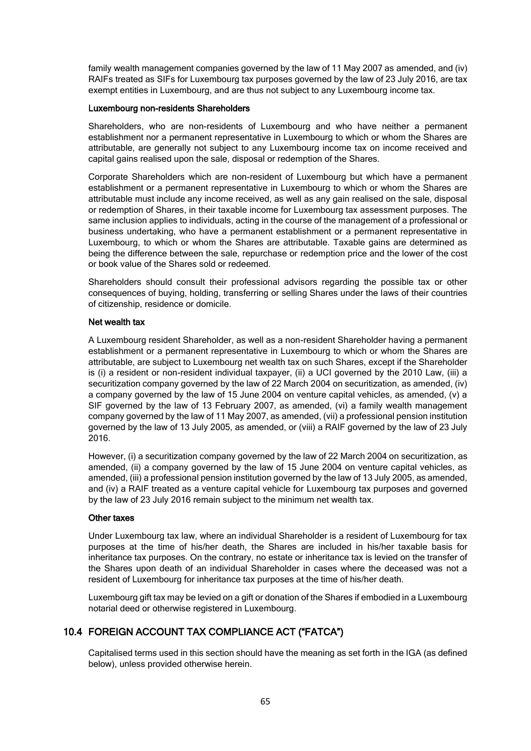family wealth management companies governed by the law of 11 May 2007 as amended, and (iv) RAIFs treated as SIFs for Luxembourg tax purposes governed by the law of 23 July 2016, are tax exempt entities in Luxembourg, and are thus not subject to any Luxembourg income tax.

#### Luxembourg non-residents Shareholders

Shareholders, who are non-residents of Luxembourg and who have neither a permanent establishment nor a permanent representative in Luxembourg to which or whom the Shares are attributable, are generally not subject to any Luxembourg income tax on income received and capital gains realised upon the sale, disposal or redemption of the Shares.

Corporate Shareholders which are non-resident of Luxembourg but which have a permanent establishment or a permanent representative in Luxembourg to which or whom the Shares are attributable must include any income received, as well as any gain realised on the sale, disposal or redemption of Shares, in their taxable income for Luxembourg tax assessment purposes. The same inclusion applies to individuals, acting in the course of the management of a professional or business undertaking, who have a permanent establishment or a permanent representative in Luxembourg, to which or whom the Shares are attributable. Taxable gains are determined as being the difference between the sale, repurchase or redemption price and the lower of the cost or book value of the Shares sold or redeemed.

Shareholders should consult their professional advisors regarding the possible tax or other consequences of buying, holding, transferring or selling Shares under the laws of their countries of citizenship, residence or domicile.

### Net wealth tax

A Luxembourg resident Shareholder, as well as a non-resident Shareholder having a permanent establishment or a permanent representative in Luxembourg to which or whom the Shares are attributable, are subject to Luxembourg net wealth tax on such Shares, except if the Shareholder is (i) a resident or non-resident individual taxpayer, (ii) a UCI governed by the 2010 Law, (iii) a securitization company governed by the law of 22 March 2004 on securitization, as amended, (iv) a company governed by the law of 15 June 2004 on venture capital vehicles, as amended, (v) a SIF governed by the law of 13 February 2007, as amended, (vi) a family wealth management company governed by the law of 11 May 2007, as amended, (vii) a professional pension institution governed by the law of 13 July 2005, as amended, or (viii) a RAIF governed by the law of 23 July 2016.

However, (i) a securitization company governed by the law of 22 March 2004 on securitization, as amended, (ii) a company governed by the law of 15 June 2004 on venture capital vehicles, as amended, (iii) a professional pension institution governed by the law of 13 July 2005, as amended, and (iv) a RAIF treated as a venture capital vehicle for Luxembourg tax purposes and governed by the law of 23 July 2016 remain subject to the minimum net wealth tax.

#### Other taxes

Under Luxembourg tax law, where an individual Shareholder is a resident of Luxembourg for tax purposes at the time of his/her death, the Shares are included in his/her taxable basis for inheritance tax purposes. On the contrary, no estate or inheritance tax is levied on the transfer of the Shares upon death of an individual Shareholder in cases where the deceased was not a resident of Luxembourg for inheritance tax purposes at the time of his/her death.

Luxembourg gift tax may be levied on a gift or donation of the Shares if embodied in a Luxembourg notarial deed or otherwise registered in Luxembourg.

# 10.4 FOREIGN ACCOUNT TAX COMPLIANCE ACT ("FATCA")

Capitalised terms used in this section should have the meaning as set forth in the IGA (as defined below), unless provided otherwise herein.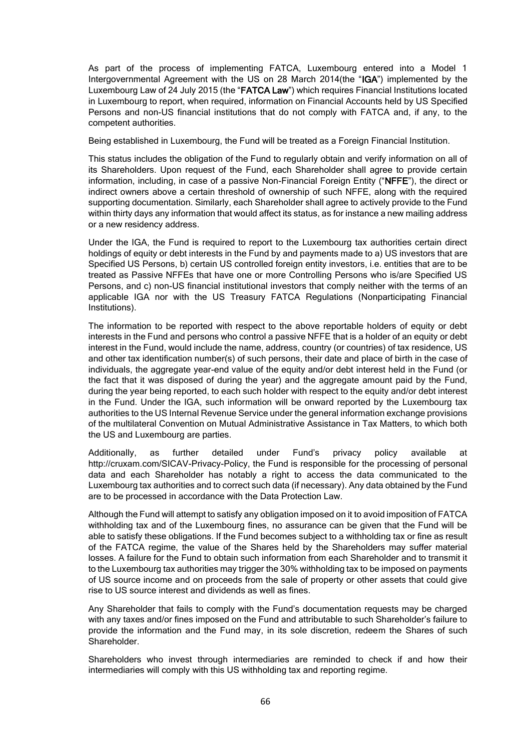As part of the process of implementing FATCA, Luxembourg entered into a Model 1 Intergovernmental Agreement with the US on 28 March 2014(the "IGA") implemented by the Luxembourg Law of 24 July 2015 (the "FATCA Law") which requires Financial Institutions located in Luxembourg to report, when required, information on Financial Accounts held by US Specified Persons and non-US financial institutions that do not comply with FATCA and, if any, to the competent authorities.

Being established in Luxembourg, the Fund will be treated as a Foreign Financial Institution.

This status includes the obligation of the Fund to regularly obtain and verify information on all of its Shareholders. Upon request of the Fund, each Shareholder shall agree to provide certain information, including, in case of a passive Non-Financial Foreign Entity ("NFFE"), the direct or indirect owners above a certain threshold of ownership of such NFFE, along with the required supporting documentation. Similarly, each Shareholder shall agree to actively provide to the Fund within thirty days any information that would affect its status, as for instance a new mailing address or a new residency address.

Under the IGA, the Fund is required to report to the Luxembourg tax authorities certain direct holdings of equity or debt interests in the Fund by and payments made to a) US investors that are Specified US Persons, b) certain US controlled foreign entity investors, i.e. entities that are to be treated as Passive NFFEs that have one or more Controlling Persons who is/are Specified US Persons, and c) non-US financial institutional investors that comply neither with the terms of an applicable IGA nor with the US Treasury FATCA Regulations (Nonparticipating Financial Institutions).

The information to be reported with respect to the above reportable holders of equity or debt interests in the Fund and persons who control a passive NFFE that is a holder of an equity or debt interest in the Fund, would include the name, address, country (or countries) of tax residence, US and other tax identification number(s) of such persons, their date and place of birth in the case of individuals, the aggregate year-end value of the equity and/or debt interest held in the Fund (or the fact that it was disposed of during the year) and the aggregate amount paid by the Fund, during the year being reported, to each such holder with respect to the equity and/or debt interest in the Fund. Under the IGA, such information will be onward reported by the Luxembourg tax authorities to the US Internal Revenue Service under the general information exchange provisions of the multilateral Convention on Mutual Administrative Assistance in Tax Matters, to which both the US and Luxembourg are parties.

Additionally, as further detailed under Fund's privacy policy available at http://cruxam.com/SICAV-Privacy-Policy, the Fund is responsible for the processing of personal data and each Shareholder has notably a right to access the data communicated to the Luxembourg tax authorities and to correct such data (if necessary). Any data obtained by the Fund are to be processed in accordance with the Data Protection Law.

Although the Fund will attempt to satisfy any obligation imposed on it to avoid imposition of FATCA withholding tax and of the Luxembourg fines, no assurance can be given that the Fund will be able to satisfy these obligations. If the Fund becomes subject to a withholding tax or fine as result of the FATCA regime, the value of the Shares held by the Shareholders may suffer material losses. A failure for the Fund to obtain such information from each Shareholder and to transmit it to the Luxembourg tax authorities may trigger the 30% withholding tax to be imposed on payments of US source income and on proceeds from the sale of property or other assets that could give rise to US source interest and dividends as well as fines.

Any Shareholder that fails to comply with the Fund's documentation requests may be charged with any taxes and/or fines imposed on the Fund and attributable to such Shareholder's failure to provide the information and the Fund may, in its sole discretion, redeem the Shares of such Shareholder.

Shareholders who invest through intermediaries are reminded to check if and how their intermediaries will comply with this US withholding tax and reporting regime.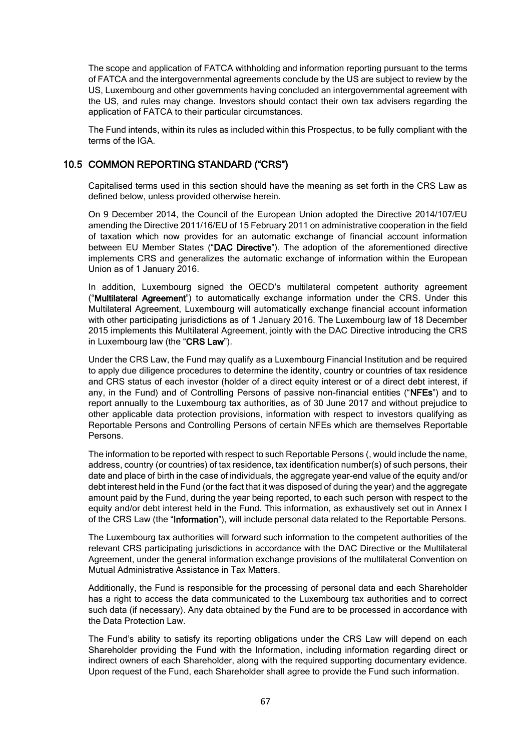The scope and application of FATCA withholding and information reporting pursuant to the terms of FATCA and the intergovernmental agreements conclude by the US are subject to review by the US, Luxembourg and other governments having concluded an intergovernmental agreement with the US, and rules may change. Investors should contact their own tax advisers regarding the application of FATCA to their particular circumstances.

The Fund intends, within its rules as included within this Prospectus, to be fully compliant with the terms of the IGA.

# 10.5 COMMON REPORTING STANDARD ("CRS")

Capitalised terms used in this section should have the meaning as set forth in the CRS Law as defined below, unless provided otherwise herein.

On 9 December 2014, the Council of the European Union adopted the Directive 2014/107/EU amending the Directive 2011/16/EU of 15 February 2011 on administrative cooperation in the field of taxation which now provides for an automatic exchange of financial account information between EU Member States ("DAC Directive"). The adoption of the aforementioned directive implements CRS and generalizes the automatic exchange of information within the European Union as of 1 January 2016.

In addition, Luxembourg signed the OECD's multilateral competent authority agreement ("Multilateral Agreement") to automatically exchange information under the CRS. Under this Multilateral Agreement, Luxembourg will automatically exchange financial account information with other participating jurisdictions as of 1 January 2016. The Luxembourg law of 18 December 2015 implements this Multilateral Agreement, jointly with the DAC Directive introducing the CRS in Luxembourg law (the "CRS Law").

Under the CRS Law, the Fund may qualify as a Luxembourg Financial Institution and be required to apply due diligence procedures to determine the identity, country or countries of tax residence and CRS status of each investor (holder of a direct equity interest or of a direct debt interest, if any, in the Fund) and of Controlling Persons of passive non-financial entities ("NFEs") and to report annually to the Luxembourg tax authorities, as of 30 June 2017 and without prejudice to other applicable data protection provisions, information with respect to investors qualifying as Reportable Persons and Controlling Persons of certain NFEs which are themselves Reportable Persons.

The information to be reported with respect to such Reportable Persons (, would include the name, address, country (or countries) of tax residence, tax identification number(s) of such persons, their date and place of birth in the case of individuals, the aggregate year-end value of the equity and/or debt interest held in the Fund (or the fact that it was disposed of during the year) and the aggregate amount paid by the Fund, during the year being reported, to each such person with respect to the equity and/or debt interest held in the Fund. This information, as exhaustively set out in Annex I of the CRS Law (the "Information"), will include personal data related to the Reportable Persons.

The Luxembourg tax authorities will forward such information to the competent authorities of the relevant CRS participating jurisdictions in accordance with the DAC Directive or the Multilateral Agreement, under the general information exchange provisions of the multilateral Convention on Mutual Administrative Assistance in Tax Matters.

Additionally, the Fund is responsible for the processing of personal data and each Shareholder has a right to access the data communicated to the Luxembourg tax authorities and to correct such data (if necessary). Any data obtained by the Fund are to be processed in accordance with the Data Protection Law.

The Fund's ability to satisfy its reporting obligations under the CRS Law will depend on each Shareholder providing the Fund with the Information, including information regarding direct or indirect owners of each Shareholder, along with the required supporting documentary evidence. Upon request of the Fund, each Shareholder shall agree to provide the Fund such information.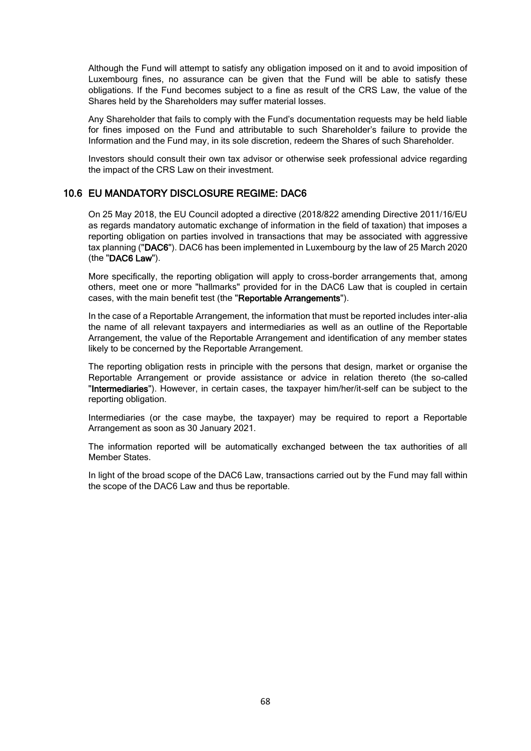Although the Fund will attempt to satisfy any obligation imposed on it and to avoid imposition of Luxembourg fines, no assurance can be given that the Fund will be able to satisfy these obligations. If the Fund becomes subject to a fine as result of the CRS Law, the value of the Shares held by the Shareholders may suffer material losses.

Any Shareholder that fails to comply with the Fund's documentation requests may be held liable for fines imposed on the Fund and attributable to such Shareholder's failure to provide the Information and the Fund may, in its sole discretion, redeem the Shares of such Shareholder.

Investors should consult their own tax advisor or otherwise seek professional advice regarding the impact of the CRS Law on their investment.

### 10.6 EU MANDATORY DISCLOSURE REGIME: DAC6

On 25 May 2018, the EU Council adopted a directive (2018/822 amending Directive 2011/16/EU as regards mandatory automatic exchange of information in the field of taxation) that imposes a reporting obligation on parties involved in transactions that may be associated with aggressive tax planning ("DAC6"). DAC6 has been implemented in Luxembourg by the law of 25 March 2020 (the "DAC6 Law").

More specifically, the reporting obligation will apply to cross-border arrangements that, among others, meet one or more "hallmarks" provided for in the DAC6 Law that is coupled in certain cases, with the main benefit test (the "Reportable Arrangements").

In the case of a Reportable Arrangement, the information that must be reported includes inter-alia the name of all relevant taxpayers and intermediaries as well as an outline of the Reportable Arrangement, the value of the Reportable Arrangement and identification of any member states likely to be concerned by the Reportable Arrangement.

The reporting obligation rests in principle with the persons that design, market or organise the Reportable Arrangement or provide assistance or advice in relation thereto (the so-called "Intermediaries"). However, in certain cases, the taxpayer him/her/it-self can be subject to the reporting obligation.

Intermediaries (or the case maybe, the taxpayer) may be required to report a Reportable Arrangement as soon as 30 January 2021.

The information reported will be automatically exchanged between the tax authorities of all Member States.

In light of the broad scope of the DAC6 Law, transactions carried out by the Fund may fall within the scope of the DAC6 Law and thus be reportable.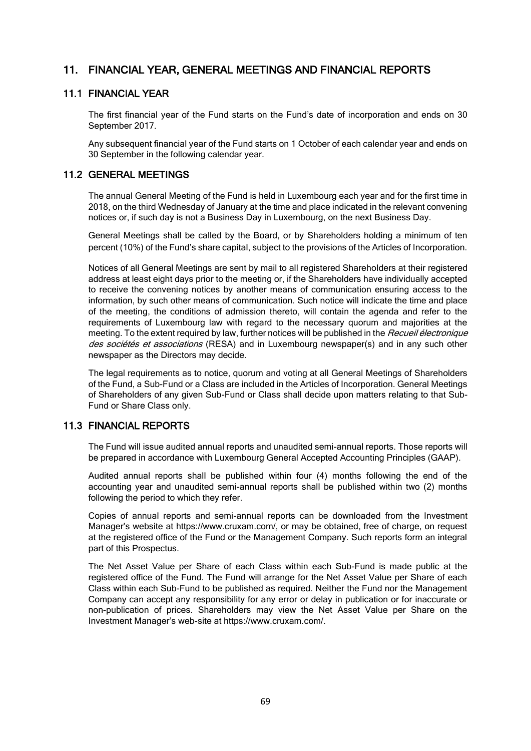# 11. FINANCIAL YEAR, GENERAL MEETINGS AND FINANCIAL REPORTS

### 11.1 FINANCIAL YEAR

The first financial year of the Fund starts on the Fund's date of incorporation and ends on 30 September 2017.

Any subsequent financial year of the Fund starts on 1 October of each calendar year and ends on 30 September in the following calendar year.

### 11.2 GENERAL MEETINGS

The annual General Meeting of the Fund is held in Luxembourg each year and for the first time in 2018, on the third Wednesday of January at the time and place indicated in the relevant convening notices or, if such day is not a Business Day in Luxembourg, on the next Business Day.

General Meetings shall be called by the Board, or by Shareholders holding a minimum of ten percent (10%) of the Fund's share capital, subject to the provisions of the Articles of Incorporation.

Notices of all General Meetings are sent by mail to all registered Shareholders at their registered address at least eight days prior to the meeting or, if the Shareholders have individually accepted to receive the convening notices by another means of communication ensuring access to the information, by such other means of communication. Such notice will indicate the time and place of the meeting, the conditions of admission thereto, will contain the agenda and refer to the requirements of Luxembourg law with regard to the necessary quorum and majorities at the meeting. To the extent required by law, further notices will be published in the Recueil électronique des sociétés et associations (RESA) and in Luxembourg newspaper(s) and in any such other newspaper as the Directors may decide.

The legal requirements as to notice, quorum and voting at all General Meetings of Shareholders of the Fund, a Sub-Fund or a Class are included in the Articles of Incorporation. General Meetings of Shareholders of any given Sub-Fund or Class shall decide upon matters relating to that Sub-Fund or Share Class only.

### 11.3 FINANCIAL REPORTS

The Fund will issue audited annual reports and unaudited semi-annual reports. Those reports will be prepared in accordance with Luxembourg General Accepted Accounting Principles (GAAP).

Audited annual reports shall be published within four (4) months following the end of the accounting year and unaudited semi-annual reports shall be published within two (2) months following the period to which they refer.

Copies of annual reports and semi-annual reports can be downloaded from the Investment Manager's website at https://www.cruxam.com/, or may be obtained, free of charge, on request at the registered office of the Fund or the Management Company. Such reports form an integral part of this Prospectus.

The Net Asset Value per Share of each Class within each Sub-Fund is made public at the registered office of the Fund. The Fund will arrange for the Net Asset Value per Share of each Class within each Sub-Fund to be published as required. Neither the Fund nor the Management Company can accept any responsibility for any error or delay in publication or for inaccurate or non-publication of prices. Shareholders may view the Net Asset Value per Share on the Investment Manager's web-site at https://www.cruxam.com/.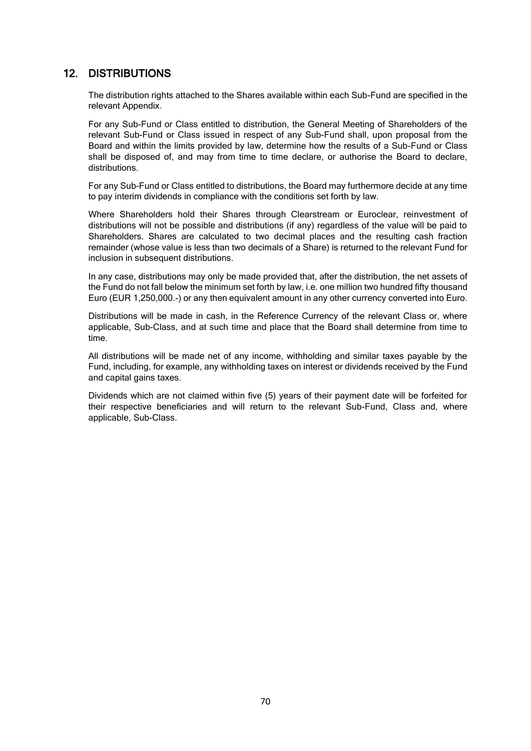# 12. DISTRIBUTIONS

The distribution rights attached to the Shares available within each Sub-Fund are specified in the relevant Appendix.

For any Sub-Fund or Class entitled to distribution, the General Meeting of Shareholders of the relevant Sub-Fund or Class issued in respect of any Sub-Fund shall, upon proposal from the Board and within the limits provided by law, determine how the results of a Sub-Fund or Class shall be disposed of, and may from time to time declare, or authorise the Board to declare, distributions.

For any Sub-Fund or Class entitled to distributions, the Board may furthermore decide at any time to pay interim dividends in compliance with the conditions set forth by law.

Where Shareholders hold their Shares through Clearstream or Euroclear, reinvestment of distributions will not be possible and distributions (if any) regardless of the value will be paid to Shareholders. Shares are calculated to two decimal places and the resulting cash fraction remainder (whose value is less than two decimals of a Share) is returned to the relevant Fund for inclusion in subsequent distributions.

In any case, distributions may only be made provided that, after the distribution, the net assets of the Fund do not fall below the minimum set forth by law, i.e. one million two hundred fifty thousand Euro (EUR 1,250,000.-) or any then equivalent amount in any other currency converted into Euro.

Distributions will be made in cash, in the Reference Currency of the relevant Class or, where applicable, Sub-Class, and at such time and place that the Board shall determine from time to time.

All distributions will be made net of any income, withholding and similar taxes payable by the Fund, including, for example, any withholding taxes on interest or dividends received by the Fund and capital gains taxes.

Dividends which are not claimed within five (5) years of their payment date will be forfeited for their respective beneficiaries and will return to the relevant Sub-Fund, Class and, where applicable, Sub-Class.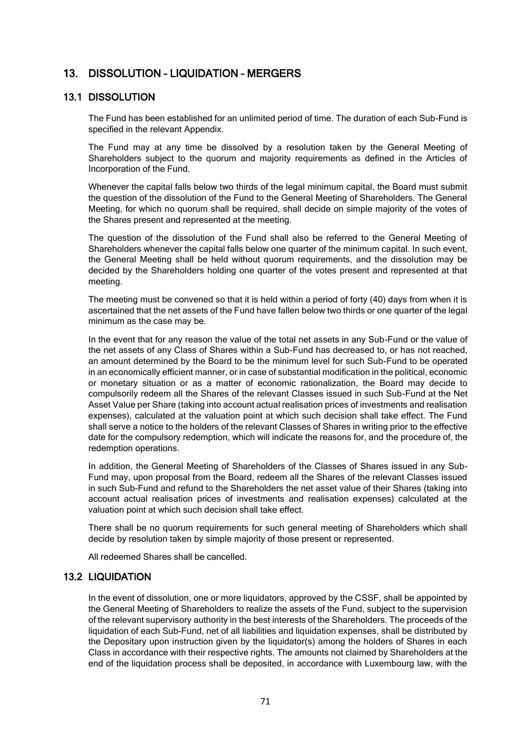# 13. DISSOLUTION – LIQUIDATION – MERGERS

### 13.1 DISSOLUTION

The Fund has been established for an unlimited period of time. The duration of each Sub-Fund is specified in the relevant Appendix.

The Fund may at any time be dissolved by a resolution taken by the General Meeting of Shareholders subject to the quorum and majority requirements as defined in the Articles of Incorporation of the Fund.

Whenever the capital falls below two thirds of the legal minimum capital, the Board must submit the question of the dissolution of the Fund to the General Meeting of Shareholders. The General Meeting, for which no quorum shall be required, shall decide on simple majority of the votes of the Shares present and represented at the meeting.

The question of the dissolution of the Fund shall also be referred to the General Meeting of Shareholders whenever the capital falls below one quarter of the minimum capital. In such event, the General Meeting shall be held without quorum requirements, and the dissolution may be decided by the Shareholders holding one quarter of the votes present and represented at that meeting.

The meeting must be convened so that it is held within a period of forty (40) days from when it is ascertained that the net assets of the Fund have fallen below two thirds or one quarter of the legal minimum as the case may be.

In the event that for any reason the value of the total net assets in any Sub-Fund or the value of the net assets of any Class of Shares within a Sub-Fund has decreased to, or has not reached, an amount determined by the Board to be the minimum level for such Sub-Fund to be operated in an economically efficient manner, or in case of substantial modification in the political, economic or monetary situation or as a matter of economic rationalization, the Board may decide to compulsorily redeem all the Shares of the relevant Classes issued in such Sub-Fund at the Net Asset Value per Share (taking into account actual realisation prices of investments and realisation expenses), calculated at the valuation point at which such decision shall take effect. The Fund shall serve a notice to the holders of the relevant Classes of Shares in writing prior to the effective date for the compulsory redemption, which will indicate the reasons for, and the procedure of, the redemption operations.

In addition, the General Meeting of Shareholders of the Classes of Shares issued in any Sub-Fund may, upon proposal from the Board, redeem all the Shares of the relevant Classes issued in such Sub-Fund and refund to the Shareholders the net asset value of their Shares (taking into account actual realisation prices of investments and realisation expenses) calculated at the valuation point at which such decision shall take effect.

There shall be no quorum requirements for such general meeting of Shareholders which shall decide by resolution taken by simple majority of those present or represented.

All redeemed Shares shall be cancelled.

# 13.2 LIQUIDATION

In the event of dissolution, one or more liquidators, approved by the CSSF, shall be appointed by the General Meeting of Shareholders to realize the assets of the Fund, subject to the supervision of the relevant supervisory authority in the best interests of the Shareholders. The proceeds of the liquidation of each Sub-Fund, net of all liabilities and liquidation expenses, shall be distributed by the Depositary upon instruction given by the liquidator(s) among the holders of Shares in each Class in accordance with their respective rights. The amounts not claimed by Shareholders at the end of the liquidation process shall be deposited, in accordance with Luxembourg law, with the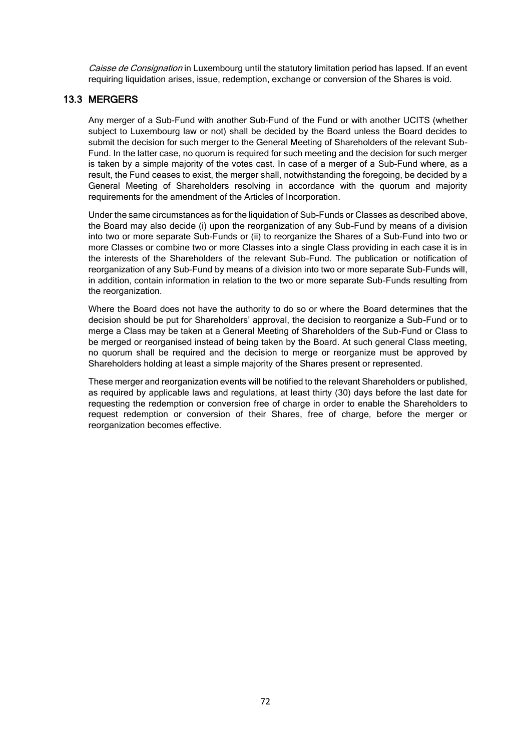Caisse de Consignation in Luxembourg until the statutory limitation period has lapsed. If an event requiring liquidation arises, issue, redemption, exchange or conversion of the Shares is void.

# 13.3 MERGERS

Any merger of a Sub-Fund with another Sub-Fund of the Fund or with another UCITS (whether subject to Luxembourg law or not) shall be decided by the Board unless the Board decides to submit the decision for such merger to the General Meeting of Shareholders of the relevant Sub-Fund. In the latter case, no quorum is required for such meeting and the decision for such merger is taken by a simple majority of the votes cast. In case of a merger of a Sub-Fund where, as a result, the Fund ceases to exist, the merger shall, notwithstanding the foregoing, be decided by a General Meeting of Shareholders resolving in accordance with the quorum and majority requirements for the amendment of the Articles of Incorporation.

Under the same circumstances as for the liquidation of Sub-Funds or Classes as described above, the Board may also decide (i) upon the reorganization of any Sub-Fund by means of a division into two or more separate Sub-Funds or (ii) to reorganize the Shares of a Sub-Fund into two or more Classes or combine two or more Classes into a single Class providing in each case it is in the interests of the Shareholders of the relevant Sub-Fund. The publication or notification of reorganization of any Sub-Fund by means of a division into two or more separate Sub-Funds will, in addition, contain information in relation to the two or more separate Sub-Funds resulting from the reorganization.

Where the Board does not have the authority to do so or where the Board determines that the decision should be put for Shareholders' approval, the decision to reorganize a Sub-Fund or to merge a Class may be taken at a General Meeting of Shareholders of the Sub-Fund or Class to be merged or reorganised instead of being taken by the Board. At such general Class meeting, no quorum shall be required and the decision to merge or reorganize must be approved by Shareholders holding at least a simple majority of the Shares present or represented.

These merger and reorganization events will be notified to the relevant Shareholders or published, as required by applicable laws and regulations, at least thirty (30) days before the last date for requesting the redemption or conversion free of charge in order to enable the Shareholders to request redemption or conversion of their Shares, free of charge, before the merger or reorganization becomes effective.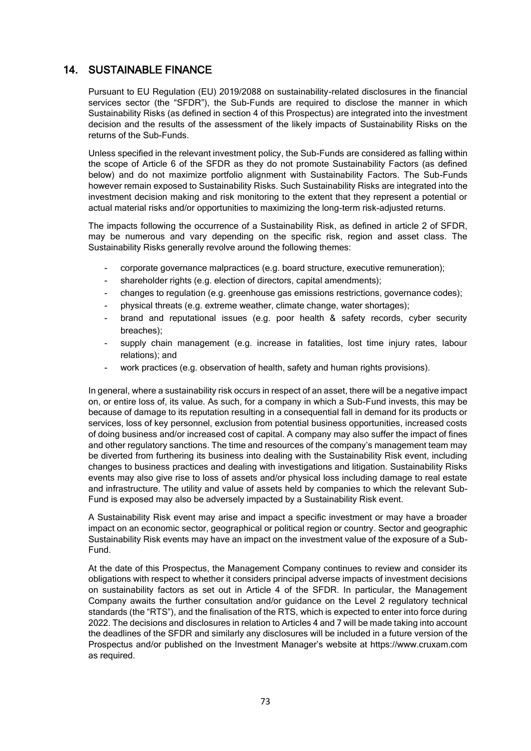# 14. SUSTAINABLE FINANCE

Pursuant to EU Regulation (EU) 2019/2088 on sustainability-related disclosures in the financial services sector (the "SFDR"), the Sub-Funds are required to disclose the manner in which Sustainability Risks (as defined in section [4](#page-26-0) of this Prospectus) are integrated into the investment decision and the results of the assessment of the likely impacts of Sustainability Risks on the returns of the Sub-Funds.

Unless specified in the relevant investment policy, the Sub-Funds are considered as falling within the scope of Article 6 of the SFDR as they do not promote Sustainability Factors (as defined below) and do not maximize portfolio alignment with Sustainability Factors. The Sub-Funds however remain exposed to Sustainability Risks. Such Sustainability Risks are integrated into the investment decision making and risk monitoring to the extent that they represent a potential or actual material risks and/or opportunities to maximizing the long-term risk-adjusted returns.

The impacts following the occurrence of a Sustainability Risk, as defined in article 2 of SFDR, may be numerous and vary depending on the specific risk, region and asset class. The Sustainability Risks generally revolve around the following themes:

- corporate governance malpractices (e.g. board structure, executive remuneration);
- shareholder rights (e.g. election of directors, capital amendments);
- changes to regulation (e.g. greenhouse gas emissions restrictions, governance codes);
- physical threats (e.g. extreme weather, climate change, water shortages);
- brand and reputational issues (e.g. poor health & safety records, cyber security breaches);
- supply chain management (e.g. increase in fatalities, lost time injury rates, labour relations); and
- work practices (e.g. observation of health, safety and human rights provisions).

In general, where a sustainability risk occurs in respect of an asset, there will be a negative impact on, or entire loss of, its value. As such, for a company in which a Sub-Fund invests, this may be because of damage to its reputation resulting in a consequential fall in demand for its products or services, loss of key personnel, exclusion from potential business opportunities, increased costs of doing business and/or increased cost of capital. A company may also suffer the impact of fines and other regulatory sanctions. The time and resources of the company's management team may be diverted from furthering its business into dealing with the Sustainability Risk event, including changes to business practices and dealing with investigations and litigation. Sustainability Risks events may also give rise to loss of assets and/or physical loss including damage to real estate and infrastructure. The utility and value of assets held by companies to which the relevant Sub-Fund is exposed may also be adversely impacted by a Sustainability Risk event.

A Sustainability Risk event may arise and impact a specific investment or may have a broader impact on an economic sector, geographical or political region or country. Sector and geographic Sustainability Risk events may have an impact on the investment value of the exposure of a Sub-Fund.

At the date of this Prospectus, the Management Company continues to review and consider its obligations with respect to whether it considers principal adverse impacts of investment decisions on sustainability factors as set out in Article 4 of the SFDR. In particular, the Management Company awaits the further consultation and/or guidance on the Level 2 regulatory technical standards (the "RTS"), and the finalisation of the RTS, which is expected to enter into force during 2022. The decisions and disclosures in relation to Articles 4 and 7 will be made taking into account the deadlines of the SFDR and similarly any disclosures will be included in a future version of the Prospectus and/or published on the Investment Manager's website at https://www.cruxam.com as required.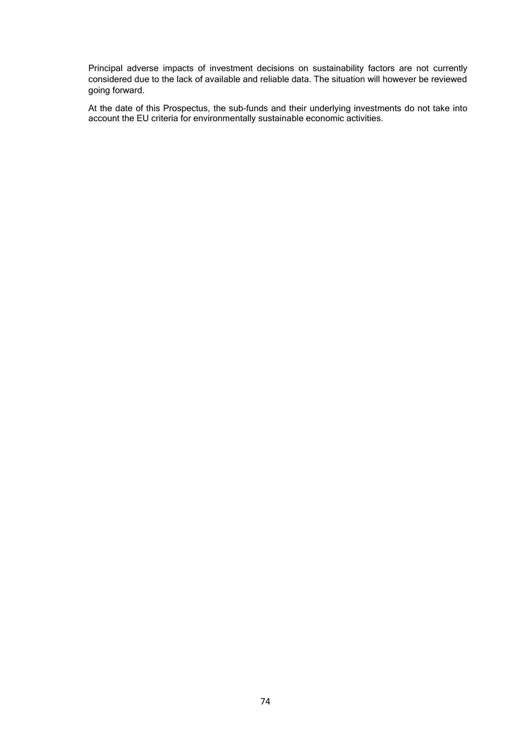Principal adverse impacts of investment decisions on sustainability factors are not currently considered due to the lack of available and reliable data. The situation will however be reviewed going forward.

At the date of this Prospectus, the sub-funds and their underlying investments do not take into account the EU criteria for environmentally sustainable economic activities.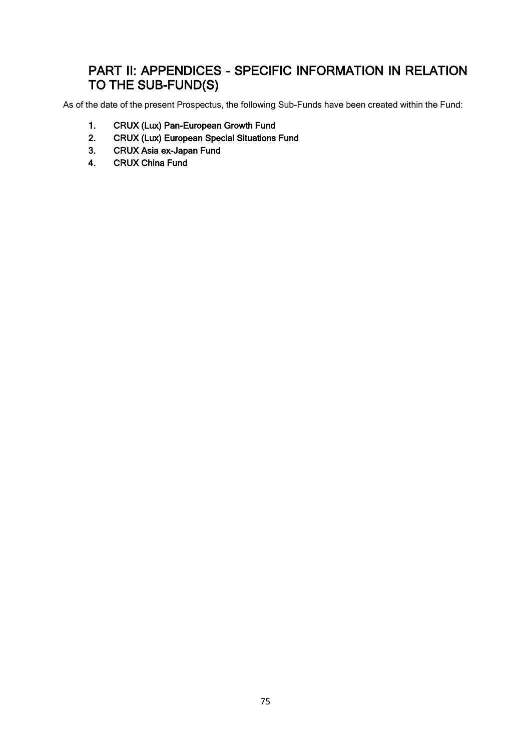# PART II: APPENDICES – SPECIFIC INFORMATION IN RELATION TO THE SUB-FUND(S)

As of the date of the present Prospectus, the following Sub-Funds have been created within the Fund:

- 1. CRUX (Lux) Pan-European Growth Fund
- 2. CRUX (Lux) European Special Situations Fund
- 3. CRUX Asia ex-Japan Fund
- 4. CRUX China Fund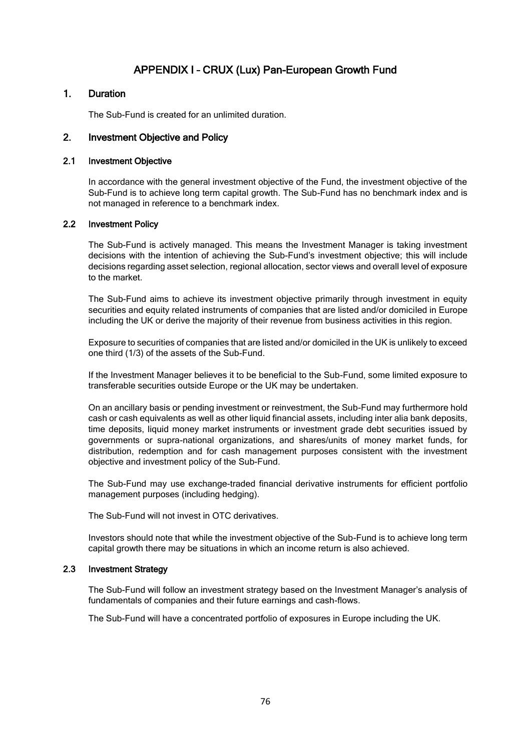# APPENDIX I – CRUX (Lux) Pan-European Growth Fund

### 1. Duration

The Sub-Fund is created for an unlimited duration.

### 2. Investment Objective and Policy

### 2.1 Investment Objective

In accordance with the general investment objective of the Fund, the investment objective of the Sub-Fund is to achieve long term capital growth. The Sub-Fund has no benchmark index and is not managed in reference to a benchmark index.

### 2.2 Investment Policy

The Sub-Fund is actively managed. This means the Investment Manager is taking investment decisions with the intention of achieving the Sub-Fund's investment objective; this will include decisions regarding asset selection, regional allocation, sector views and overall level of exposure to the market.

The Sub-Fund aims to achieve its investment objective primarily through investment in equity securities and equity related instruments of companies that are listed and/or domiciled in Europe including the UK or derive the majority of their revenue from business activities in this region.

Exposure to securities of companies that are listed and/or domiciled in the UK is unlikely to exceed one third (1/3) of the assets of the Sub-Fund.

If the Investment Manager believes it to be beneficial to the Sub-Fund, some limited exposure to transferable securities outside Europe or the UK may be undertaken.

On an ancillary basis or pending investment or reinvestment, the Sub-Fund may furthermore hold cash or cash equivalents as well as other liquid financial assets, including inter alia bank deposits, time deposits, liquid money market instruments or investment grade debt securities issued by governments or supra-national organizations, and shares/units of money market funds, for distribution, redemption and for cash management purposes consistent with the investment objective and investment policy of the Sub-Fund.

The Sub-Fund may use exchange-traded financial derivative instruments for efficient portfolio management purposes (including hedging).

The Sub-Fund will not invest in OTC derivatives.

Investors should note that while the investment objective of the Sub-Fund is to achieve long term capital growth there may be situations in which an income return is also achieved.

### 2.3 Investment Strategy

The Sub-Fund will follow an investment strategy based on the Investment Manager's analysis of fundamentals of companies and their future earnings and cash-flows.

The Sub-Fund will have a concentrated portfolio of exposures in Europe including the UK.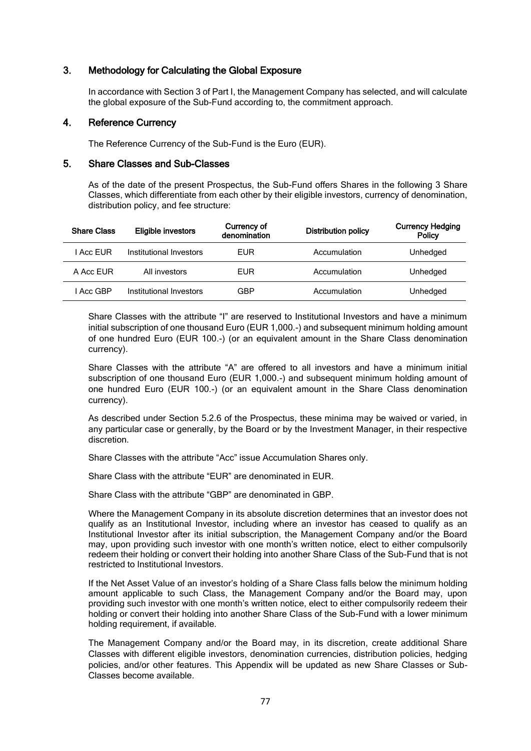### 3. Methodology for Calculating the Global Exposure

In accordance with Section 3 of Part I, the Management Company has selected, and will calculate the global exposure of the Sub-Fund according to, the commitment approach.

### 4. Reference Currency

The Reference Currency of the Sub-Fund is the Euro (EUR).

### 5. Share Classes and Sub-Classes

As of the date of the present Prospectus, the Sub-Fund offers Shares in the following 3 Share Classes, which differentiate from each other by their eligible investors, currency of denomination, distribution policy, and fee structure:

| <b>Share Class</b> | Eligible investors      | Currency of<br>denomination | <b>Distribution policy</b> | <b>Currency Hedging</b><br>Policy |
|--------------------|-------------------------|-----------------------------|----------------------------|-----------------------------------|
| I Acc FUR          | Institutional Investors | <b>EUR</b>                  | Accumulation               | Unhedged                          |
| A Acc FUR          | All investors           | EUR                         | Accumulation               | Unhedged                          |
| l Acc GBP          | Institutional Investors | GBP                         | Accumulation               | Unhedged                          |

Share Classes with the attribute "I" are reserved to Institutional Investors and have a minimum initial subscription of one thousand Euro (EUR 1,000.-) and subsequent minimum holding amount of one hundred Euro (EUR 100.-) (or an equivalent amount in the Share Class denomination currency).

Share Classes with the attribute "A" are offered to all investors and have a minimum initial subscription of one thousand Euro (EUR 1,000.-) and subsequent minimum holding amount of one hundred Euro (EUR 100.-) (or an equivalent amount in the Share Class denomination currency).

As described under Section 5.2.6 of the Prospectus, these minima may be waived or varied, in any particular case or generally, by the Board or by the Investment Manager, in their respective discretion.

Share Classes with the attribute "Acc" issue Accumulation Shares only.

Share Class with the attribute "EUR" are denominated in EUR.

Share Class with the attribute "GBP" are denominated in GBP.

Where the Management Company in its absolute discretion determines that an investor does not qualify as an Institutional Investor, including where an investor has ceased to qualify as an Institutional Investor after its initial subscription, the Management Company and/or the Board may, upon providing such investor with one month's written notice, elect to either compulsorily redeem their holding or convert their holding into another Share Class of the Sub-Fund that is not restricted to Institutional Investors.

If the Net Asset Value of an investor's holding of a Share Class falls below the minimum holding amount applicable to such Class, the Management Company and/or the Board may, upon providing such investor with one month's written notice, elect to either compulsorily redeem their holding or convert their holding into another Share Class of the Sub-Fund with a lower minimum holding requirement, if available.

The Management Company and/or the Board may, in its discretion, create additional Share Classes with different eligible investors, denomination currencies, distribution policies, hedging policies, and/or other features. This Appendix will be updated as new Share Classes or Sub-Classes become available.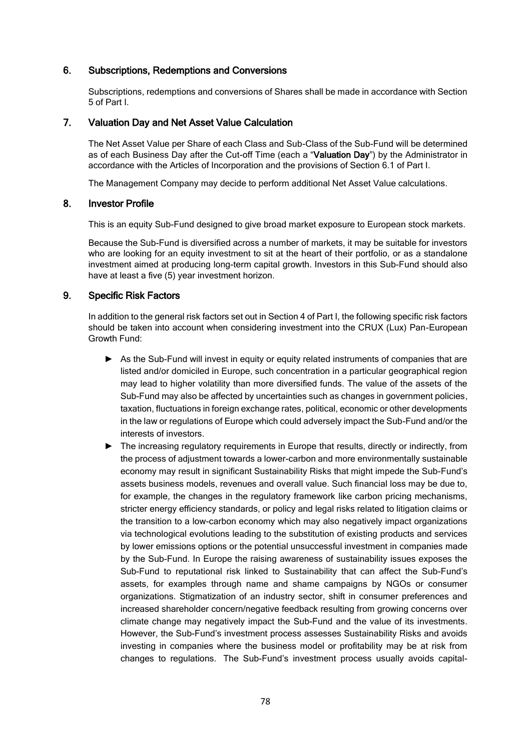### 6. Subscriptions, Redemptions and Conversions

Subscriptions, redemptions and conversions of Shares shall be made in accordance with Section 5 of Part I.

### 7. Valuation Day and Net Asset Value Calculation

The Net Asset Value per Share of each Class and Sub-Class of the Sub-Fund will be determined as of each Business Day after the Cut-off Time (each a "Valuation Day") by the Administrator in accordance with the Articles of Incorporation and the provisions of Section 6.1 of Part I.

The Management Company may decide to perform additional Net Asset Value calculations.

### 8. Investor Profile

This is an equity Sub-Fund designed to give broad market exposure to European stock markets.

Because the Sub-Fund is diversified across a number of markets, it may be suitable for investors who are looking for an equity investment to sit at the heart of their portfolio, or as a standalone investment aimed at producing long-term capital growth. Investors in this Sub-Fund should also have at least a five (5) year investment horizon.

### 9. Specific Risk Factors

In addition to the general risk factors set out in Section 4 of Part I, the following specific risk factors should be taken into account when considering investment into the CRUX (Lux) Pan-European Growth Fund:

- ► As the Sub-Fund will invest in equity or equity related instruments of companies that are listed and/or domiciled in Europe, such concentration in a particular geographical region may lead to higher volatility than more diversified funds. The value of the assets of the Sub-Fund may also be affected by uncertainties such as changes in government policies, taxation, fluctuations in foreign exchange rates, political, economic or other developments in the law or regulations of Europe which could adversely impact the Sub-Fund and/or the interests of investors.
- ► The increasing regulatory requirements in Europe that results, directly or indirectly, from the process of adjustment towards a lower-carbon and more environmentally sustainable economy may result in significant Sustainability Risks that might impede the Sub-Fund's assets business models, revenues and overall value. Such financial loss may be due to, for example, the changes in the regulatory framework like carbon pricing mechanisms, stricter energy efficiency standards, or policy and legal risks related to litigation claims or the transition to a low-carbon economy which may also negatively impact organizations via technological evolutions leading to the substitution of existing products and services by lower emissions options or the potential unsuccessful investment in companies made by the Sub-Fund. In Europe the raising awareness of sustainability issues exposes the Sub-Fund to reputational risk linked to Sustainability that can affect the Sub-Fund's assets, for examples through name and shame campaigns by NGOs or consumer organizations. Stigmatization of an industry sector, shift in consumer preferences and increased shareholder concern/negative feedback resulting from growing concerns over climate change may negatively impact the Sub-Fund and the value of its investments. However, the Sub-Fund's investment process assesses Sustainability Risks and avoids investing in companies where the business model or profitability may be at risk from changes to regulations. The Sub-Fund's investment process usually avoids capital-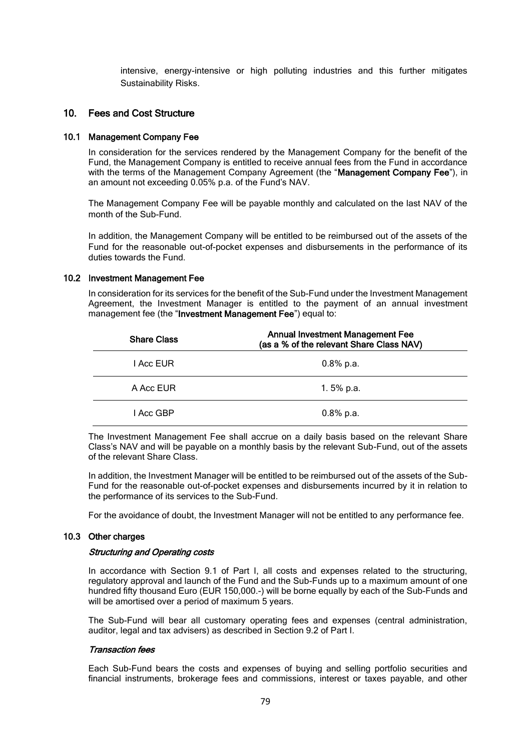intensive, energy-intensive or high polluting industries and this further mitigates Sustainability Risks.

### 10. Fees and Cost Structure

#### 10.1 Management Company Fee

In consideration for the services rendered by the Management Company for the benefit of the Fund, the Management Company is entitled to receive annual fees from the Fund in accordance with the terms of the Management Company Agreement (the "Management Company Fee"), in an amount not exceeding 0.05% p.a. of the Fund's NAV.

The Management Company Fee will be payable monthly and calculated on the last NAV of the month of the Sub-Fund.

In addition, the Management Company will be entitled to be reimbursed out of the assets of the Fund for the reasonable out-of-pocket expenses and disbursements in the performance of its duties towards the Fund.

#### 10.2 Investment Management Fee

In consideration for its services for the benefit of the Sub-Fund under the Investment Management Agreement, the Investment Manager is entitled to the payment of an annual investment management fee (the "Investment Management Fee") equal to:

| <b>Share Class</b> | <b>Annual Investment Management Fee</b><br>(as a % of the relevant Share Class NAV) |
|--------------------|-------------------------------------------------------------------------------------|
| I Acc EUR          | $0.8\%$ p.a.                                                                        |
| A Acc EUR          | 1.5% $p.a.$                                                                         |
| I Acc GBP          | $0.8\%$ p.a.                                                                        |

The Investment Management Fee shall accrue on a daily basis based on the relevant Share Class's NAV and will be payable on a monthly basis by the relevant Sub-Fund, out of the assets of the relevant Share Class.

In addition, the Investment Manager will be entitled to be reimbursed out of the assets of the Sub-Fund for the reasonable out-of-pocket expenses and disbursements incurred by it in relation to the performance of its services to the Sub-Fund.

For the avoidance of doubt, the Investment Manager will not be entitled to any performance fee.

#### 10.3 Other charges

#### Structuring and Operating costs

In accordance with Section 9.1 of Part I, all costs and expenses related to the structuring, regulatory approval and launch of the Fund and the Sub-Funds up to a maximum amount of one hundred fifty thousand Euro (EUR 150,000.-) will be borne equally by each of the Sub-Funds and will be amortised over a period of maximum 5 years.

The Sub-Fund will bear all customary operating fees and expenses (central administration, auditor, legal and tax advisers) as described in Section 9.2 of Part I.

#### Transaction fees

Each Sub-Fund bears the costs and expenses of buying and selling portfolio securities and financial instruments, brokerage fees and commissions, interest or taxes payable, and other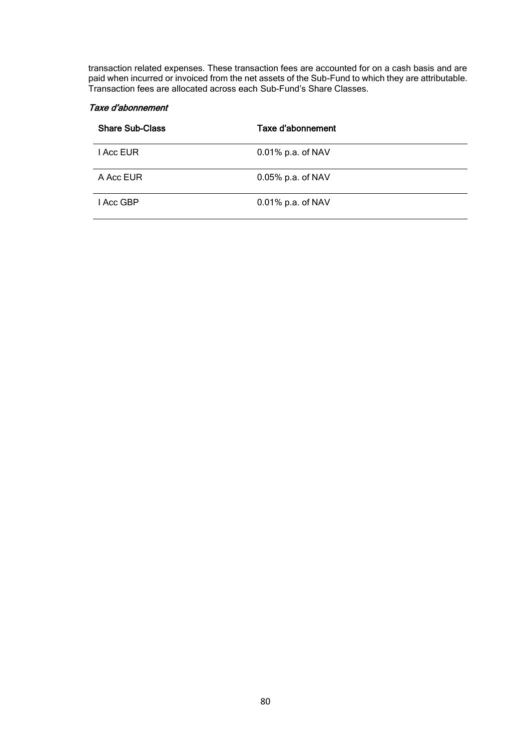transaction related expenses. These transaction fees are accounted for on a cash basis and are paid when incurred or invoiced from the net assets of the Sub-Fund to which they are attributable. Transaction fees are allocated across each Sub-Fund's Share Classes.

### Taxe d'abonnement

| <b>Share Sub-Class</b> | Taxe d'abonnement    |
|------------------------|----------------------|
| I Acc EUR              | $0.01\%$ p.a. of NAV |
| A Acc EUR              | $0.05\%$ p.a. of NAV |
| I Acc GBP              | 0.01% p.a. of NAV    |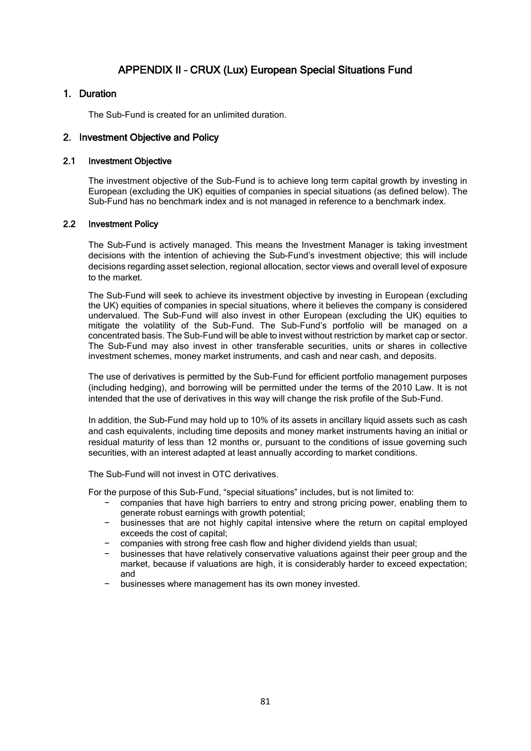# APPENDIX II – CRUX (Lux) European Special Situations Fund

### 1. Duration

The Sub-Fund is created for an unlimited duration.

### 2. Investment Objective and Policy

### 2.1 Investment Objective

The investment objective of the Sub-Fund is to achieve long term capital growth by investing in European (excluding the UK) equities of companies in special situations (as defined below). The Sub-Fund has no benchmark index and is not managed in reference to a benchmark index.

### 2.2 Investment Policy

The Sub-Fund is actively managed. This means the Investment Manager is taking investment decisions with the intention of achieving the Sub-Fund's investment objective; this will include decisions regarding asset selection, regional allocation, sector views and overall level of exposure to the market.

The Sub-Fund will seek to achieve its investment objective by investing in European (excluding the UK) equities of companies in special situations, where it believes the company is considered undervalued. The Sub-Fund will also invest in other European (excluding the UK) equities to mitigate the volatility of the Sub-Fund. The Sub-Fund's portfolio will be managed on a concentrated basis. The Sub-Fund will be able to invest without restriction by market cap or sector. The Sub-Fund may also invest in other transferable securities, units or shares in collective investment schemes, money market instruments, and cash and near cash, and deposits.

The use of derivatives is permitted by the Sub-Fund for efficient portfolio management purposes (including hedging), and borrowing will be permitted under the terms of the 2010 Law. It is not intended that the use of derivatives in this way will change the risk profile of the Sub-Fund.

In addition, the Sub-Fund may hold up to 10% of its assets in ancillary liquid assets such as cash and cash equivalents, including time deposits and money market instruments having an initial or residual maturity of less than 12 months or, pursuant to the conditions of issue governing such securities, with an interest adapted at least annually according to market conditions.

The Sub-Fund will not invest in OTC derivatives.

For the purpose of this Sub-Fund, "special situations" includes, but is not limited to:

- − companies that have high barriers to entry and strong pricing power, enabling them to generate robust earnings with growth potential;
- − businesses that are not highly capital intensive where the return on capital employed exceeds the cost of capital;
- − companies with strong free cash flow and higher dividend yields than usual;
- − businesses that have relatively conservative valuations against their peer group and the market, because if valuations are high, it is considerably harder to exceed expectation; and
- businesses where management has its own money invested.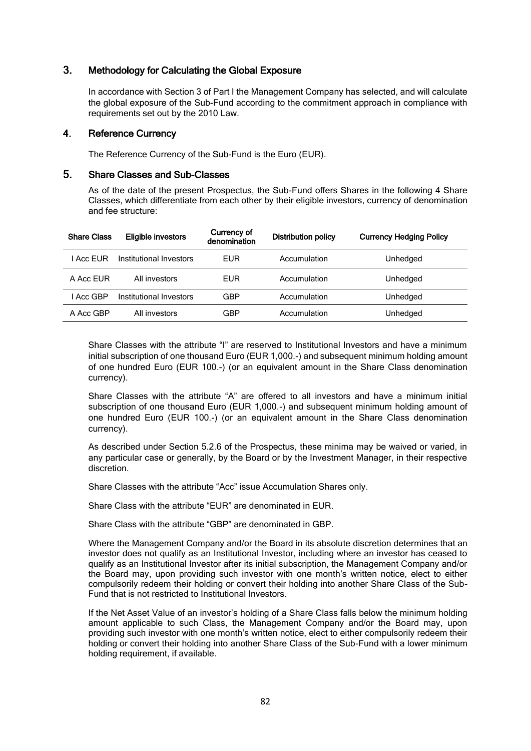### 3. Methodology for Calculating the Global Exposure

In accordance with Section 3 of Part I the Management Company has selected, and will calculate the global exposure of the Sub-Fund according to the commitment approach in compliance with requirements set out by the 2010 Law.

### 4. Reference Currency

The Reference Currency of the Sub-Fund is the Euro (EUR).

### 5. Share Classes and Sub-Classes

As of the date of the present Prospectus, the Sub-Fund offers Shares in the following 4 Share Classes, which differentiate from each other by their eligible investors, currency of denomination and fee structure:

| <b>Share Class</b> | <b>Eligible investors</b> | Currency of<br>denomination | <b>Distribution policy</b> | <b>Currency Hedging Policy</b> |
|--------------------|---------------------------|-----------------------------|----------------------------|--------------------------------|
| I Acc FUR          | Institutional Investors   | EUR                         | Accumulation               | Unhedged                       |
| A Acc FUR          | All investors             | EUR                         | Accumulation               | Unhedged                       |
| I Acc GBP          | Institutional Investors   | <b>GBP</b>                  | Accumulation               | Unhedged                       |
| A Acc GBP          | All investors             | <b>GBP</b>                  | Accumulation               | Unhedged                       |

Share Classes with the attribute "I" are reserved to Institutional Investors and have a minimum initial subscription of one thousand Euro (EUR 1,000.-) and subsequent minimum holding amount of one hundred Euro (EUR 100.-) (or an equivalent amount in the Share Class denomination currency).

Share Classes with the attribute "A" are offered to all investors and have a minimum initial subscription of one thousand Euro (EUR 1,000.-) and subsequent minimum holding amount of one hundred Euro (EUR 100.-) (or an equivalent amount in the Share Class denomination currency).

As described under Section 5.2.6 of the Prospectus, these minima may be waived or varied, in any particular case or generally, by the Board or by the Investment Manager, in their respective discretion.

Share Classes with the attribute "Acc" issue Accumulation Shares only.

Share Class with the attribute "EUR" are denominated in EUR.

Share Class with the attribute "GBP" are denominated in GBP.

Where the Management Company and/or the Board in its absolute discretion determines that an investor does not qualify as an Institutional Investor, including where an investor has ceased to qualify as an Institutional Investor after its initial subscription, the Management Company and/or the Board may, upon providing such investor with one month's written notice, elect to either compulsorily redeem their holding or convert their holding into another Share Class of the Sub-Fund that is not restricted to Institutional Investors.

If the Net Asset Value of an investor's holding of a Share Class falls below the minimum holding amount applicable to such Class, the Management Company and/or the Board may, upon providing such investor with one month's written notice, elect to either compulsorily redeem their holding or convert their holding into another Share Class of the Sub-Fund with a lower minimum holding requirement, if available.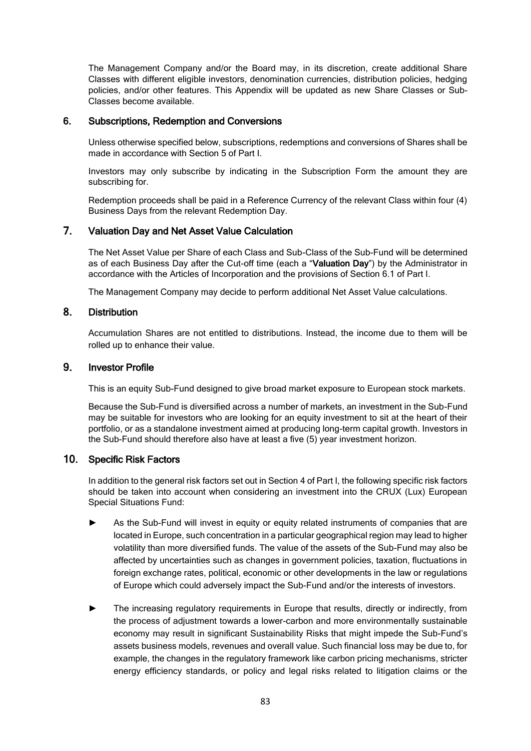The Management Company and/or the Board may, in its discretion, create additional Share Classes with different eligible investors, denomination currencies, distribution policies, hedging policies, and/or other features. This Appendix will be updated as new Share Classes or Sub-Classes become available.

### 6. Subscriptions, Redemption and Conversions

Unless otherwise specified below, subscriptions, redemptions and conversions of Shares shall be made in accordance with Section 5 of Part I.

Investors may only subscribe by indicating in the Subscription Form the amount they are subscribing for.

Redemption proceeds shall be paid in a Reference Currency of the relevant Class within four (4) Business Days from the relevant Redemption Day.

### 7. Valuation Day and Net Asset Value Calculation

The Net Asset Value per Share of each Class and Sub-Class of the Sub-Fund will be determined as of each Business Day after the Cut-off time (each a "Valuation Day") by the Administrator in accordance with the Articles of Incorporation and the provisions of Section 6.1 of Part I.

The Management Company may decide to perform additional Net Asset Value calculations.

### 8. Distribution

Accumulation Shares are not entitled to distributions. Instead, the income due to them will be rolled up to enhance their value.

### 9. Investor Profile

This is an equity Sub-Fund designed to give broad market exposure to European stock markets.

Because the Sub-Fund is diversified across a number of markets, an investment in the Sub-Fund may be suitable for investors who are looking for an equity investment to sit at the heart of their portfolio, or as a standalone investment aimed at producing long-term capital growth. Investors in the Sub-Fund should therefore also have at least a five (5) year investment horizon.

### 10. Specific Risk Factors

In addition to the general risk factors set out in Section 4 of Part I, the following specific risk factors should be taken into account when considering an investment into the CRUX (Lux) European Special Situations Fund:

- As the Sub-Fund will invest in equity or equity related instruments of companies that are located in Europe, such concentration in a particular geographical region may lead to higher volatility than more diversified funds. The value of the assets of the Sub-Fund may also be affected by uncertainties such as changes in government policies, taxation, fluctuations in foreign exchange rates, political, economic or other developments in the law or regulations of Europe which could adversely impact the Sub-Fund and/or the interests of investors.
- ► The increasing regulatory requirements in Europe that results, directly or indirectly, from the process of adjustment towards a lower-carbon and more environmentally sustainable economy may result in significant Sustainability Risks that might impede the Sub-Fund's assets business models, revenues and overall value. Such financial loss may be due to, for example, the changes in the regulatory framework like carbon pricing mechanisms, stricter energy efficiency standards, or policy and legal risks related to litigation claims or the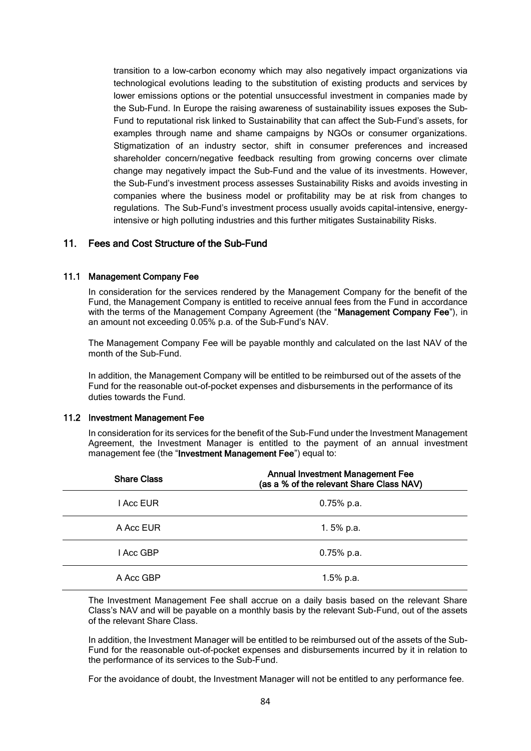transition to a low-carbon economy which may also negatively impact organizations via technological evolutions leading to the substitution of existing products and services by lower emissions options or the potential unsuccessful investment in companies made by the Sub-Fund. In Europe the raising awareness of sustainability issues exposes the Sub-Fund to reputational risk linked to Sustainability that can affect the Sub-Fund's assets, for examples through name and shame campaigns by NGOs or consumer organizations. Stigmatization of an industry sector, shift in consumer preferences and increased shareholder concern/negative feedback resulting from growing concerns over climate change may negatively impact the Sub-Fund and the value of its investments. However, the Sub-Fund's investment process assesses Sustainability Risks and avoids investing in companies where the business model or profitability may be at risk from changes to regulations. The Sub-Fund's investment process usually avoids capital-intensive, energyintensive or high polluting industries and this further mitigates Sustainability Risks.

### 11. Fees and Cost Structure of the Sub-Fund

#### 11.1 Management Company Fee

In consideration for the services rendered by the Management Company for the benefit of the Fund, the Management Company is entitled to receive annual fees from the Fund in accordance with the terms of the Management Company Agreement (the "Management Company Fee"), in an amount not exceeding 0.05% p.a. of the Sub-Fund's NAV.

The Management Company Fee will be payable monthly and calculated on the last NAV of the month of the Sub-Fund.

In addition, the Management Company will be entitled to be reimbursed out of the assets of the Fund for the reasonable out-of-pocket expenses and disbursements in the performance of its duties towards the Fund.

#### 11.2 Investment Management Fee

In consideration for its services for the benefit of the Sub-Fund under the Investment Management Agreement, the Investment Manager is entitled to the payment of an annual investment management fee (the "Investment Management Fee") equal to:

| <b>Share Class</b> | <b>Annual Investment Management Fee</b><br>(as a % of the relevant Share Class NAV) |
|--------------------|-------------------------------------------------------------------------------------|
| I Acc EUR          | $0.75%$ p.a.                                                                        |
| A Acc EUR          | 1.5% $p.a.$                                                                         |
| l Acc GBP          | $0.75%$ p.a.                                                                        |
| A Acc GBP          | $1.5%$ p.a.                                                                         |

The Investment Management Fee shall accrue on a daily basis based on the relevant Share Class's NAV and will be payable on a monthly basis by the relevant Sub-Fund, out of the assets of the relevant Share Class.

In addition, the Investment Manager will be entitled to be reimbursed out of the assets of the Sub-Fund for the reasonable out-of-pocket expenses and disbursements incurred by it in relation to the performance of its services to the Sub-Fund.

For the avoidance of doubt, the Investment Manager will not be entitled to any performance fee.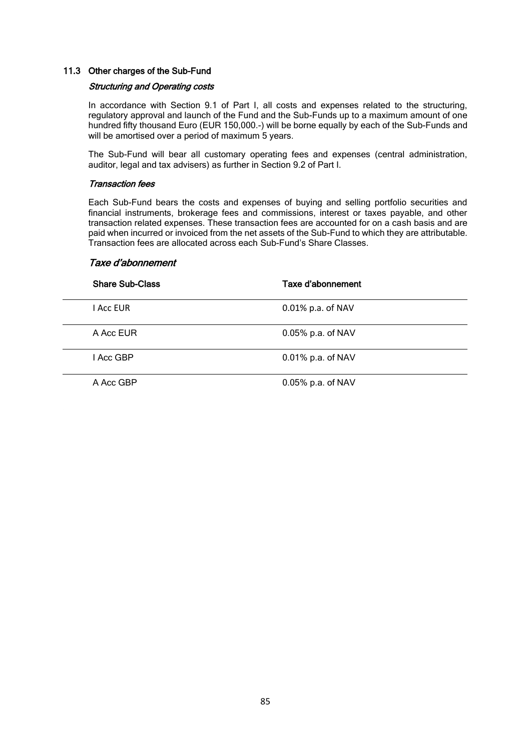#### 11.3 Other charges of the Sub-Fund

#### Structuring and Operating costs

In accordance with Section 9.1 of Part I, all costs and expenses related to the structuring, regulatory approval and launch of the Fund and the Sub-Funds up to a maximum amount of one hundred fifty thousand Euro (EUR 150,000.-) will be borne equally by each of the Sub-Funds and will be amortised over a period of maximum 5 years.

The Sub-Fund will bear all customary operating fees and expenses (central administration, auditor, legal and tax advisers) as further in Section 9.2 of Part I.

#### Transaction fees

Each Sub-Fund bears the costs and expenses of buying and selling portfolio securities and financial instruments, brokerage fees and commissions, interest or taxes payable, and other transaction related expenses. These transaction fees are accounted for on a cash basis and are paid when incurred or invoiced from the net assets of the Sub-Fund to which they are attributable. Transaction fees are allocated across each Sub-Fund's Share Classes.

#### Taxe d'abonnement

| <b>Share Sub-Class</b> | Taxe d'abonnement    |
|------------------------|----------------------|
| I Acc EUR              | 0.01% p.a. of NAV    |
| A Acc EUR              | $0.05\%$ p.a. of NAV |
| I Acc GBP              | $0.01\%$ p.a. of NAV |
| A Acc GBP              | 0.05% p.a. of NAV    |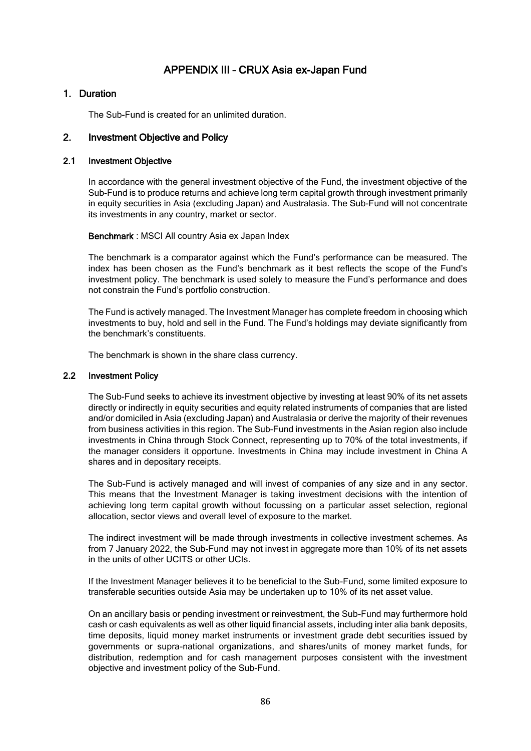# APPENDIX III – CRUX Asia ex-Japan Fund

### 1. Duration

The Sub-Fund is created for an unlimited duration.

### 2. Investment Objective and Policy

### 2.1 Investment Objective

In accordance with the general investment objective of the Fund, the investment objective of the Sub-Fund is to produce returns and achieve long term capital growth through investment primarily in equity securities in Asia (excluding Japan) and Australasia. The Sub-Fund will not concentrate its investments in any country, market or sector.

Benchmark : MSCI All country Asia ex Japan Index

The benchmark is a comparator against which the Fund's performance can be measured. The index has been chosen as the Fund's benchmark as it best reflects the scope of the Fund's investment policy. The benchmark is used solely to measure the Fund's performance and does not constrain the Fund's portfolio construction.

The Fund is actively managed. The Investment Manager has complete freedom in choosing which investments to buy, hold and sell in the Fund. The Fund's holdings may deviate significantly from the benchmark's constituents.

The benchmark is shown in the share class currency.

#### 2.2 Investment Policy

The Sub-Fund seeks to achieve its investment objective by investing at least 90% of its net assets directly or indirectly in equity securities and equity related instruments of companies that are listed and/or domiciled in Asia (excluding Japan) and Australasia or derive the majority of their revenues from business activities in this region. The Sub-Fund investments in the Asian region also include investments in China through Stock Connect, representing up to 70% of the total investments, if the manager considers it opportune. Investments in China may include investment in China A shares and in depositary receipts.

The Sub-Fund is actively managed and will invest of companies of any size and in any sector. This means that the Investment Manager is taking investment decisions with the intention of achieving long term capital growth without focussing on a particular asset selection, regional allocation, sector views and overall level of exposure to the market.

The indirect investment will be made through investments in collective investment schemes. As from 7 January 2022, the Sub-Fund may not invest in aggregate more than 10% of its net assets in the units of other UCITS or other UCIs.

If the Investment Manager believes it to be beneficial to the Sub-Fund, some limited exposure to transferable securities outside Asia may be undertaken up to 10% of its net asset value.

On an ancillary basis or pending investment or reinvestment, the Sub-Fund may furthermore hold cash or cash equivalents as well as other liquid financial assets, including inter alia bank deposits, time deposits, liquid money market instruments or investment grade debt securities issued by governments or supra-national organizations, and shares/units of money market funds, for distribution, redemption and for cash management purposes consistent with the investment objective and investment policy of the Sub-Fund.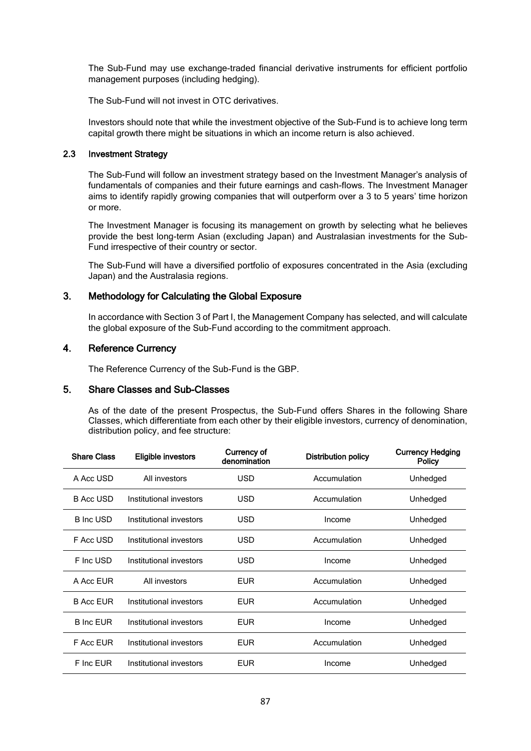The Sub-Fund may use exchange-traded financial derivative instruments for efficient portfolio management purposes (including hedging).

The Sub-Fund will not invest in OTC derivatives.

Investors should note that while the investment objective of the Sub-Fund is to achieve long term capital growth there might be situations in which an income return is also achieved.

### 2.3 Investment Strategy

The Sub-Fund will follow an investment strategy based on the Investment Manager's analysis of fundamentals of companies and their future earnings and cash-flows. The Investment Manager aims to identify rapidly growing companies that will outperform over a 3 to 5 years' time horizon or more.

The Investment Manager is focusing its management on growth by selecting what he believes provide the best long-term Asian (excluding Japan) and Australasian investments for the Sub-Fund irrespective of their country or sector.

The Sub-Fund will have a diversified portfolio of exposures concentrated in the Asia (excluding Japan) and the Australasia regions.

### 3. Methodology for Calculating the Global Exposure

In accordance with Section 3 of Part I, the Management Company has selected, and will calculate the global exposure of the Sub-Fund according to the commitment approach.

### 4. Reference Currency

The Reference Currency of the Sub-Fund is the GBP.

### 5. Share Classes and Sub-Classes

As of the date of the present Prospectus, the Sub-Fund offers Shares in the following Share Classes, which differentiate from each other by their eligible investors, currency of denomination, distribution policy, and fee structure:

| <b>Share Class</b> | Eligible investors      | Currency of<br>denomination | <b>Distribution policy</b> | <b>Currency Hedging</b><br><b>Policy</b> |
|--------------------|-------------------------|-----------------------------|----------------------------|------------------------------------------|
| A Acc USD          | All investors           | <b>USD</b>                  | Accumulation               | Unhedged                                 |
| <b>B Acc USD</b>   | Institutional investors | <b>USD</b>                  | Accumulation               | Unhedged                                 |
| <b>B</b> Inc USD   | Institutional investors | <b>USD</b>                  | Income                     | Unhedged                                 |
| F Acc USD          | Institutional investors | <b>USD</b>                  | Accumulation               | Unhedged                                 |
| F Inc USD          | Institutional investors | <b>USD</b>                  | Income                     | Unhedged                                 |
| A Acc EUR          | All investors           | <b>EUR</b>                  | Accumulation               | Unhedged                                 |
| <b>B Acc EUR</b>   | Institutional investors | <b>EUR</b>                  | Accumulation               | Unhedged                                 |
| <b>B</b> Inc EUR   | Institutional investors | <b>EUR</b>                  | Income                     | Unhedged                                 |
| F Acc EUR          | Institutional investors | <b>EUR</b>                  | Accumulation               | Unhedged                                 |
| F Inc EUR          | Institutional investors | <b>EUR</b>                  | Income                     | Unhedged                                 |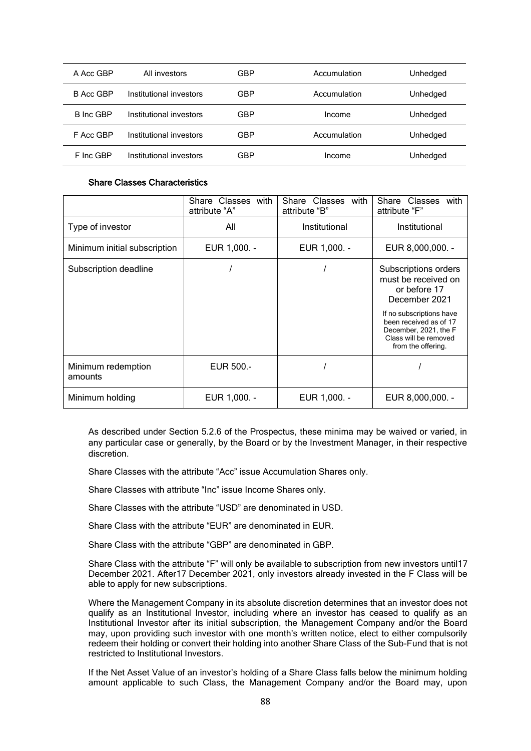| A Acc GBP        | All investors           | GBP | Accumulation | Unhedged |
|------------------|-------------------------|-----|--------------|----------|
| B Acc GBP        | Institutional investors | GBP | Accumulation | Unhedged |
| <b>B</b> Inc GBP | Institutional investors | GBP | Income       | Unhedged |
| F Acc GBP        | Institutional investors | GBP | Accumulation | Unhedged |
| F Inc GBP        | Institutional investors | GBP | Income       | Unhedged |

#### Share Classes Characteristics

|                               | Share Classes with<br>attribute "A" | Classes with<br>Share<br>attribute "B" | Share Classes<br>with<br>attribute "F"                                                                                                                                                                     |
|-------------------------------|-------------------------------------|----------------------------------------|------------------------------------------------------------------------------------------------------------------------------------------------------------------------------------------------------------|
| Type of investor              | All                                 | Institutional                          | Institutional                                                                                                                                                                                              |
| Minimum initial subscription  | EUR 1,000. -                        | EUR 1,000. -                           | EUR 8,000,000. -                                                                                                                                                                                           |
| Subscription deadline         |                                     |                                        | Subscriptions orders<br>must be received on<br>or before 17<br>December 2021<br>If no subscriptions have<br>been received as of 17<br>December, 2021, the F<br>Class will be removed<br>from the offering. |
| Minimum redemption<br>amounts | EUR 500.-                           |                                        |                                                                                                                                                                                                            |
| Minimum holding               | EUR 1,000. -                        | EUR 1,000. -                           | EUR 8,000,000. -                                                                                                                                                                                           |

As described under Section 5.2.6 of the Prospectus, these minima may be waived or varied, in any particular case or generally, by the Board or by the Investment Manager, in their respective discretion.

Share Classes with the attribute "Acc" issue Accumulation Shares only.

Share Classes with attribute "Inc" issue Income Shares only.

Share Classes with the attribute "USD" are denominated in USD.

Share Class with the attribute "EUR" are denominated in EUR.

Share Class with the attribute "GBP" are denominated in GBP.

Share Class with the attribute "F" will only be available to subscription from new investors until17 December 2021. After17 December 2021, only investors already invested in the F Class will be able to apply for new subscriptions.

Where the Management Company in its absolute discretion determines that an investor does not qualify as an Institutional Investor, including where an investor has ceased to qualify as an Institutional Investor after its initial subscription, the Management Company and/or the Board may, upon providing such investor with one month's written notice, elect to either compulsorily redeem their holding or convert their holding into another Share Class of the Sub-Fund that is not restricted to Institutional Investors.

If the Net Asset Value of an investor's holding of a Share Class falls below the minimum holding amount applicable to such Class, the Management Company and/or the Board may, upon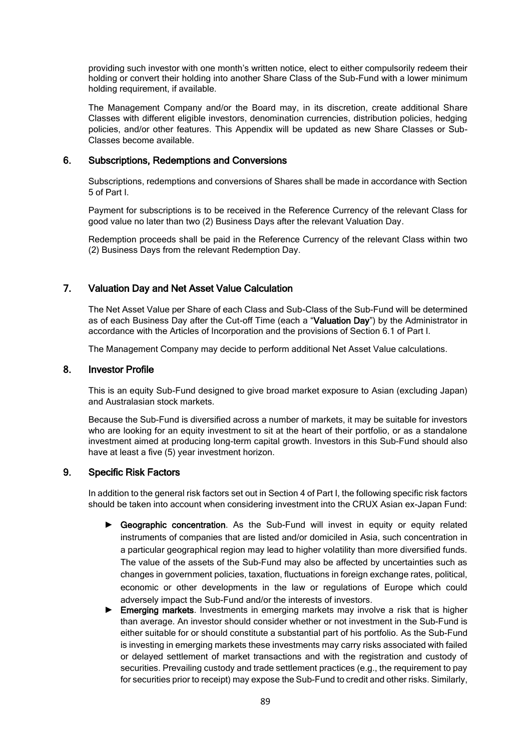providing such investor with one month's written notice, elect to either compulsorily redeem their holding or convert their holding into another Share Class of the Sub-Fund with a lower minimum holding requirement, if available.

The Management Company and/or the Board may, in its discretion, create additional Share Classes with different eligible investors, denomination currencies, distribution policies, hedging policies, and/or other features. This Appendix will be updated as new Share Classes or Sub-Classes become available.

### 6. Subscriptions, Redemptions and Conversions

Subscriptions, redemptions and conversions of Shares shall be made in accordance with Section 5 of Part I.

Payment for subscriptions is to be received in the Reference Currency of the relevant Class for good value no later than two (2) Business Days after the relevant Valuation Day.

Redemption proceeds shall be paid in the Reference Currency of the relevant Class within two (2) Business Days from the relevant Redemption Day.

### 7. Valuation Day and Net Asset Value Calculation

The Net Asset Value per Share of each Class and Sub-Class of the Sub-Fund will be determined as of each Business Day after the Cut-off Time (each a "Valuation Day") by the Administrator in accordance with the Articles of Incorporation and the provisions of Section 6.1 of Part I.

The Management Company may decide to perform additional Net Asset Value calculations.

### 8. Investor Profile

This is an equity Sub-Fund designed to give broad market exposure to Asian (excluding Japan) and Australasian stock markets.

Because the Sub-Fund is diversified across a number of markets, it may be suitable for investors who are looking for an equity investment to sit at the heart of their portfolio, or as a standalone investment aimed at producing long-term capital growth. Investors in this Sub-Fund should also have at least a five (5) year investment horizon.

### 9. Specific Risk Factors

In addition to the general risk factors set out in Section 4 of Part I, the following specific risk factors should be taken into account when considering investment into the CRUX Asian ex-Japan Fund:

- ► Geographic concentration. As the Sub-Fund will invest in equity or equity related instruments of companies that are listed and/or domiciled in Asia, such concentration in a particular geographical region may lead to higher volatility than more diversified funds. The value of the assets of the Sub-Fund may also be affected by uncertainties such as changes in government policies, taxation, fluctuations in foreign exchange rates, political, economic or other developments in the law or regulations of Europe which could adversely impact the Sub-Fund and/or the interests of investors.
- ► Emerging markets. Investments in emerging markets may involve a risk that is higher than average. An investor should consider whether or not investment in the Sub-Fund is either suitable for or should constitute a substantial part of his portfolio. As the Sub-Fund is investing in emerging markets these investments may carry risks associated with failed or delayed settlement of market transactions and with the registration and custody of securities. Prevailing custody and trade settlement practices (e.g., the requirement to pay for securities prior to receipt) may expose the Sub-Fund to credit and other risks. Similarly,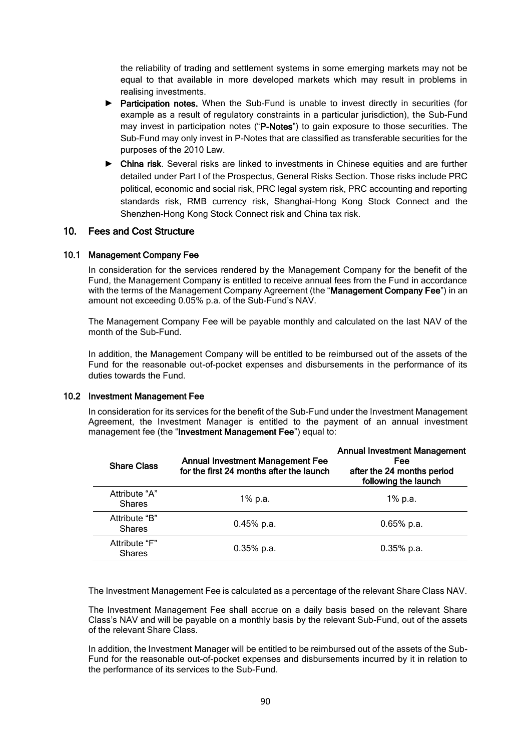the reliability of trading and settlement systems in some emerging markets may not be equal to that available in more developed markets which may result in problems in realising investments.

- ► Participation notes. When the Sub-Fund is unable to invest directly in securities (for example as a result of regulatory constraints in a particular jurisdiction), the Sub-Fund may invest in participation notes ("P-Notes") to gain exposure to those securities. The Sub-Fund may only invest in P-Notes that are classified as transferable securities for the purposes of the 2010 Law.
- ► China risk. Several risks are linked to investments in Chinese equities and are further detailed under Part I of the Prospectus, General Risks Section. Those risks include PRC political, economic and social risk, PRC legal system risk, PRC accounting and reporting standards risk, RMB currency risk, Shanghai-Hong Kong Stock Connect and the Shenzhen-Hong Kong Stock Connect risk and China tax risk.

### 10. Fees and Cost Structure

#### 10.1 Management Company Fee

In consideration for the services rendered by the Management Company for the benefit of the Fund, the Management Company is entitled to receive annual fees from the Fund in accordance with the terms of the Management Company Agreement (the "Management Company Fee") in an amount not exceeding 0.05% p.a. of the Sub-Fund's NAV.

The Management Company Fee will be payable monthly and calculated on the last NAV of the month of the Sub-Fund.

In addition, the Management Company will be entitled to be reimbursed out of the assets of the Fund for the reasonable out-of-pocket expenses and disbursements in the performance of its duties towards the Fund.

#### 10.2 Investment Management Fee

In consideration for its services for the benefit of the Sub-Fund under the Investment Management Agreement, the Investment Manager is entitled to the payment of an annual investment management fee (the "Investment Management Fee") equal to:

| <b>Share Class</b>             | <b>Annual Investment Management Fee</b><br>for the first 24 months after the launch | <b>Annual Investment Management</b><br><b>Fee</b><br>after the 24 months period<br>following the launch |
|--------------------------------|-------------------------------------------------------------------------------------|---------------------------------------------------------------------------------------------------------|
| Attribute "A"<br><b>Shares</b> | 1% p.a.                                                                             | 1% p.a.                                                                                                 |
| Attribute "B"<br><b>Shares</b> | $0.45%$ p.a.                                                                        | $0.65%$ p.a.                                                                                            |
| Attribute "F"<br><b>Shares</b> | $0.35\%$ p.a.                                                                       | $0.35\%$ p.a.                                                                                           |

The Investment Management Fee is calculated as a percentage of the relevant Share Class NAV.

The Investment Management Fee shall accrue on a daily basis based on the relevant Share Class's NAV and will be payable on a monthly basis by the relevant Sub-Fund, out of the assets of the relevant Share Class.

In addition, the Investment Manager will be entitled to be reimbursed out of the assets of the Sub-Fund for the reasonable out-of-pocket expenses and disbursements incurred by it in relation to the performance of its services to the Sub-Fund.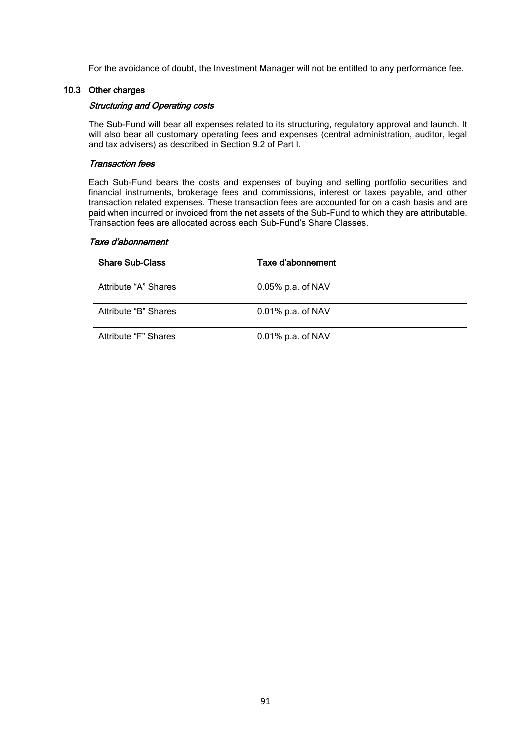For the avoidance of doubt, the Investment Manager will not be entitled to any performance fee.

### 10.3 Other charges

### Structuring and Operating costs

The Sub-Fund will bear all expenses related to its structuring, regulatory approval and launch. It will also bear all customary operating fees and expenses (central administration, auditor, legal and tax advisers) as described in Section 9.2 of Part I.

#### Transaction fees

Each Sub-Fund bears the costs and expenses of buying and selling portfolio securities and financial instruments, brokerage fees and commissions, interest or taxes payable, and other transaction related expenses. These transaction fees are accounted for on a cash basis and are paid when incurred or invoiced from the net assets of the Sub-Fund to which they are attributable. Transaction fees are allocated across each Sub-Fund's Share Classes.

#### Taxe d'abonnement

| <b>Share Sub-Class</b> | Taxe d'abonnement    |
|------------------------|----------------------|
| Attribute "A" Shares   | $0.05\%$ p.a. of NAV |
| Attribute "B" Shares   | $0.01\%$ p.a. of NAV |
| Attribute "F" Shares   | $0.01\%$ p.a. of NAV |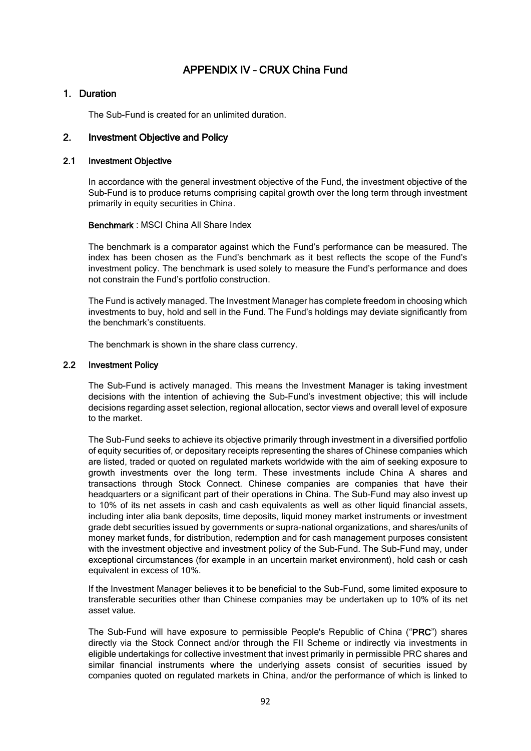# APPENDIX IV – CRUX China Fund

### 1. Duration

The Sub-Fund is created for an unlimited duration.

### 2. Investment Objective and Policy

### 2.1 Investment Objective

In accordance with the general investment objective of the Fund, the investment objective of the Sub-Fund is to produce returns comprising capital growth over the long term through investment primarily in equity securities in China.

#### Benchmark : MSCI China All Share Index

The benchmark is a comparator against which the Fund's performance can be measured. The index has been chosen as the Fund's benchmark as it best reflects the scope of the Fund's investment policy. The benchmark is used solely to measure the Fund's performance and does not constrain the Fund's portfolio construction.

The Fund is actively managed. The Investment Manager has complete freedom in choosing which investments to buy, hold and sell in the Fund. The Fund's holdings may deviate significantly from the benchmark's constituents.

The benchmark is shown in the share class currency.

### 2.2 Investment Policy

The Sub-Fund is actively managed. This means the Investment Manager is taking investment decisions with the intention of achieving the Sub-Fund's investment objective; this will include decisions regarding asset selection, regional allocation, sector views and overall level of exposure to the market.

The Sub-Fund seeks to achieve its objective primarily through investment in a diversified portfolio of equity securities of, or depositary receipts representing the shares of Chinese companies which are listed, traded or quoted on regulated markets worldwide with the aim of seeking exposure to growth investments over the long term. These investments include China A shares and transactions through Stock Connect. Chinese companies are companies that have their headquarters or a significant part of their operations in China. The Sub-Fund may also invest up to 10% of its net assets in cash and cash equivalents as well as other liquid financial assets, including inter alia bank deposits, time deposits, liquid money market instruments or investment grade debt securities issued by governments or supra-national organizations, and shares/units of money market funds, for distribution, redemption and for cash management purposes consistent with the investment objective and investment policy of the Sub-Fund. The Sub-Fund may, under exceptional circumstances (for example in an uncertain market environment), hold cash or cash equivalent in excess of 10%.

If the Investment Manager believes it to be beneficial to the Sub-Fund, some limited exposure to transferable securities other than Chinese companies may be undertaken up to 10% of its net asset value.

The Sub-Fund will have exposure to permissible People's Republic of China ("PRC") shares directly via the Stock Connect and/or through the FII Scheme or indirectly via investments in eligible undertakings for collective investment that invest primarily in permissible PRC shares and similar financial instruments where the underlying assets consist of securities issued by companies quoted on regulated markets in China, and/or the performance of which is linked to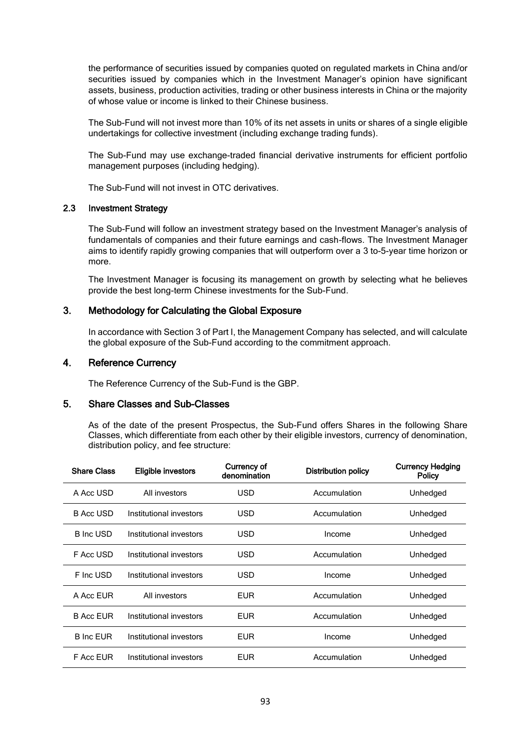the performance of securities issued by companies quoted on regulated markets in China and/or securities issued by companies which in the Investment Manager's opinion have significant assets, business, production activities, trading or other business interests in China or the majority of whose value or income is linked to their Chinese business.

The Sub-Fund will not invest more than 10% of its net assets in units or shares of a single eligible undertakings for collective investment (including exchange trading funds).

The Sub-Fund may use exchange-traded financial derivative instruments for efficient portfolio management purposes (including hedging).

The Sub-Fund will not invest in OTC derivatives.

### 2.3 Investment Strategy

The Sub-Fund will follow an investment strategy based on the Investment Manager's analysis of fundamentals of companies and their future earnings and cash-flows. The Investment Manager aims to identify rapidly growing companies that will outperform over a 3 to-5-year time horizon or more.

The Investment Manager is focusing its management on growth by selecting what he believes provide the best long-term Chinese investments for the Sub-Fund.

### 3. Methodology for Calculating the Global Exposure

In accordance with Section 3 of Part I, the Management Company has selected, and will calculate the global exposure of the Sub-Fund according to the commitment approach.

### 4. Reference Currency

The Reference Currency of the Sub-Fund is the GBP.

### 5. Share Classes and Sub-Classes

As of the date of the present Prospectus, the Sub-Fund offers Shares in the following Share Classes, which differentiate from each other by their eligible investors, currency of denomination, distribution policy, and fee structure:

| <b>Share Class</b> | <b>Eligible investors</b> | Currency of<br>denomination | <b>Distribution policy</b> | <b>Currency Hedging</b><br>Policy |
|--------------------|---------------------------|-----------------------------|----------------------------|-----------------------------------|
| A Acc USD          | All investors             | <b>USD</b>                  | Accumulation               | Unhedged                          |
| <b>B Acc USD</b>   | Institutional investors   | <b>USD</b>                  | Accumulation               | Unhedged                          |
| <b>B</b> Inc USD   | Institutional investors   | USD                         | Income                     | Unhedged                          |
| F Acc USD          | Institutional investors   | <b>USD</b>                  | Accumulation               | Unhedged                          |
| F Inc USD          | Institutional investors   | <b>USD</b>                  | Income                     | Unhedged                          |
| A Acc EUR          | All investors             | <b>EUR</b>                  | Accumulation               | Unhedged                          |
| <b>B Acc EUR</b>   | Institutional investors   | <b>EUR</b>                  | Accumulation               | Unhedged                          |
| <b>B</b> Inc EUR   | Institutional investors   | <b>EUR</b>                  | Income                     | Unhedged                          |
| F Acc EUR          | Institutional investors   | <b>EUR</b>                  | Accumulation               | Unhedged                          |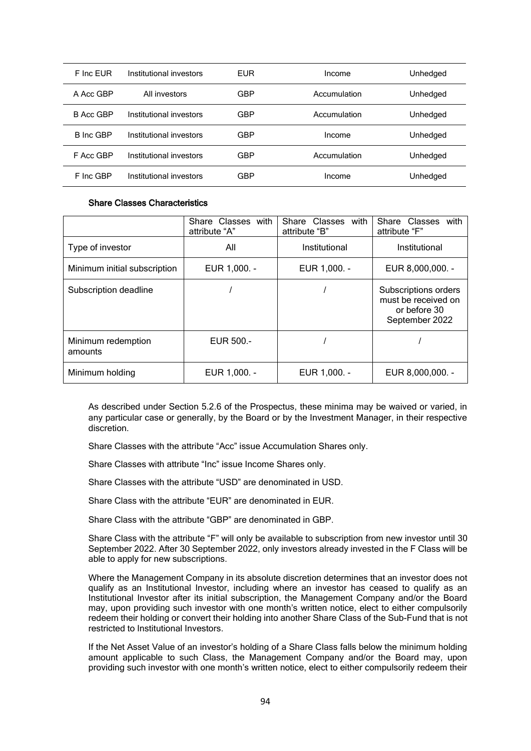| F Inc FUR        | Institutional investors | EUR | Income       | Unhedged |
|------------------|-------------------------|-----|--------------|----------|
| A Acc GBP        | All investors           | GBP | Accumulation | Unhedged |
| B Acc GBP        | Institutional investors | GBP | Accumulation | Unhedged |
| <b>B</b> Inc GBP | Institutional investors | GBP | Income       | Unhedged |
| F Acc GBP        | Institutional investors | GBP | Accumulation | Unhedged |
| F Inc GBP        | Institutional investors | GBP | Income       | Unhedged |

#### Share Classes Characteristics

|                               | Share Classes with<br>attribute "A" | Share<br>Classes<br>with<br>attribute "B" | Share Classes<br>with<br>attribute "F"                                        |
|-------------------------------|-------------------------------------|-------------------------------------------|-------------------------------------------------------------------------------|
| Type of investor              | All                                 | Institutional                             | Institutional                                                                 |
| Minimum initial subscription  | EUR 1.000. -                        | EUR 1.000. -                              | EUR 8,000,000. -                                                              |
| Subscription deadline         |                                     |                                           | Subscriptions orders<br>must be received on<br>or before 30<br>September 2022 |
| Minimum redemption<br>amounts | EUR 500.-                           |                                           |                                                                               |
| Minimum holding               | EUR 1,000. -                        | EUR 1,000. -                              | EUR 8,000,000. -                                                              |

As described under Section 5.2.6 of the Prospectus, these minima may be waived or varied, in any particular case or generally, by the Board or by the Investment Manager, in their respective discretion.

Share Classes with the attribute "Acc" issue Accumulation Shares only.

Share Classes with attribute "Inc" issue Income Shares only.

Share Classes with the attribute "USD" are denominated in USD.

Share Class with the attribute "EUR" are denominated in EUR.

Share Class with the attribute "GBP" are denominated in GBP.

Share Class with the attribute "F" will only be available to subscription from new investor until 30 September 2022. After 30 September 2022, only investors already invested in the F Class will be able to apply for new subscriptions.

Where the Management Company in its absolute discretion determines that an investor does not qualify as an Institutional Investor, including where an investor has ceased to qualify as an Institutional Investor after its initial subscription, the Management Company and/or the Board may, upon providing such investor with one month's written notice, elect to either compulsorily redeem their holding or convert their holding into another Share Class of the Sub-Fund that is not restricted to Institutional Investors.

If the Net Asset Value of an investor's holding of a Share Class falls below the minimum holding amount applicable to such Class, the Management Company and/or the Board may, upon providing such investor with one month's written notice, elect to either compulsorily redeem their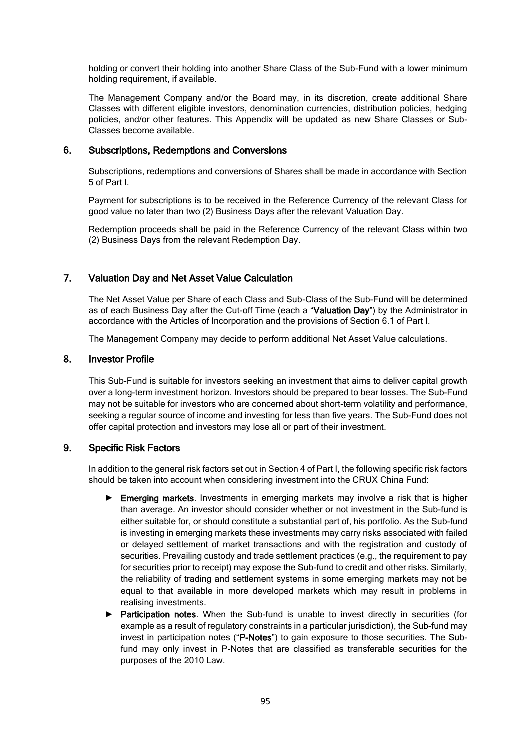holding or convert their holding into another Share Class of the Sub-Fund with a lower minimum holding requirement, if available.

The Management Company and/or the Board may, in its discretion, create additional Share Classes with different eligible investors, denomination currencies, distribution policies, hedging policies, and/or other features. This Appendix will be updated as new Share Classes or Sub-Classes become available.

### 6. Subscriptions, Redemptions and Conversions

Subscriptions, redemptions and conversions of Shares shall be made in accordance with Section 5 of Part I.

Payment for subscriptions is to be received in the Reference Currency of the relevant Class for good value no later than two (2) Business Days after the relevant Valuation Day.

Redemption proceeds shall be paid in the Reference Currency of the relevant Class within two (2) Business Days from the relevant Redemption Day.

### 7. Valuation Day and Net Asset Value Calculation

The Net Asset Value per Share of each Class and Sub-Class of the Sub-Fund will be determined as of each Business Day after the Cut-off Time (each a "Valuation Day") by the Administrator in accordance with the Articles of Incorporation and the provisions of Section 6.1 of Part I.

The Management Company may decide to perform additional Net Asset Value calculations.

### 8. Investor Profile

This Sub-Fund is suitable for investors seeking an investment that aims to deliver capital growth over a long-term investment horizon. Investors should be prepared to bear losses. The Sub-Fund may not be suitable for investors who are concerned about short-term volatility and performance, seeking a regular source of income and investing for less than five years. The Sub-Fund does not offer capital protection and investors may lose all or part of their investment.

### 9. Specific Risk Factors

In addition to the general risk factors set out in Section 4 of Part I, the following specific risk factors should be taken into account when considering investment into the CRUX China Fund:

- ► Emerging markets. Investments in emerging markets may involve a risk that is higher than average. An investor should consider whether or not investment in the Sub-fund is either suitable for, or should constitute a substantial part of, his portfolio. As the Sub-fund is investing in emerging markets these investments may carry risks associated with failed or delayed settlement of market transactions and with the registration and custody of securities. Prevailing custody and trade settlement practices (e.g., the requirement to pay for securities prior to receipt) may expose the Sub-fund to credit and other risks. Similarly, the reliability of trading and settlement systems in some emerging markets may not be equal to that available in more developed markets which may result in problems in realising investments.
- ► Participation notes. When the Sub-fund is unable to invest directly in securities (for example as a result of regulatory constraints in a particular jurisdiction), the Sub-fund may invest in participation notes ("P-Notes") to gain exposure to those securities. The Subfund may only invest in P-Notes that are classified as transferable securities for the purposes of the 2010 Law.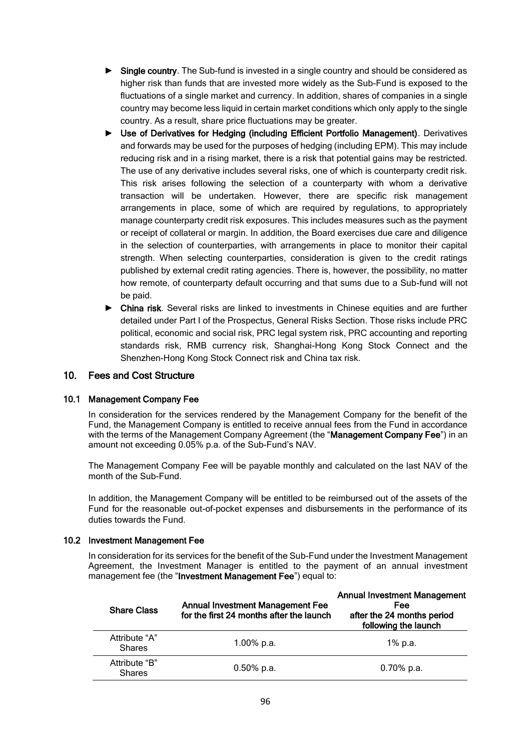- ► Single country. The Sub-fund is invested in a single country and should be considered as higher risk than funds that are invested more widely as the Sub-Fund is exposed to the fluctuations of a single market and currency. In addition, shares of companies in a single country may become less liquid in certain market conditions which only apply to the single country. As a result, share price fluctuations may be greater.
- ► Use of Derivatives for Hedging (including Efficient Portfolio Management). Derivatives and forwards may be used for the purposes of hedging (including EPM). This may include reducing risk and in a rising market, there is a risk that potential gains may be restricted. The use of any derivative includes several risks, one of which is counterparty credit risk. This risk arises following the selection of a counterparty with whom a derivative transaction will be undertaken. However, there are specific risk management arrangements in place, some of which are required by regulations, to appropriately manage counterparty credit risk exposures. This includes measures such as the payment or receipt of collateral or margin. In addition, the Board exercises due care and diligence in the selection of counterparties, with arrangements in place to monitor their capital strength. When selecting counterparties, consideration is given to the credit ratings published by external credit rating agencies. There is, however, the possibility, no matter how remote, of counterparty default occurring and that sums due to a Sub-fund will not be paid.
- ► China risk. Several risks are linked to investments in Chinese equities and are further detailed under Part I of the Prospectus, General Risks Section. Those risks include PRC political, economic and social risk, PRC legal system risk, PRC accounting and reporting standards risk, RMB currency risk, Shanghai-Hong Kong Stock Connect and the Shenzhen-Hong Kong Stock Connect risk and China tax risk.

### 10. Fees and Cost Structure

### 10.1 Management Company Fee

In consideration for the services rendered by the Management Company for the benefit of the Fund, the Management Company is entitled to receive annual fees from the Fund in accordance with the terms of the Management Company Agreement (the "Management Company Fee") in an amount not exceeding 0.05% p.a. of the Sub-Fund's NAV.

The Management Company Fee will be payable monthly and calculated on the last NAV of the month of the Sub-Fund.

In addition, the Management Company will be entitled to be reimbursed out of the assets of the Fund for the reasonable out-of-pocket expenses and disbursements in the performance of its duties towards the Fund.

#### 10.2 Investment Management Fee

In consideration for its services for the benefit of the Sub-Fund under the Investment Management Agreement, the Investment Manager is entitled to the payment of an annual investment management fee (the "Investment Management Fee") equal to:

| <b>Share Class</b>             | <b>Annual Investment Management Fee</b><br>for the first 24 months after the launch | <b>Annual Investment Management</b><br><b>Fee</b><br>after the 24 months period<br>following the launch |
|--------------------------------|-------------------------------------------------------------------------------------|---------------------------------------------------------------------------------------------------------|
| Attribute "A"<br><b>Shares</b> | 1.00% p.a.                                                                          | 1% p.a.                                                                                                 |
| Attribute "B"<br><b>Shares</b> | $0.50\%$ p.a.                                                                       | $0.70\%$ p.a.                                                                                           |